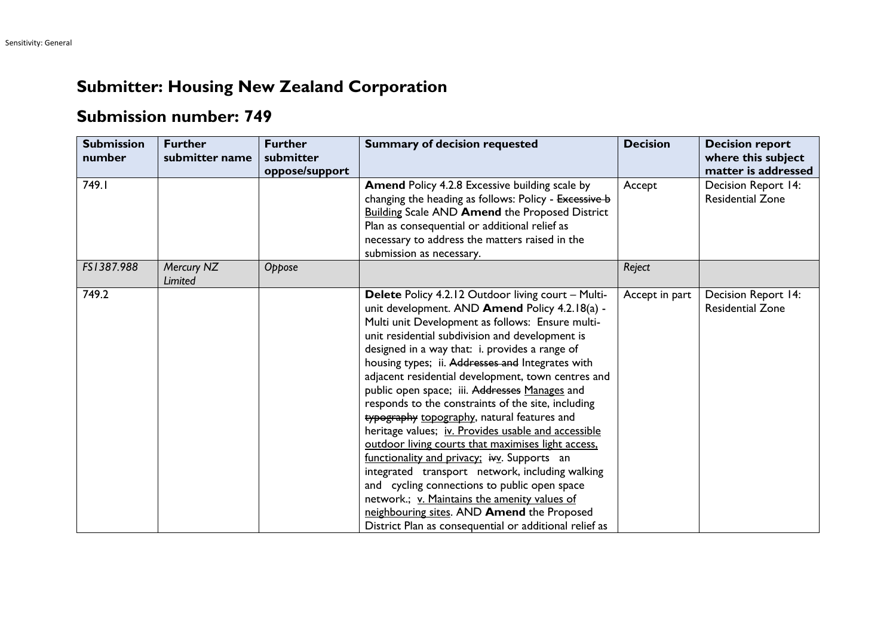## **Submitter: Housing New Zealand Corporation**

## **Submission number: 749**

| <b>Submission</b><br>number | <b>Further</b><br>submitter name | <b>Further</b><br>submitter<br>oppose/support | <b>Summary of decision requested</b>                                                                                                                                                                                                                                                                                                                                                                                                                                                                                                                                                                                                                                                                                                                                                                                                                                                                                                                 | <b>Decision</b> | <b>Decision report</b><br>where this subject<br>matter is addressed |
|-----------------------------|----------------------------------|-----------------------------------------------|------------------------------------------------------------------------------------------------------------------------------------------------------------------------------------------------------------------------------------------------------------------------------------------------------------------------------------------------------------------------------------------------------------------------------------------------------------------------------------------------------------------------------------------------------------------------------------------------------------------------------------------------------------------------------------------------------------------------------------------------------------------------------------------------------------------------------------------------------------------------------------------------------------------------------------------------------|-----------------|---------------------------------------------------------------------|
| 749.1                       |                                  |                                               | Amend Policy 4.2.8 Excessive building scale by<br>changing the heading as follows: Policy - Excessive b<br><b>Building Scale AND Amend the Proposed District</b><br>Plan as consequential or additional relief as<br>necessary to address the matters raised in the<br>submission as necessary.                                                                                                                                                                                                                                                                                                                                                                                                                                                                                                                                                                                                                                                      | Accept          | Decision Report 14:<br><b>Residential Zone</b>                      |
| FS1387.988                  | Mercury NZ<br><b>Limited</b>     | Oppose                                        |                                                                                                                                                                                                                                                                                                                                                                                                                                                                                                                                                                                                                                                                                                                                                                                                                                                                                                                                                      | Reject          |                                                                     |
| 749.2                       |                                  |                                               | Delete Policy 4.2.12 Outdoor living court - Multi-<br>unit development. AND Amend Policy 4.2.18(a) -<br>Multi unit Development as follows: Ensure multi-<br>unit residential subdivision and development is<br>designed in a way that: i. provides a range of<br>housing types; ii. Addresses and Integrates with<br>adjacent residential development, town centres and<br>public open space; iii. Addresses Manages and<br>responds to the constraints of the site, including<br>typography topography, natural features and<br>heritage values; iv. Provides usable and accessible<br>outdoor living courts that maximises light access,<br>functionality and privacy; ivv. Supports an<br>integrated transport network, including walking<br>and cycling connections to public open space<br>network.; v. Maintains the amenity values of<br>neighbouring sites. AND Amend the Proposed<br>District Plan as consequential or additional relief as | Accept in part  | Decision Report 14:<br><b>Residential Zone</b>                      |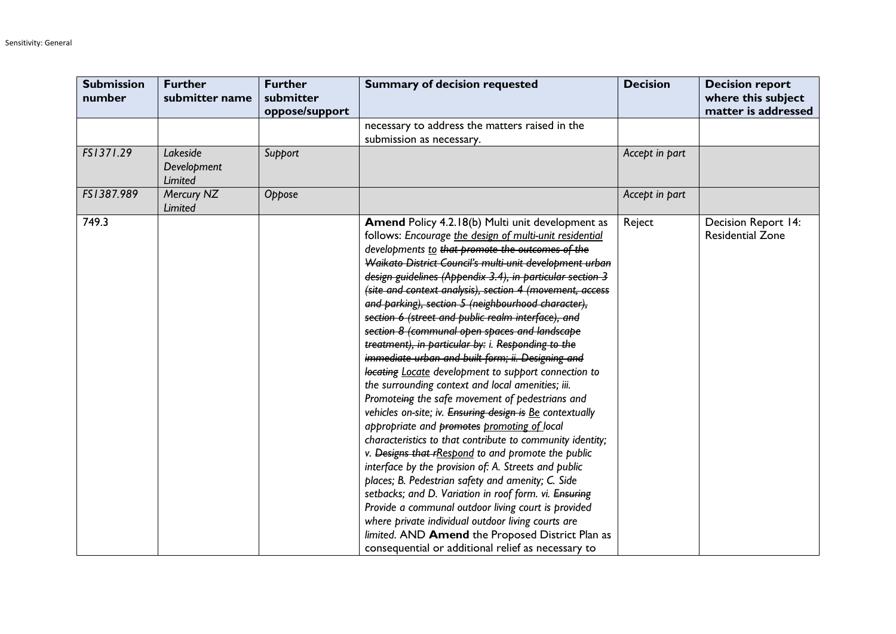| <b>Submission</b><br>number | <b>Further</b><br>submitter name          | <b>Further</b><br>submitter<br>oppose/support | <b>Summary of decision requested</b>                                                                                                                                                                                                                                                                                                                                                                                                                                                                                                                                                                                                                                                                                                                                                                                                                                                                                                                                                                                                                                                                                                                                                                                                                                                                                                                                                                                   | <b>Decision</b> | <b>Decision report</b><br>where this subject<br>matter is addressed |
|-----------------------------|-------------------------------------------|-----------------------------------------------|------------------------------------------------------------------------------------------------------------------------------------------------------------------------------------------------------------------------------------------------------------------------------------------------------------------------------------------------------------------------------------------------------------------------------------------------------------------------------------------------------------------------------------------------------------------------------------------------------------------------------------------------------------------------------------------------------------------------------------------------------------------------------------------------------------------------------------------------------------------------------------------------------------------------------------------------------------------------------------------------------------------------------------------------------------------------------------------------------------------------------------------------------------------------------------------------------------------------------------------------------------------------------------------------------------------------------------------------------------------------------------------------------------------------|-----------------|---------------------------------------------------------------------|
|                             |                                           |                                               | necessary to address the matters raised in the<br>submission as necessary.                                                                                                                                                                                                                                                                                                                                                                                                                                                                                                                                                                                                                                                                                                                                                                                                                                                                                                                                                                                                                                                                                                                                                                                                                                                                                                                                             |                 |                                                                     |
| FS1371.29                   | Lakeside<br>Development<br><b>Limited</b> | Support                                       |                                                                                                                                                                                                                                                                                                                                                                                                                                                                                                                                                                                                                                                                                                                                                                                                                                                                                                                                                                                                                                                                                                                                                                                                                                                                                                                                                                                                                        | Accept in part  |                                                                     |
| FS1387.989                  | Mercury NZ<br>Limited                     | Oppose                                        |                                                                                                                                                                                                                                                                                                                                                                                                                                                                                                                                                                                                                                                                                                                                                                                                                                                                                                                                                                                                                                                                                                                                                                                                                                                                                                                                                                                                                        | Accept in part  |                                                                     |
| 749.3                       |                                           |                                               | Amend Policy 4.2.18(b) Multi unit development as<br>follows: Encourage the design of multi-unit residential<br>developments to that promote the outcomes of the<br>Waikato District Council's multi-unit development urban<br>design guidelines (Appendix 3.4), in particular section 3<br>(site and context analysis), section 4 (movement, access<br>and parking), section 5 (neighbourhood character),<br>section 6 (street and public realm interface), and<br>section 8 (communal open spaces and landscape<br>treatment), in particular by: i. Responding to the<br>immediate urban and built form; ii. Designing and<br>locating Locate development to support connection to<br>the surrounding context and local amenities; iii.<br>Promoteing the safe movement of pedestrians and<br>vehicles on-site; iv. Ensuring design is Be contextually<br>appropriate and promotes promoting of local<br>characteristics to that contribute to community identity;<br>v. Designs that rRespond to and promote the public<br>interface by the provision of: A. Streets and public<br>places; B. Pedestrian safety and amenity; C. Side<br>setbacks; and D. Variation in roof form. vi. Ensuring<br>Provide a communal outdoor living court is provided<br>where private individual outdoor living courts are<br>limited. AND Amend the Proposed District Plan as<br>consequential or additional relief as necessary to | Reject          | Decision Report 14:<br><b>Residential Zone</b>                      |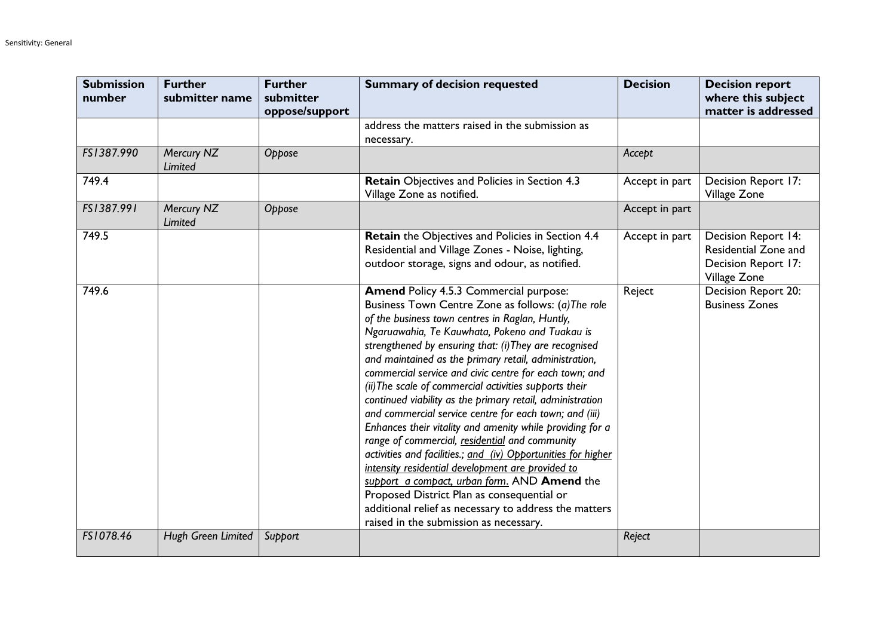| <b>Submission</b><br>number | <b>Further</b><br>submitter name | <b>Further</b><br>submitter<br>oppose/support | <b>Summary of decision requested</b>                                                                                                                                                                                                                                                                                                                                                                                                                                                                                                                                                                                                                                                                                                                                                                                                                                                                                                                                                                         | <b>Decision</b> | <b>Decision report</b><br>where this subject<br>matter is addressed                |
|-----------------------------|----------------------------------|-----------------------------------------------|--------------------------------------------------------------------------------------------------------------------------------------------------------------------------------------------------------------------------------------------------------------------------------------------------------------------------------------------------------------------------------------------------------------------------------------------------------------------------------------------------------------------------------------------------------------------------------------------------------------------------------------------------------------------------------------------------------------------------------------------------------------------------------------------------------------------------------------------------------------------------------------------------------------------------------------------------------------------------------------------------------------|-----------------|------------------------------------------------------------------------------------|
|                             |                                  |                                               | address the matters raised in the submission as<br>necessary.                                                                                                                                                                                                                                                                                                                                                                                                                                                                                                                                                                                                                                                                                                                                                                                                                                                                                                                                                |                 |                                                                                    |
| FS1387.990                  | Mercury NZ<br>Limited            | Oppose                                        |                                                                                                                                                                                                                                                                                                                                                                                                                                                                                                                                                                                                                                                                                                                                                                                                                                                                                                                                                                                                              | Accept          |                                                                                    |
| 749.4                       |                                  |                                               | Retain Objectives and Policies in Section 4.3<br>Village Zone as notified.                                                                                                                                                                                                                                                                                                                                                                                                                                                                                                                                                                                                                                                                                                                                                                                                                                                                                                                                   | Accept in part  | Decision Report 17:<br>Village Zone                                                |
| FS1387.991                  | Mercury NZ<br>Limited            | Oppose                                        |                                                                                                                                                                                                                                                                                                                                                                                                                                                                                                                                                                                                                                                                                                                                                                                                                                                                                                                                                                                                              | Accept in part  |                                                                                    |
| 749.5                       |                                  |                                               | <b>Retain</b> the Objectives and Policies in Section 4.4<br>Residential and Village Zones - Noise, lighting,<br>outdoor storage, signs and odour, as notified.                                                                                                                                                                                                                                                                                                                                                                                                                                                                                                                                                                                                                                                                                                                                                                                                                                               | Accept in part  | Decision Report 14:<br>Residential Zone and<br>Decision Report 17:<br>Village Zone |
| 749.6                       |                                  |                                               | <b>Amend Policy 4.5.3 Commercial purpose:</b><br>Business Town Centre Zone as follows: (a) The role<br>of the business town centres in Raglan, Huntly,<br>Ngaruawahia, Te Kauwhata, Pokeno and Tuakau is<br>strengthened by ensuring that: (i) They are recognised<br>and maintained as the primary retail, administration,<br>commercial service and civic centre for each town; and<br>(ii) The scale of commercial activities supports their<br>continued viability as the primary retail, administration<br>and commercial service centre for each town; and (iii)<br>Enhances their vitality and amenity while providing for a<br>range of commercial, residential and community<br>activities and facilities.; and (iv) Opportunities for higher<br>intensity residential development are provided to<br>support a compact, urban form. AND Amend the<br>Proposed District Plan as consequential or<br>additional relief as necessary to address the matters<br>raised in the submission as necessary. | Reject          | Decision Report 20:<br><b>Business Zones</b>                                       |
| FS1078.46                   | Hugh Green Limited               | Support                                       |                                                                                                                                                                                                                                                                                                                                                                                                                                                                                                                                                                                                                                                                                                                                                                                                                                                                                                                                                                                                              | Reject          |                                                                                    |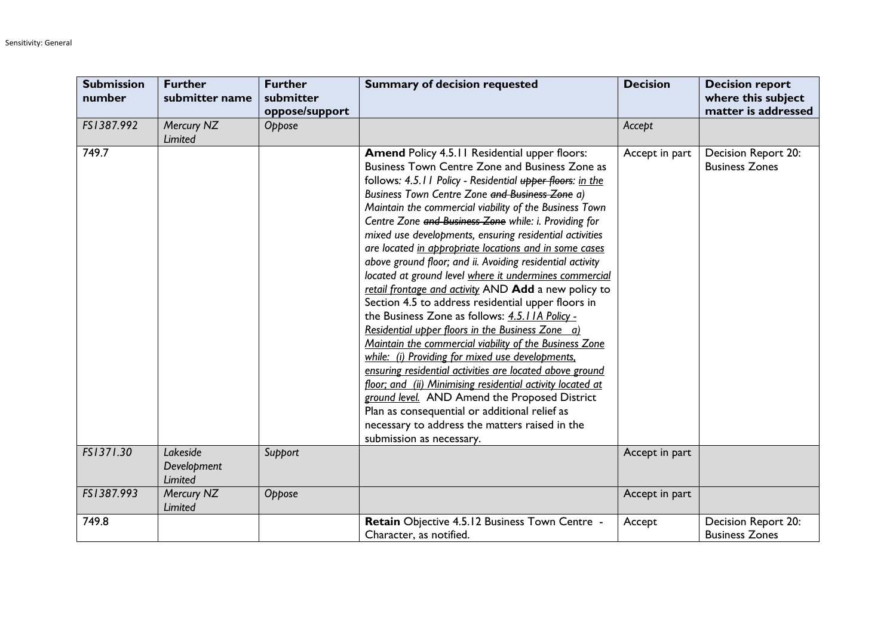| <b>Submission</b><br>number | <b>Further</b><br>submitter name   | <b>Further</b><br>submitter<br>oppose/support | <b>Summary of decision requested</b>                                                                                                                                                                                                                                                                                                                                                                                                                                                                                                                                                                                                                                                                                                                                                                                                                                                                                                                                                                                                                                                                                                                                                                                      | <b>Decision</b> | <b>Decision report</b><br>where this subject<br>matter is addressed |
|-----------------------------|------------------------------------|-----------------------------------------------|---------------------------------------------------------------------------------------------------------------------------------------------------------------------------------------------------------------------------------------------------------------------------------------------------------------------------------------------------------------------------------------------------------------------------------------------------------------------------------------------------------------------------------------------------------------------------------------------------------------------------------------------------------------------------------------------------------------------------------------------------------------------------------------------------------------------------------------------------------------------------------------------------------------------------------------------------------------------------------------------------------------------------------------------------------------------------------------------------------------------------------------------------------------------------------------------------------------------------|-----------------|---------------------------------------------------------------------|
| FS1387.992                  | Mercury NZ<br>Limited              | Oppose                                        |                                                                                                                                                                                                                                                                                                                                                                                                                                                                                                                                                                                                                                                                                                                                                                                                                                                                                                                                                                                                                                                                                                                                                                                                                           | Accept          |                                                                     |
| 749.7                       |                                    |                                               | Amend Policy 4.5.11 Residential upper floors:<br>Business Town Centre Zone and Business Zone as<br>follows: 4.5.11 Policy - Residential upper floors: in the<br>Business Town Centre Zone and Business Zone a)<br>Maintain the commercial viability of the Business Town<br>Centre Zone and Business Zone while: i. Providing for<br>mixed use developments, ensuring residential activities<br>are located in appropriate locations and in some cases<br>above ground floor; and ii. Avoiding residential activity<br>located at ground level where it undermines commercial<br>retail frontage and activity AND Add a new policy to<br>Section 4.5 to address residential upper floors in<br>the Business Zone as follows: 4.5.11A Policy -<br>Residential upper floors in the Business Zone a)<br>Maintain the commercial viability of the Business Zone<br>while: (i) Providing for mixed use developments.<br>ensuring residential activities are located above ground<br>floor; and (ii) Minimising residential activity located at<br>ground level. AND Amend the Proposed District<br>Plan as consequential or additional relief as<br>necessary to address the matters raised in the<br>submission as necessary. | Accept in part  | Decision Report 20:<br><b>Business Zones</b>                        |
| FS1371.30                   | Lakeside<br>Development<br>Limited | Support                                       |                                                                                                                                                                                                                                                                                                                                                                                                                                                                                                                                                                                                                                                                                                                                                                                                                                                                                                                                                                                                                                                                                                                                                                                                                           | Accept in part  |                                                                     |
| FS1387.993                  | Mercury NZ<br>Limited              | Oppose                                        |                                                                                                                                                                                                                                                                                                                                                                                                                                                                                                                                                                                                                                                                                                                                                                                                                                                                                                                                                                                                                                                                                                                                                                                                                           | Accept in part  |                                                                     |
| 749.8                       |                                    |                                               | Retain Objective 4.5.12 Business Town Centre -<br>Character, as notified.                                                                                                                                                                                                                                                                                                                                                                                                                                                                                                                                                                                                                                                                                                                                                                                                                                                                                                                                                                                                                                                                                                                                                 | Accept          | Decision Report 20:<br><b>Business Zones</b>                        |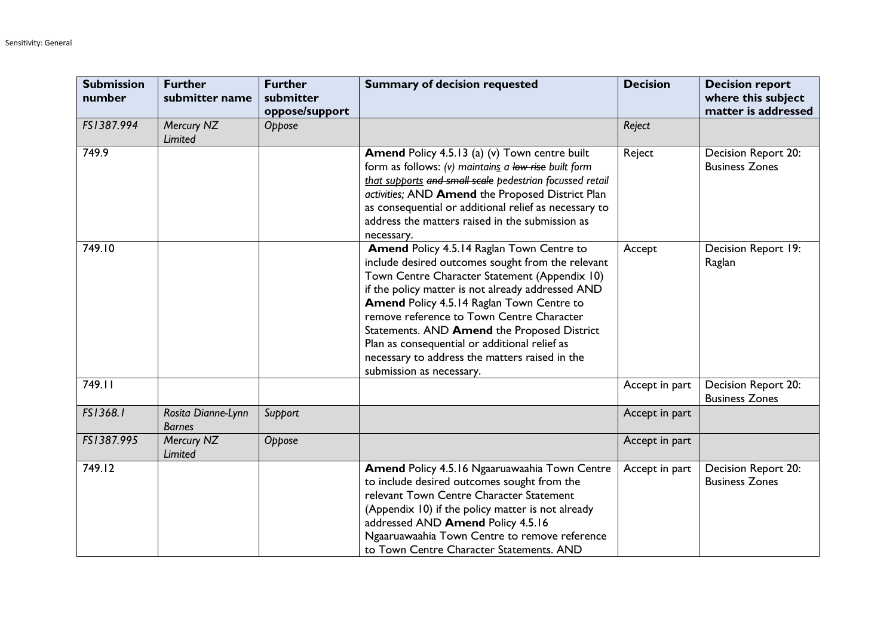| <b>Submission</b><br>number | <b>Further</b><br>submitter name    | <b>Further</b><br>submitter<br>oppose/support | <b>Summary of decision requested</b>                                                                                                                                                                                                                                                                                                                                                                                                                                         | <b>Decision</b> | <b>Decision report</b><br>where this subject<br>matter is addressed |
|-----------------------------|-------------------------------------|-----------------------------------------------|------------------------------------------------------------------------------------------------------------------------------------------------------------------------------------------------------------------------------------------------------------------------------------------------------------------------------------------------------------------------------------------------------------------------------------------------------------------------------|-----------------|---------------------------------------------------------------------|
| FS1387.994                  | Mercury NZ<br>Limited               | Oppose                                        |                                                                                                                                                                                                                                                                                                                                                                                                                                                                              | Reject          |                                                                     |
| 749.9                       |                                     |                                               | Amend Policy 4.5.13 (a) (v) Town centre built<br>form as follows: (v) maintains a low rise built form<br>that supports and small scale pedestrian focussed retail<br>activities; AND Amend the Proposed District Plan<br>as consequential or additional relief as necessary to<br>address the matters raised in the submission as<br>necessary.                                                                                                                              | Reject          | Decision Report 20:<br><b>Business Zones</b>                        |
| 749.10                      |                                     |                                               | Amend Policy 4.5.14 Raglan Town Centre to<br>include desired outcomes sought from the relevant<br>Town Centre Character Statement (Appendix 10)<br>if the policy matter is not already addressed AND<br>Amend Policy 4.5.14 Raglan Town Centre to<br>remove reference to Town Centre Character<br>Statements. AND Amend the Proposed District<br>Plan as consequential or additional relief as<br>necessary to address the matters raised in the<br>submission as necessary. | Accept          | Decision Report 19:<br>Raglan                                       |
| 749.11                      |                                     |                                               |                                                                                                                                                                                                                                                                                                                                                                                                                                                                              | Accept in part  | Decision Report 20:<br><b>Business Zones</b>                        |
| FS1368.1                    | Rosita Dianne-Lynn<br><b>Barnes</b> | Support                                       |                                                                                                                                                                                                                                                                                                                                                                                                                                                                              | Accept in part  |                                                                     |
| FS1387.995                  | Mercury NZ<br>Limited               | Oppose                                        |                                                                                                                                                                                                                                                                                                                                                                                                                                                                              | Accept in part  |                                                                     |
| 749.12                      |                                     |                                               | Amend Policy 4.5.16 Ngaaruawaahia Town Centre<br>to include desired outcomes sought from the<br>relevant Town Centre Character Statement<br>(Appendix 10) if the policy matter is not already<br>addressed AND Amend Policy 4.5.16<br>Ngaaruawaahia Town Centre to remove reference<br>to Town Centre Character Statements. AND                                                                                                                                              | Accept in part  | Decision Report 20:<br><b>Business Zones</b>                        |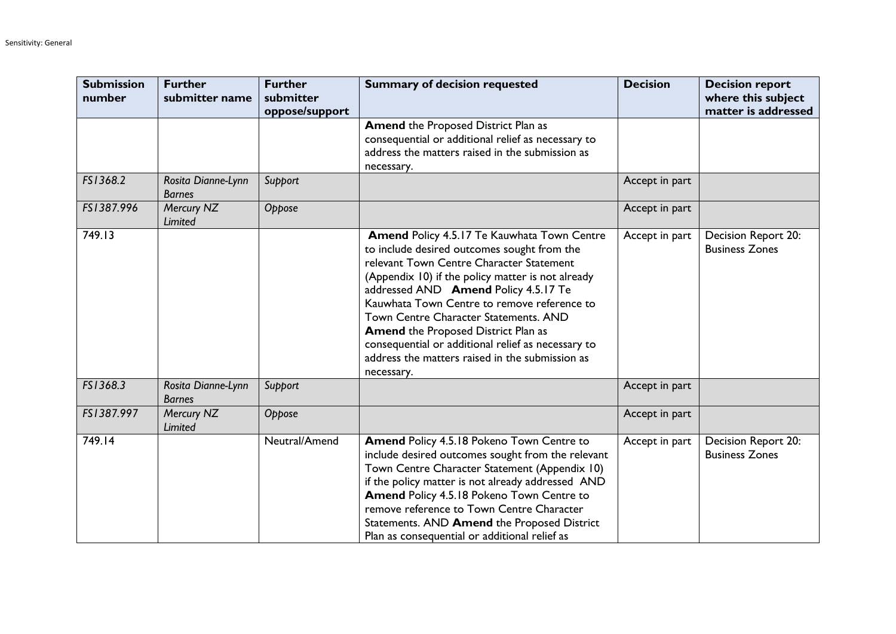| <b>Submission</b><br>number | <b>Further</b><br>submitter name    | <b>Further</b><br>submitter<br>oppose/support | <b>Summary of decision requested</b>                                                                                                                                                                                                                                                                                                                                                                                                                                                             | <b>Decision</b> | <b>Decision report</b><br>where this subject<br>matter is addressed |
|-----------------------------|-------------------------------------|-----------------------------------------------|--------------------------------------------------------------------------------------------------------------------------------------------------------------------------------------------------------------------------------------------------------------------------------------------------------------------------------------------------------------------------------------------------------------------------------------------------------------------------------------------------|-----------------|---------------------------------------------------------------------|
|                             |                                     |                                               | <b>Amend the Proposed District Plan as</b><br>consequential or additional relief as necessary to<br>address the matters raised in the submission as<br>necessary.                                                                                                                                                                                                                                                                                                                                |                 |                                                                     |
| FS1368.2                    | Rosita Dianne-Lynn<br><b>Barnes</b> | Support                                       |                                                                                                                                                                                                                                                                                                                                                                                                                                                                                                  | Accept in part  |                                                                     |
| FS1387.996                  | Mercury NZ<br>Limited               | Oppose                                        |                                                                                                                                                                                                                                                                                                                                                                                                                                                                                                  | Accept in part  |                                                                     |
| 749.13                      |                                     |                                               | Amend Policy 4.5.17 Te Kauwhata Town Centre<br>to include desired outcomes sought from the<br>relevant Town Centre Character Statement<br>(Appendix 10) if the policy matter is not already<br>addressed AND Amend Policy 4.5.17 Te<br>Kauwhata Town Centre to remove reference to<br>Town Centre Character Statements. AND<br><b>Amend the Proposed District Plan as</b><br>consequential or additional relief as necessary to<br>address the matters raised in the submission as<br>necessary. | Accept in part  | Decision Report 20:<br><b>Business Zones</b>                        |
| FS1368.3                    | Rosita Dianne-Lynn<br><b>Barnes</b> | Support                                       |                                                                                                                                                                                                                                                                                                                                                                                                                                                                                                  | Accept in part  |                                                                     |
| FS1387.997                  | Mercury NZ<br>Limited               | Oppose                                        |                                                                                                                                                                                                                                                                                                                                                                                                                                                                                                  | Accept in part  |                                                                     |
| 749.14                      |                                     | Neutral/Amend                                 | Amend Policy 4.5.18 Pokeno Town Centre to<br>include desired outcomes sought from the relevant<br>Town Centre Character Statement (Appendix 10)<br>if the policy matter is not already addressed AND<br>Amend Policy 4.5.18 Pokeno Town Centre to<br>remove reference to Town Centre Character<br>Statements. AND Amend the Proposed District<br>Plan as consequential or additional relief as                                                                                                   | Accept in part  | Decision Report 20:<br><b>Business Zones</b>                        |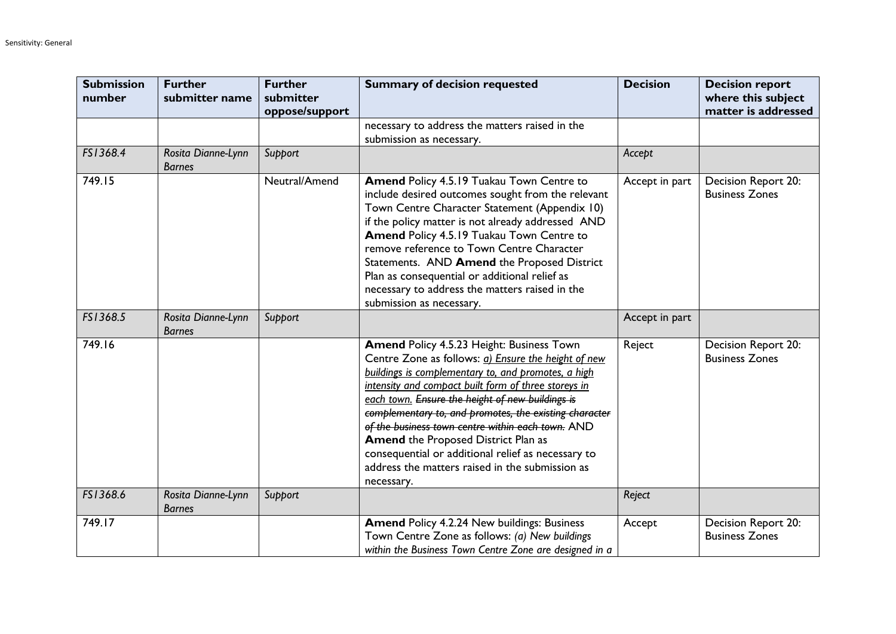| <b>Submission</b><br>number | <b>Further</b><br>submitter name    | <b>Further</b><br>submitter<br>oppose/support | <b>Summary of decision requested</b>                                                                                                                                                                                                                                                                                                                                                                                                                                                                                                                    | <b>Decision</b> | <b>Decision report</b><br>where this subject<br>matter is addressed |
|-----------------------------|-------------------------------------|-----------------------------------------------|---------------------------------------------------------------------------------------------------------------------------------------------------------------------------------------------------------------------------------------------------------------------------------------------------------------------------------------------------------------------------------------------------------------------------------------------------------------------------------------------------------------------------------------------------------|-----------------|---------------------------------------------------------------------|
|                             |                                     |                                               | necessary to address the matters raised in the<br>submission as necessary.                                                                                                                                                                                                                                                                                                                                                                                                                                                                              |                 |                                                                     |
| FS1368.4                    | Rosita Dianne-Lynn<br><b>Barnes</b> | Support                                       |                                                                                                                                                                                                                                                                                                                                                                                                                                                                                                                                                         | Accept          |                                                                     |
| 749.15                      |                                     | Neutral/Amend                                 | Amend Policy 4.5.19 Tuakau Town Centre to<br>include desired outcomes sought from the relevant<br>Town Centre Character Statement (Appendix 10)<br>if the policy matter is not already addressed AND<br>Amend Policy 4.5.19 Tuakau Town Centre to<br>remove reference to Town Centre Character<br>Statements. AND Amend the Proposed District<br>Plan as consequential or additional relief as<br>necessary to address the matters raised in the<br>submission as necessary.                                                                            | Accept in part  | Decision Report 20:<br><b>Business Zones</b>                        |
| FS1368.5                    | Rosita Dianne-Lynn<br><b>Barnes</b> | Support                                       |                                                                                                                                                                                                                                                                                                                                                                                                                                                                                                                                                         | Accept in part  |                                                                     |
| 749.16                      |                                     |                                               | Amend Policy 4.5.23 Height: Business Town<br>Centre Zone as follows: a) Ensure the height of new<br>buildings is complementary to, and promotes, a high<br>intensity and compact built form of three storeys in<br>each town. Ensure the height of new buildings is<br>complementary to, and promotes, the existing character<br>of the business town centre within each town. AND<br><b>Amend the Proposed District Plan as</b><br>consequential or additional relief as necessary to<br>address the matters raised in the submission as<br>necessary. | Reject          | Decision Report 20:<br><b>Business Zones</b>                        |
| FS1368.6                    | Rosita Dianne-Lynn<br><b>Barnes</b> | Support                                       |                                                                                                                                                                                                                                                                                                                                                                                                                                                                                                                                                         | Reject          |                                                                     |
| 749.17                      |                                     |                                               | Amend Policy 4.2.24 New buildings: Business<br>Town Centre Zone as follows: (a) New buildings<br>within the Business Town Centre Zone are designed in a                                                                                                                                                                                                                                                                                                                                                                                                 | Accept          | Decision Report 20:<br><b>Business Zones</b>                        |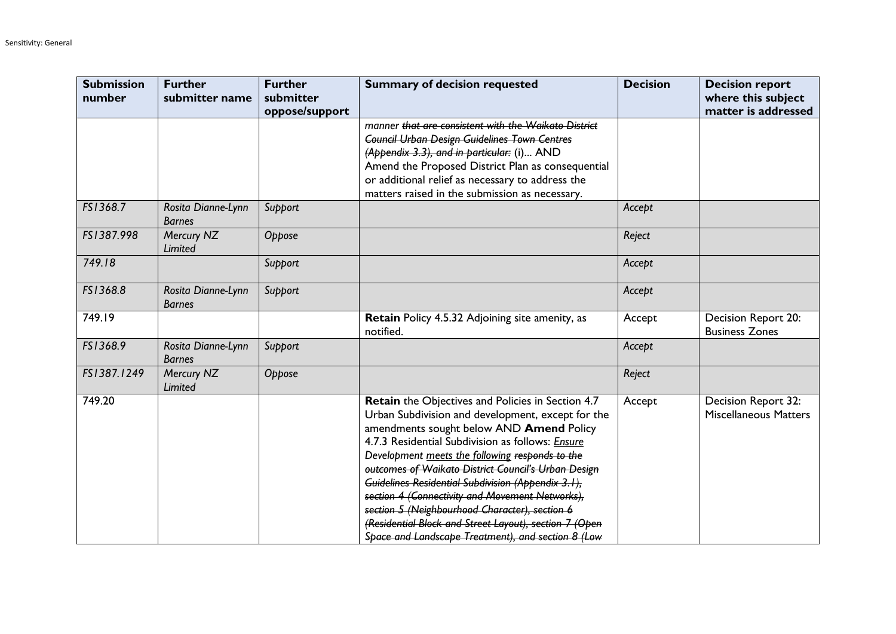| <b>Submission</b><br>number | <b>Further</b><br>submitter name    | <b>Further</b><br>submitter<br>oppose/support | <b>Summary of decision requested</b>                                                                                                                                                                                                                                                                                                                                                                                                                                                                                                                                                        | <b>Decision</b> | <b>Decision report</b><br>where this subject<br>matter is addressed |
|-----------------------------|-------------------------------------|-----------------------------------------------|---------------------------------------------------------------------------------------------------------------------------------------------------------------------------------------------------------------------------------------------------------------------------------------------------------------------------------------------------------------------------------------------------------------------------------------------------------------------------------------------------------------------------------------------------------------------------------------------|-----------------|---------------------------------------------------------------------|
|                             |                                     |                                               | manner that are consistent with the Waikato District<br><b>Council Urban Design Guidelines Town Centres</b><br>(Appendix 3.3), and in particular: (i) AND<br>Amend the Proposed District Plan as consequential<br>or additional relief as necessary to address the<br>matters raised in the submission as necessary.                                                                                                                                                                                                                                                                        |                 |                                                                     |
| FS1368.7                    | Rosita Dianne-Lynn<br><b>Barnes</b> | Support                                       |                                                                                                                                                                                                                                                                                                                                                                                                                                                                                                                                                                                             | Accept          |                                                                     |
| FS1387.998                  | Mercury NZ<br>Limited               | Oppose                                        |                                                                                                                                                                                                                                                                                                                                                                                                                                                                                                                                                                                             | Reject          |                                                                     |
| 749.18                      |                                     | Support                                       |                                                                                                                                                                                                                                                                                                                                                                                                                                                                                                                                                                                             | Accept          |                                                                     |
| FS1368.8                    | Rosita Dianne-Lynn<br><b>Barnes</b> | Support                                       |                                                                                                                                                                                                                                                                                                                                                                                                                                                                                                                                                                                             | Accept          |                                                                     |
| 749.19                      |                                     |                                               | Retain Policy 4.5.32 Adjoining site amenity, as<br>notified.                                                                                                                                                                                                                                                                                                                                                                                                                                                                                                                                | Accept          | Decision Report 20:<br><b>Business Zones</b>                        |
| FS1368.9                    | Rosita Dianne-Lynn<br><b>Barnes</b> | Support                                       |                                                                                                                                                                                                                                                                                                                                                                                                                                                                                                                                                                                             | Accept          |                                                                     |
| FS1387.1249                 | Mercury NZ<br>Limited               | Oppose                                        |                                                                                                                                                                                                                                                                                                                                                                                                                                                                                                                                                                                             | Reject          |                                                                     |
| 749.20                      |                                     |                                               | Retain the Objectives and Policies in Section 4.7<br>Urban Subdivision and development, except for the<br>amendments sought below AND Amend Policy<br>4.7.3 Residential Subdivision as follows: Ensure<br>Development meets the following responds to the<br>outcomes of Waikato District Council's Urban Design<br>Guidelines Residential Subdivision (Appendix 3.1),<br>section 4 (Connectivity and Movement Networks),<br>section 5 (Neighbourhood Character), section 6<br>(Residential Block and Street Layout), section 7 (Open<br>Space and Landscape Treatment), and section 8 (Low | Accept          | Decision Report 32:<br><b>Miscellaneous Matters</b>                 |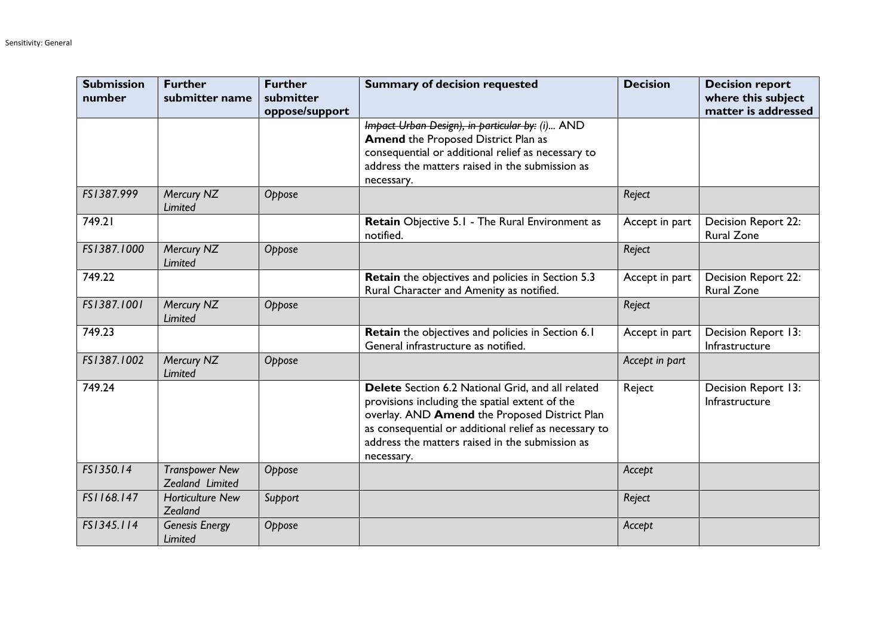| <b>Submission</b><br>number | <b>Further</b><br>submitter name         | <b>Further</b><br>submitter<br>oppose/support | <b>Summary of decision requested</b>                                                                                                                                                                                                                                           | <b>Decision</b> | <b>Decision report</b><br>where this subject<br>matter is addressed |
|-----------------------------|------------------------------------------|-----------------------------------------------|--------------------------------------------------------------------------------------------------------------------------------------------------------------------------------------------------------------------------------------------------------------------------------|-----------------|---------------------------------------------------------------------|
|                             |                                          |                                               | Impact Urban Design), in particular by: (i) AND<br><b>Amend the Proposed District Plan as</b><br>consequential or additional relief as necessary to<br>address the matters raised in the submission as<br>necessary.                                                           |                 |                                                                     |
| FS1387.999                  | Mercury NZ<br><b>Limited</b>             | Oppose                                        |                                                                                                                                                                                                                                                                                | Reject          |                                                                     |
| 749.21                      |                                          |                                               | Retain Objective 5.1 - The Rural Environment as<br>notified.                                                                                                                                                                                                                   | Accept in part  | Decision Report 22:<br><b>Rural Zone</b>                            |
| FS1387.1000                 | Mercury NZ<br>Limited                    | Oppose                                        |                                                                                                                                                                                                                                                                                | Reject          |                                                                     |
| 749.22                      |                                          |                                               | Retain the objectives and policies in Section 5.3<br>Rural Character and Amenity as notified.                                                                                                                                                                                  | Accept in part  | <b>Decision Report 22:</b><br><b>Rural Zone</b>                     |
| FS1387.1001                 | Mercury NZ<br><b>Limited</b>             | Oppose                                        |                                                                                                                                                                                                                                                                                | Reject          |                                                                     |
| 749.23                      |                                          |                                               | Retain the objectives and policies in Section 6.1<br>General infrastructure as notified.                                                                                                                                                                                       | Accept in part  | Decision Report 13:<br>Infrastructure                               |
| FS1387.1002                 | Mercury NZ<br><b>Limited</b>             | Oppose                                        |                                                                                                                                                                                                                                                                                | Accept in part  |                                                                     |
| 749.24                      |                                          |                                               | Delete Section 6.2 National Grid, and all related<br>provisions including the spatial extent of the<br>overlay. AND Amend the Proposed District Plan<br>as consequential or additional relief as necessary to<br>address the matters raised in the submission as<br>necessary. | Reject          | Decision Report 13:<br>Infrastructure                               |
| FS1350.14                   | <b>Transpower New</b><br>Zealand Limited | Oppose                                        |                                                                                                                                                                                                                                                                                | Accept          |                                                                     |
| FS1168.147                  | <b>Horticulture New</b><br>Zealand       | Support                                       |                                                                                                                                                                                                                                                                                | Reject          |                                                                     |
| FS1345.114                  | <b>Genesis Energy</b><br>Limited         | Oppose                                        |                                                                                                                                                                                                                                                                                | Accept          |                                                                     |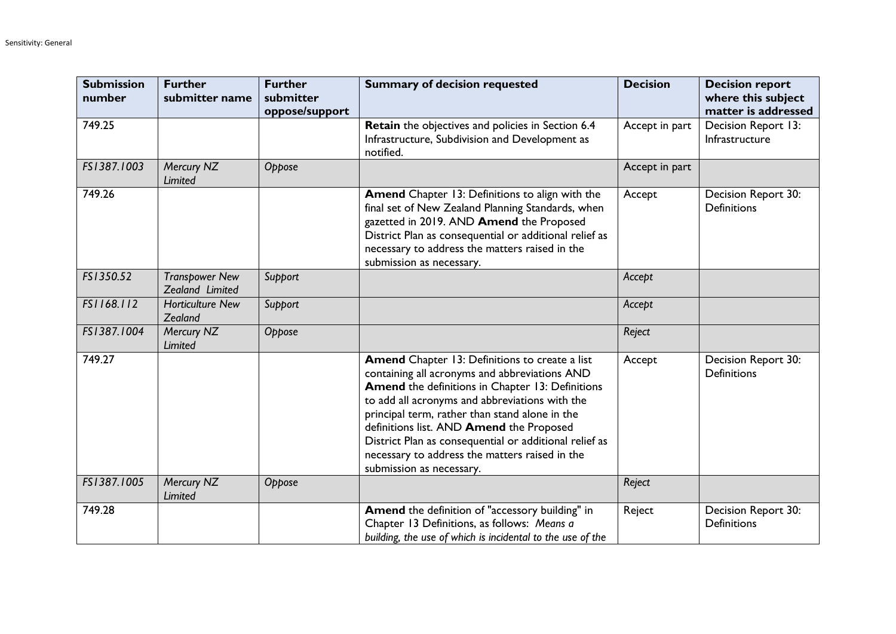| <b>Submission</b><br>number | <b>Further</b><br>submitter name         | <b>Further</b><br>submitter<br>oppose/support | <b>Summary of decision requested</b>                                                                                                                                                                                                                                                                                                                                                                                                        | <b>Decision</b> | <b>Decision report</b><br>where this subject<br>matter is addressed |
|-----------------------------|------------------------------------------|-----------------------------------------------|---------------------------------------------------------------------------------------------------------------------------------------------------------------------------------------------------------------------------------------------------------------------------------------------------------------------------------------------------------------------------------------------------------------------------------------------|-----------------|---------------------------------------------------------------------|
| 749.25                      |                                          |                                               | Retain the objectives and policies in Section 6.4<br>Infrastructure, Subdivision and Development as<br>notified.                                                                                                                                                                                                                                                                                                                            | Accept in part  | Decision Report 13:<br>Infrastructure                               |
| FS1387.1003                 | Mercury NZ<br><b>Limited</b>             | Oppose                                        |                                                                                                                                                                                                                                                                                                                                                                                                                                             | Accept in part  |                                                                     |
| 749.26                      |                                          |                                               | Amend Chapter 13: Definitions to align with the<br>final set of New Zealand Planning Standards, when<br>gazetted in 2019. AND Amend the Proposed<br>District Plan as consequential or additional relief as<br>necessary to address the matters raised in the<br>submission as necessary.                                                                                                                                                    | Accept          | Decision Report 30:<br><b>Definitions</b>                           |
| FS1350.52                   | <b>Transpower New</b><br>Zealand Limited | Support                                       |                                                                                                                                                                                                                                                                                                                                                                                                                                             | Accept          |                                                                     |
| FS1168.112                  | <b>Horticulture New</b><br>Zealand       | Support                                       |                                                                                                                                                                                                                                                                                                                                                                                                                                             | Accept          |                                                                     |
| FS1387.1004                 | Mercury NZ<br><b>Limited</b>             | Oppose                                        |                                                                                                                                                                                                                                                                                                                                                                                                                                             | Reject          |                                                                     |
| 749.27                      |                                          |                                               | Amend Chapter 13: Definitions to create a list<br>containing all acronyms and abbreviations AND<br>Amend the definitions in Chapter 13: Definitions<br>to add all acronyms and abbreviations with the<br>principal term, rather than stand alone in the<br>definitions list. AND Amend the Proposed<br>District Plan as consequential or additional relief as<br>necessary to address the matters raised in the<br>submission as necessary. | Accept          | Decision Report 30:<br><b>Definitions</b>                           |
| FS1387.1005                 | Mercury NZ<br>Limited                    | Oppose                                        |                                                                                                                                                                                                                                                                                                                                                                                                                                             | Reject          |                                                                     |
| 749.28                      |                                          |                                               | Amend the definition of "accessory building" in<br>Chapter 13 Definitions, as follows: Means a<br>building, the use of which is incidental to the use of the                                                                                                                                                                                                                                                                                | Reject          | Decision Report 30:<br><b>Definitions</b>                           |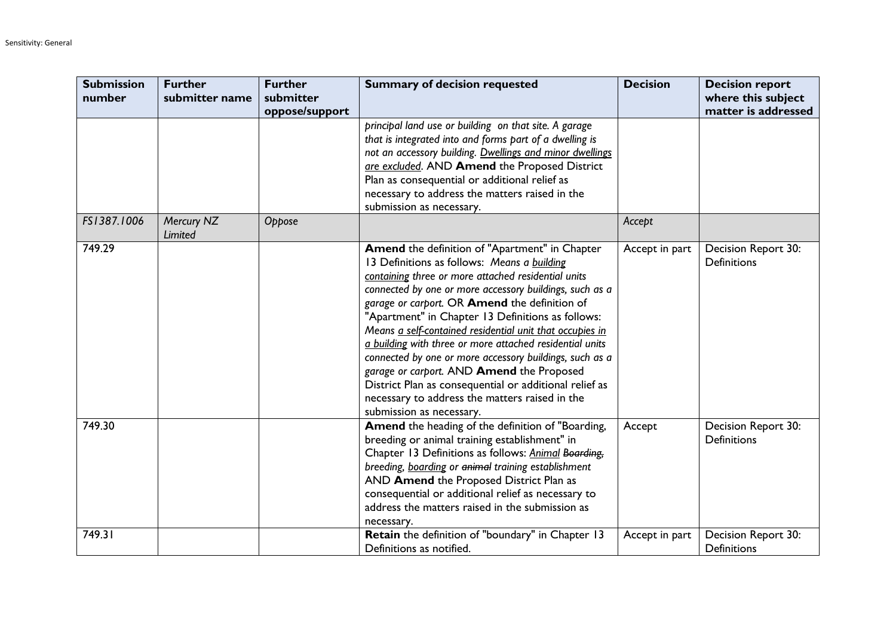| <b>Submission</b><br>number | <b>Further</b><br>submitter name | <b>Further</b><br>submitter | <b>Summary of decision requested</b>                                                                                                                                                                                                                                                                                                                                                                                                                                                                                                                                                                                                                                                          | <b>Decision</b> | <b>Decision report</b><br>where this subject |
|-----------------------------|----------------------------------|-----------------------------|-----------------------------------------------------------------------------------------------------------------------------------------------------------------------------------------------------------------------------------------------------------------------------------------------------------------------------------------------------------------------------------------------------------------------------------------------------------------------------------------------------------------------------------------------------------------------------------------------------------------------------------------------------------------------------------------------|-----------------|----------------------------------------------|
|                             |                                  | oppose/support              |                                                                                                                                                                                                                                                                                                                                                                                                                                                                                                                                                                                                                                                                                               |                 | matter is addressed                          |
|                             |                                  |                             | principal land use or building on that site. A garage<br>that is integrated into and forms part of a dwelling is<br>not an accessory building. Dwellings and minor dwellings<br>are excluded. AND Amend the Proposed District<br>Plan as consequential or additional relief as<br>necessary to address the matters raised in the<br>submission as necessary.                                                                                                                                                                                                                                                                                                                                  |                 |                                              |
| FS1387.1006                 | Mercury NZ<br>Limited            | Oppose                      |                                                                                                                                                                                                                                                                                                                                                                                                                                                                                                                                                                                                                                                                                               | Accept          |                                              |
| 749.29                      |                                  |                             | Amend the definition of "Apartment" in Chapter<br>13 Definitions as follows: Means a building<br>containing three or more attached residential units<br>connected by one or more accessory buildings, such as a<br>garage or carport. OR Amend the definition of<br>"Apartment" in Chapter 13 Definitions as follows:<br>Means a self-contained residential unit that occupies in<br>a building with three or more attached residential units<br>connected by one or more accessory buildings, such as a<br>garage or carport. AND Amend the Proposed<br>District Plan as consequential or additional relief as<br>necessary to address the matters raised in the<br>submission as necessary. | Accept in part  | Decision Report 30:<br><b>Definitions</b>    |
| 749.30                      |                                  |                             | Amend the heading of the definition of "Boarding,<br>breeding or animal training establishment" in<br>Chapter 13 Definitions as follows: Animal Boarding,<br>breeding, boarding or animal training establishment<br>AND Amend the Proposed District Plan as<br>consequential or additional relief as necessary to<br>address the matters raised in the submission as<br>necessary.                                                                                                                                                                                                                                                                                                            | Accept          | Decision Report 30:<br>Definitions           |
| 749.31                      |                                  |                             | Retain the definition of "boundary" in Chapter 13<br>Definitions as notified.                                                                                                                                                                                                                                                                                                                                                                                                                                                                                                                                                                                                                 | Accept in part  | Decision Report 30:<br><b>Definitions</b>    |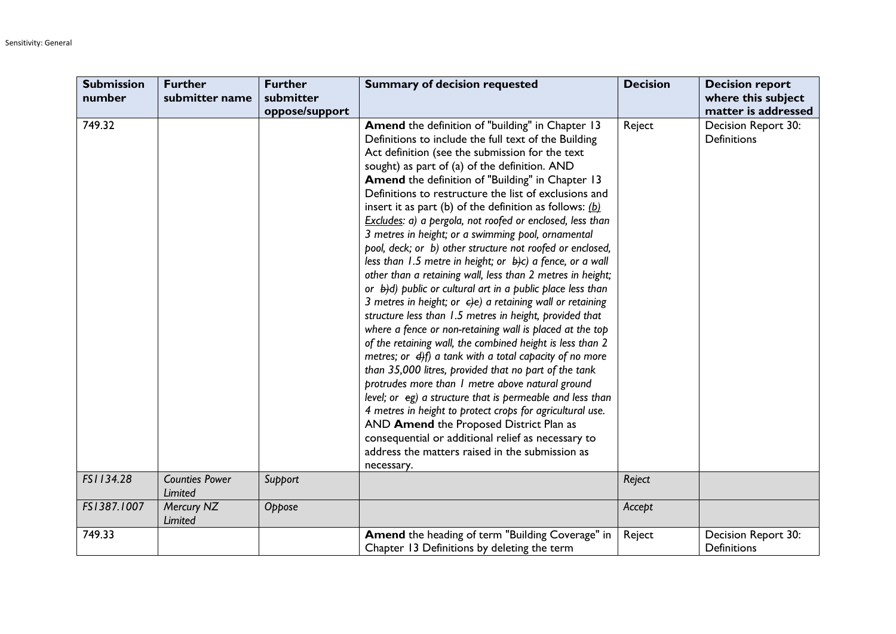| <b>Submission</b> | <b>Further</b>        | <b>Further</b> | <b>Summary of decision requested</b>                                    | <b>Decision</b> | <b>Decision report</b> |
|-------------------|-----------------------|----------------|-------------------------------------------------------------------------|-----------------|------------------------|
| number            | submitter name        | submitter      |                                                                         |                 | where this subject     |
|                   |                       | oppose/support |                                                                         |                 | matter is addressed    |
| 749.32            |                       |                | Amend the definition of "building" in Chapter 13                        | Reject          | Decision Report 30:    |
|                   |                       |                | Definitions to include the full text of the Building                    |                 | <b>Definitions</b>     |
|                   |                       |                | Act definition (see the submission for the text                         |                 |                        |
|                   |                       |                | sought) as part of (a) of the definition. AND                           |                 |                        |
|                   |                       |                | Amend the definition of "Building" in Chapter 13                        |                 |                        |
|                   |                       |                | Definitions to restructure the list of exclusions and                   |                 |                        |
|                   |                       |                | insert it as part (b) of the definition as follows: $(b)$               |                 |                        |
|                   |                       |                | Excludes: a) a pergola, not roofed or enclosed, less than               |                 |                        |
|                   |                       |                | 3 metres in height; or a swimming pool, ornamental                      |                 |                        |
|                   |                       |                | pool, deck; or b) other structure not roofed or enclosed,               |                 |                        |
|                   |                       |                | less than 1.5 metre in height; or $\frac{1}{2}$ ) a fence, or a wall    |                 |                        |
|                   |                       |                | other than a retaining wall, less than 2 metres in height;              |                 |                        |
|                   |                       |                | or $\frac{1}{2}$ (d) public or cultural art in a public place less than |                 |                        |
|                   |                       |                | 3 metres in height; or $\epsilon$ ) a retaining wall or retaining       |                 |                        |
|                   |                       |                | structure less than 1.5 metres in height, provided that                 |                 |                        |
|                   |                       |                | where a fence or non-retaining wall is placed at the top                |                 |                        |
|                   |                       |                | of the retaining wall, the combined height is less than 2               |                 |                        |
|                   |                       |                | metres; or $\frac{d}{dt}$ a tank with a total capacity of no more       |                 |                        |
|                   |                       |                | than 35,000 litres, provided that no part of the tank                   |                 |                        |
|                   |                       |                | protrudes more than I metre above natural ground                        |                 |                        |
|                   |                       |                | level; or eg) a structure that is permeable and less than               |                 |                        |
|                   |                       |                | 4 metres in height to protect crops for agricultural use.               |                 |                        |
|                   |                       |                | AND Amend the Proposed District Plan as                                 |                 |                        |
|                   |                       |                | consequential or additional relief as necessary to                      |                 |                        |
|                   |                       |                | address the matters raised in the submission as                         |                 |                        |
|                   |                       |                | necessary.                                                              |                 |                        |
| FS1134.28         | <b>Counties Power</b> | Support        |                                                                         | Reject          |                        |
|                   | Limited               |                |                                                                         |                 |                        |
| FS1387.1007       | Mercury NZ            | Oppose         |                                                                         | Accept          |                        |
|                   | Limited               |                |                                                                         |                 |                        |
| 749.33            |                       |                | Amend the heading of term "Building Coverage" in                        | Reject          | Decision Report 30:    |
|                   |                       |                | Chapter 13 Definitions by deleting the term                             |                 | <b>Definitions</b>     |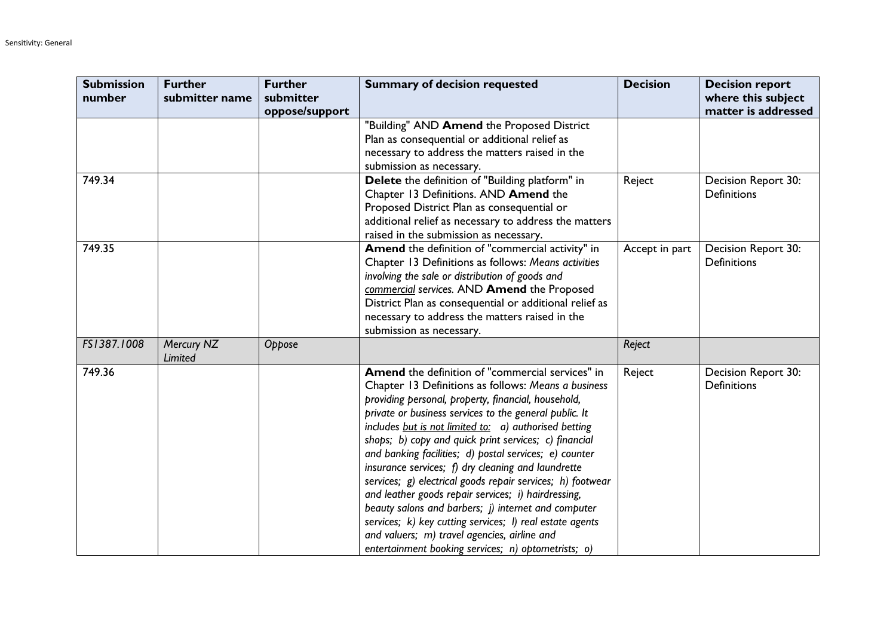| <b>Submission</b> | <b>Further</b>        | <b>Further</b>              | <b>Summary of decision requested</b>                                                                                                                                                                                                                                                                                                                                                                                                                                                                                                                                                                                                                                                                                                                                                                         | <b>Decision</b> | <b>Decision report</b>                    |
|-------------------|-----------------------|-----------------------------|--------------------------------------------------------------------------------------------------------------------------------------------------------------------------------------------------------------------------------------------------------------------------------------------------------------------------------------------------------------------------------------------------------------------------------------------------------------------------------------------------------------------------------------------------------------------------------------------------------------------------------------------------------------------------------------------------------------------------------------------------------------------------------------------------------------|-----------------|-------------------------------------------|
| number            | submitter name        | submitter<br>oppose/support |                                                                                                                                                                                                                                                                                                                                                                                                                                                                                                                                                                                                                                                                                                                                                                                                              |                 | where this subject<br>matter is addressed |
|                   |                       |                             | "Building" AND Amend the Proposed District<br>Plan as consequential or additional relief as<br>necessary to address the matters raised in the<br>submission as necessary.                                                                                                                                                                                                                                                                                                                                                                                                                                                                                                                                                                                                                                    |                 |                                           |
| 749.34            |                       |                             | Delete the definition of "Building platform" in<br>Chapter 13 Definitions. AND Amend the<br>Proposed District Plan as consequential or<br>additional relief as necessary to address the matters<br>raised in the submission as necessary.                                                                                                                                                                                                                                                                                                                                                                                                                                                                                                                                                                    | Reject          | Decision Report 30:<br><b>Definitions</b> |
| 749.35            |                       |                             | Amend the definition of "commercial activity" in<br>Chapter 13 Definitions as follows: Means activities<br>involving the sale or distribution of goods and<br>commercial services. AND Amend the Proposed<br>District Plan as consequential or additional relief as<br>necessary to address the matters raised in the<br>submission as necessary.                                                                                                                                                                                                                                                                                                                                                                                                                                                            | Accept in part  | Decision Report 30:<br><b>Definitions</b> |
| FS1387.1008       | Mercury NZ<br>Limited | Oppose                      |                                                                                                                                                                                                                                                                                                                                                                                                                                                                                                                                                                                                                                                                                                                                                                                                              | Reject          |                                           |
| 749.36            |                       |                             | Amend the definition of "commercial services" in<br>Chapter 13 Definitions as follows: Means a business<br>providing personal, property, financial, household,<br>private or business services to the general public. It<br>includes but is not limited to: a) authorised betting<br>shops; b) copy and quick print services; c) financial<br>and banking facilities; d) postal services; e) counter<br>insurance services; $f$ ) dry cleaning and laundrette<br>services; g) electrical goods repair services; h) footwear<br>and leather goods repair services; i) hairdressing,<br>beauty salons and barbers; j) internet and computer<br>services; k) key cutting services; l) real estate agents<br>and valuers; m) travel agencies, airline and<br>entertainment booking services; n) optometrists; o) | Reject          | Decision Report 30:<br><b>Definitions</b> |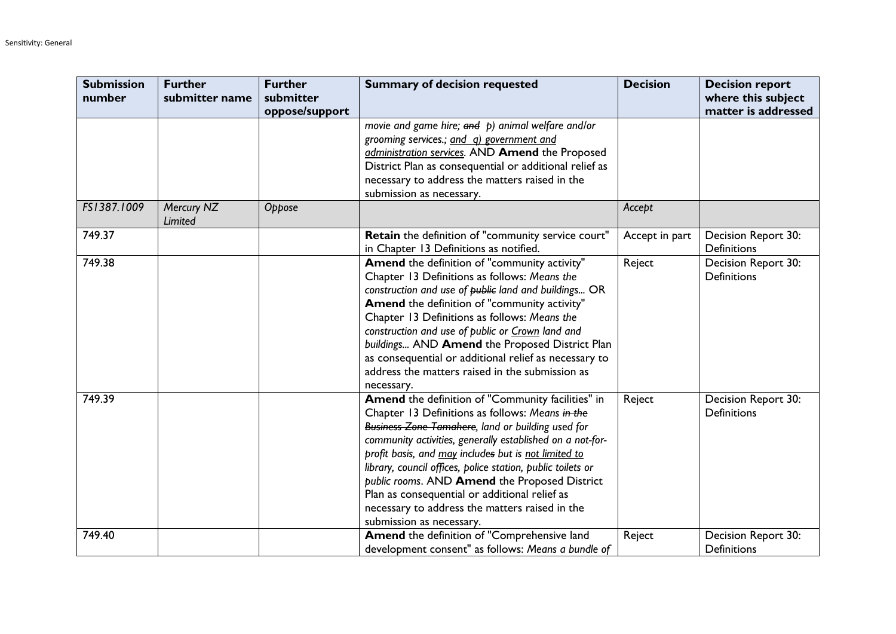| <b>Submission</b><br>number | <b>Further</b><br>submitter name | <b>Further</b><br>submitter | <b>Summary of decision requested</b>                                                                                                                                                                                                                                                                                                                                                                                                                                                                                          | <b>Decision</b> | <b>Decision report</b><br>where this subject |
|-----------------------------|----------------------------------|-----------------------------|-------------------------------------------------------------------------------------------------------------------------------------------------------------------------------------------------------------------------------------------------------------------------------------------------------------------------------------------------------------------------------------------------------------------------------------------------------------------------------------------------------------------------------|-----------------|----------------------------------------------|
|                             |                                  | oppose/support              | movie and game hire; and p) animal welfare and/or<br>grooming services.; and q) government and<br>administration services. AND Amend the Proposed<br>District Plan as consequential or additional relief as<br>necessary to address the matters raised in the<br>submission as necessary.                                                                                                                                                                                                                                     |                 | matter is addressed                          |
| FS1387.1009                 | Mercury NZ<br>Limited            | Oppose                      |                                                                                                                                                                                                                                                                                                                                                                                                                                                                                                                               | Accept          |                                              |
| 749.37                      |                                  |                             | Retain the definition of "community service court"<br>in Chapter 13 Definitions as notified.                                                                                                                                                                                                                                                                                                                                                                                                                                  | Accept in part  | Decision Report 30:<br>Definitions           |
| 749.38                      |                                  |                             | Amend the definition of "community activity"<br>Chapter 13 Definitions as follows: Means the<br>construction and use of public land and buildings OR<br>Amend the definition of "community activity"<br>Chapter 13 Definitions as follows: Means the<br>construction and use of public or Crown land and<br>buildings AND Amend the Proposed District Plan<br>as consequential or additional relief as necessary to<br>address the matters raised in the submission as<br>necessary.                                          | Reject          | Decision Report 30:<br><b>Definitions</b>    |
| 749.39                      |                                  |                             | Amend the definition of "Community facilities" in<br>Chapter 13 Definitions as follows: Means in the<br>Business Zone Tamahere, land or building used for<br>community activities, generally established on a not-for-<br>profit basis, and may includes but is not limited to<br>library, council offices, police station, public toilets or<br>public rooms. AND Amend the Proposed District<br>Plan as consequential or additional relief as<br>necessary to address the matters raised in the<br>submission as necessary. | Reject          | Decision Report 30:<br><b>Definitions</b>    |
| 749.40                      |                                  |                             | Amend the definition of "Comprehensive land<br>development consent" as follows: Means a bundle of                                                                                                                                                                                                                                                                                                                                                                                                                             | Reject          | Decision Report 30:<br><b>Definitions</b>    |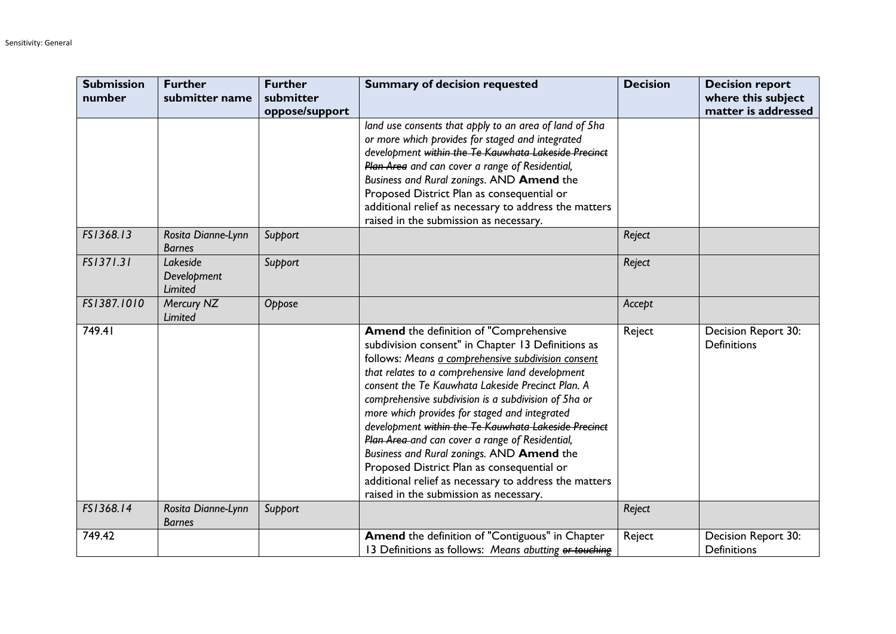| <b>Submission</b><br>number | <b>Further</b><br>submitter name    | <b>Further</b><br>submitter | <b>Summary of decision requested</b>                                                                                                                                                                                                                                                                                                                                                                                                                                                                                                                                                                                                                                         | <b>Decision</b> | <b>Decision report</b><br>where this subject |
|-----------------------------|-------------------------------------|-----------------------------|------------------------------------------------------------------------------------------------------------------------------------------------------------------------------------------------------------------------------------------------------------------------------------------------------------------------------------------------------------------------------------------------------------------------------------------------------------------------------------------------------------------------------------------------------------------------------------------------------------------------------------------------------------------------------|-----------------|----------------------------------------------|
|                             |                                     | oppose/support              |                                                                                                                                                                                                                                                                                                                                                                                                                                                                                                                                                                                                                                                                              |                 | matter is addressed                          |
|                             |                                     |                             | land use consents that apply to an area of land of 5ha<br>or more which provides for staged and integrated<br>development within the Te Kauwhata Lakeside Precinct<br>Plan Area and can cover a range of Residential,<br>Business and Rural zonings. AND Amend the<br>Proposed District Plan as consequential or<br>additional relief as necessary to address the matters<br>raised in the submission as necessary.                                                                                                                                                                                                                                                          |                 |                                              |
| FS1368.13                   | Rosita Dianne-Lynn<br><b>Barnes</b> | Support                     |                                                                                                                                                                                                                                                                                                                                                                                                                                                                                                                                                                                                                                                                              | Reject          |                                              |
| FS1371.31                   | Lakeside<br>Development<br>Limited  | Support                     |                                                                                                                                                                                                                                                                                                                                                                                                                                                                                                                                                                                                                                                                              | Reject          |                                              |
| FS1387.1010                 | Mercury NZ<br>Limited               | Oppose                      |                                                                                                                                                                                                                                                                                                                                                                                                                                                                                                                                                                                                                                                                              | Accept          |                                              |
| 749.41                      |                                     |                             | Amend the definition of "Comprehensive<br>subdivision consent" in Chapter 13 Definitions as<br>follows: Means a comprehensive subdivision consent<br>that relates to a comprehensive land development<br>consent the Te Kauwhata Lakeside Precinct Plan. A<br>comprehensive subdivision is a subdivision of 5ha or<br>more which provides for staged and integrated<br>development within the Te Kauwhata Lakeside Precinct<br>Plan Area-and can cover a range of Residential,<br>Business and Rural zonings. AND Amend the<br>Proposed District Plan as consequential or<br>additional relief as necessary to address the matters<br>raised in the submission as necessary. | Reject          | Decision Report 30:<br><b>Definitions</b>    |
| FS1368.14                   | Rosita Dianne-Lynn<br><b>Barnes</b> | Support                     |                                                                                                                                                                                                                                                                                                                                                                                                                                                                                                                                                                                                                                                                              | Reject          |                                              |
| 749.42                      |                                     |                             | Amend the definition of "Contiguous" in Chapter<br>13 Definitions as follows: Means abutting or touching                                                                                                                                                                                                                                                                                                                                                                                                                                                                                                                                                                     | Reject          | Decision Report 30:<br><b>Definitions</b>    |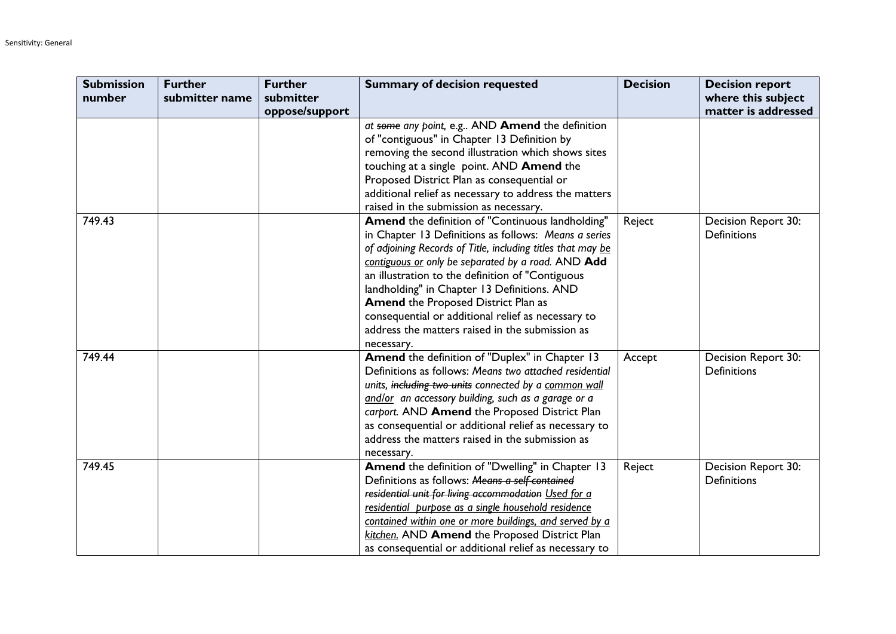| <b>Submission</b> | <b>Further</b> | <b>Further</b> | <b>Summary of decision requested</b>                                                                   | <b>Decision</b> | <b>Decision report</b> |
|-------------------|----------------|----------------|--------------------------------------------------------------------------------------------------------|-----------------|------------------------|
| number            | submitter name | submitter      |                                                                                                        |                 | where this subject     |
|                   |                | oppose/support |                                                                                                        |                 | matter is addressed    |
|                   |                |                | at some any point, e.g AND Amend the definition                                                        |                 |                        |
|                   |                |                | of "contiguous" in Chapter 13 Definition by                                                            |                 |                        |
|                   |                |                | removing the second illustration which shows sites                                                     |                 |                        |
|                   |                |                | touching at a single point. AND Amend the                                                              |                 |                        |
|                   |                |                | Proposed District Plan as consequential or                                                             |                 |                        |
|                   |                |                | additional relief as necessary to address the matters                                                  |                 |                        |
|                   |                |                | raised in the submission as necessary.                                                                 |                 |                        |
| 749.43            |                |                | Amend the definition of "Continuous landholding"                                                       | Reject          | Decision Report 30:    |
|                   |                |                | in Chapter 13 Definitions as follows: Means a series                                                   |                 | <b>Definitions</b>     |
|                   |                |                | of adjoining Records of Title, including titles that may be                                            |                 |                        |
|                   |                |                | contiguous or only be separated by a road. AND Add                                                     |                 |                        |
|                   |                |                | an illustration to the definition of "Contiguous                                                       |                 |                        |
|                   |                |                | landholding" in Chapter 13 Definitions. AND                                                            |                 |                        |
|                   |                |                | Amend the Proposed District Plan as                                                                    |                 |                        |
|                   |                |                | consequential or additional relief as necessary to                                                     |                 |                        |
|                   |                |                | address the matters raised in the submission as                                                        |                 |                        |
|                   |                |                | necessary.                                                                                             |                 |                        |
| 749.44            |                |                | Amend the definition of "Duplex" in Chapter 13                                                         | Accept          | Decision Report 30:    |
|                   |                |                | Definitions as follows: Means two attached residential                                                 |                 | <b>Definitions</b>     |
|                   |                |                | units, including two units connected by a common wall                                                  |                 |                        |
|                   |                |                | and/or an accessory building, such as a garage or a                                                    |                 |                        |
|                   |                |                | carport. AND Amend the Proposed District Plan<br>as consequential or additional relief as necessary to |                 |                        |
|                   |                |                | address the matters raised in the submission as                                                        |                 |                        |
|                   |                |                |                                                                                                        |                 |                        |
| 749.45            |                |                | necessary.<br>Amend the definition of "Dwelling" in Chapter 13                                         | Reject          | Decision Report 30:    |
|                   |                |                | Definitions as follows: Means a self-contained                                                         |                 | <b>Definitions</b>     |
|                   |                |                | residential unit for living accommodation Used for a                                                   |                 |                        |
|                   |                |                | residential purpose as a single household residence                                                    |                 |                        |
|                   |                |                | contained within one or more buildings, and served by a                                                |                 |                        |
|                   |                |                | kitchen. AND Amend the Proposed District Plan                                                          |                 |                        |
|                   |                |                | as consequential or additional relief as necessary to                                                  |                 |                        |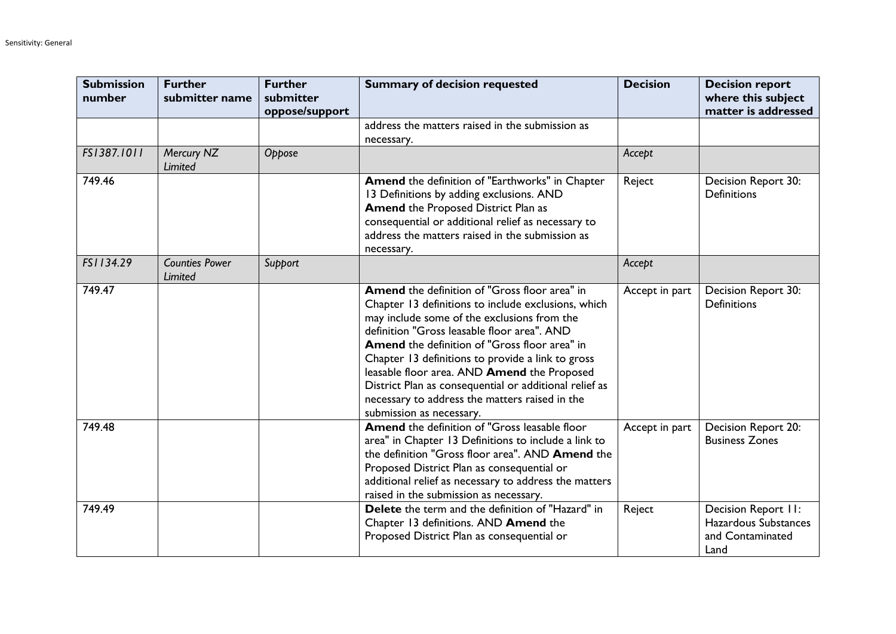| <b>Submission</b><br>number | <b>Further</b><br>submitter name | <b>Further</b><br>submitter<br>oppose/support | <b>Summary of decision requested</b>                                                                                                                                                                                                                                                                                                                                                                                                                                                            | <b>Decision</b> | <b>Decision report</b><br>where this subject<br>matter is addressed     |
|-----------------------------|----------------------------------|-----------------------------------------------|-------------------------------------------------------------------------------------------------------------------------------------------------------------------------------------------------------------------------------------------------------------------------------------------------------------------------------------------------------------------------------------------------------------------------------------------------------------------------------------------------|-----------------|-------------------------------------------------------------------------|
|                             |                                  |                                               | address the matters raised in the submission as<br>necessary.                                                                                                                                                                                                                                                                                                                                                                                                                                   |                 |                                                                         |
| FS1387.1011                 | Mercury NZ<br>Limited            | Oppose                                        |                                                                                                                                                                                                                                                                                                                                                                                                                                                                                                 | Accept          |                                                                         |
| 749.46                      |                                  |                                               | Amend the definition of "Earthworks" in Chapter<br>13 Definitions by adding exclusions. AND<br><b>Amend the Proposed District Plan as</b><br>consequential or additional relief as necessary to<br>address the matters raised in the submission as<br>necessary.                                                                                                                                                                                                                                | Reject          | Decision Report 30:<br><b>Definitions</b>                               |
| FS1134.29                   | <b>Counties Power</b><br>Limited | Support                                       |                                                                                                                                                                                                                                                                                                                                                                                                                                                                                                 | Accept          |                                                                         |
| 749.47                      |                                  |                                               | Amend the definition of "Gross floor area" in<br>Chapter 13 definitions to include exclusions, which<br>may include some of the exclusions from the<br>definition "Gross leasable floor area". AND<br>Amend the definition of "Gross floor area" in<br>Chapter 13 definitions to provide a link to gross<br>leasable floor area. AND Amend the Proposed<br>District Plan as consequential or additional relief as<br>necessary to address the matters raised in the<br>submission as necessary. | Accept in part  | Decision Report 30:<br><b>Definitions</b>                               |
| 749.48                      |                                  |                                               | Amend the definition of "Gross leasable floor<br>area" in Chapter 13 Definitions to include a link to<br>the definition "Gross floor area". AND Amend the<br>Proposed District Plan as consequential or<br>additional relief as necessary to address the matters<br>raised in the submission as necessary.                                                                                                                                                                                      | Accept in part  | Decision Report 20:<br><b>Business Zones</b>                            |
| 749.49                      |                                  |                                               | Delete the term and the definition of "Hazard" in<br>Chapter 13 definitions. AND Amend the<br>Proposed District Plan as consequential or                                                                                                                                                                                                                                                                                                                                                        | Reject          | Decision Report II:<br>Hazardous Substances<br>and Contaminated<br>Land |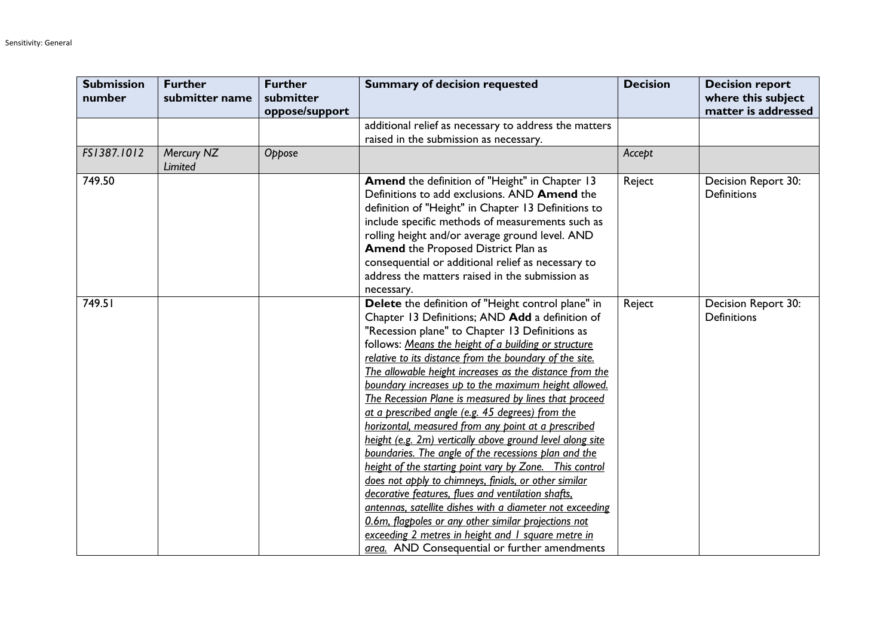| <b>Submission</b><br>number | <b>Further</b><br>submitter name | <b>Further</b><br>submitter<br>oppose/support | <b>Summary of decision requested</b>                                                                                                                                                                                                                                                                                                                                                                                                                                                                                                                                                                                                                                                                                                                                                                                                                                                                                                                                                                                                                                                        | <b>Decision</b> | <b>Decision report</b><br>where this subject<br>matter is addressed |
|-----------------------------|----------------------------------|-----------------------------------------------|---------------------------------------------------------------------------------------------------------------------------------------------------------------------------------------------------------------------------------------------------------------------------------------------------------------------------------------------------------------------------------------------------------------------------------------------------------------------------------------------------------------------------------------------------------------------------------------------------------------------------------------------------------------------------------------------------------------------------------------------------------------------------------------------------------------------------------------------------------------------------------------------------------------------------------------------------------------------------------------------------------------------------------------------------------------------------------------------|-----------------|---------------------------------------------------------------------|
|                             |                                  |                                               | additional relief as necessary to address the matters<br>raised in the submission as necessary.                                                                                                                                                                                                                                                                                                                                                                                                                                                                                                                                                                                                                                                                                                                                                                                                                                                                                                                                                                                             |                 |                                                                     |
| FS1387.1012                 | Mercury NZ<br>Limited            | Oppose                                        |                                                                                                                                                                                                                                                                                                                                                                                                                                                                                                                                                                                                                                                                                                                                                                                                                                                                                                                                                                                                                                                                                             | Accept          |                                                                     |
| 749.50                      |                                  |                                               | Amend the definition of "Height" in Chapter 13<br>Definitions to add exclusions. AND Amend the<br>definition of "Height" in Chapter 13 Definitions to<br>include specific methods of measurements such as<br>rolling height and/or average ground level. AND<br><b>Amend the Proposed District Plan as</b><br>consequential or additional relief as necessary to<br>address the matters raised in the submission as<br>necessary.                                                                                                                                                                                                                                                                                                                                                                                                                                                                                                                                                                                                                                                           | Reject          | Decision Report 30:<br><b>Definitions</b>                           |
| 749.51                      |                                  |                                               | Delete the definition of "Height control plane" in<br>Chapter 13 Definitions; AND Add a definition of<br>"Recession plane" to Chapter 13 Definitions as<br>follows: Means the height of a building or structure<br>relative to its distance from the boundary of the site.<br>The allowable height increases as the distance from the<br>boundary increases up to the maximum height allowed.<br>The Recession Plane is measured by lines that proceed<br>at a prescribed angle (e.g. 45 degrees) from the<br>horizontal, measured from any point at a prescribed<br>height (e.g. 2m) vertically above ground level along site<br>boundaries. The angle of the recessions plan and the<br>height of the starting point vary by Zone. This control<br>does not apply to chimneys, finials, or other similar<br>decorative features, flues and ventilation shafts,<br>antennas, satellite dishes with a diameter not exceeding<br>0.6m, flagpoles or any other similar projections not<br>exceeding 2 metres in height and I square metre in<br>area. AND Consequential or further amendments | Reject          | Decision Report 30:<br><b>Definitions</b>                           |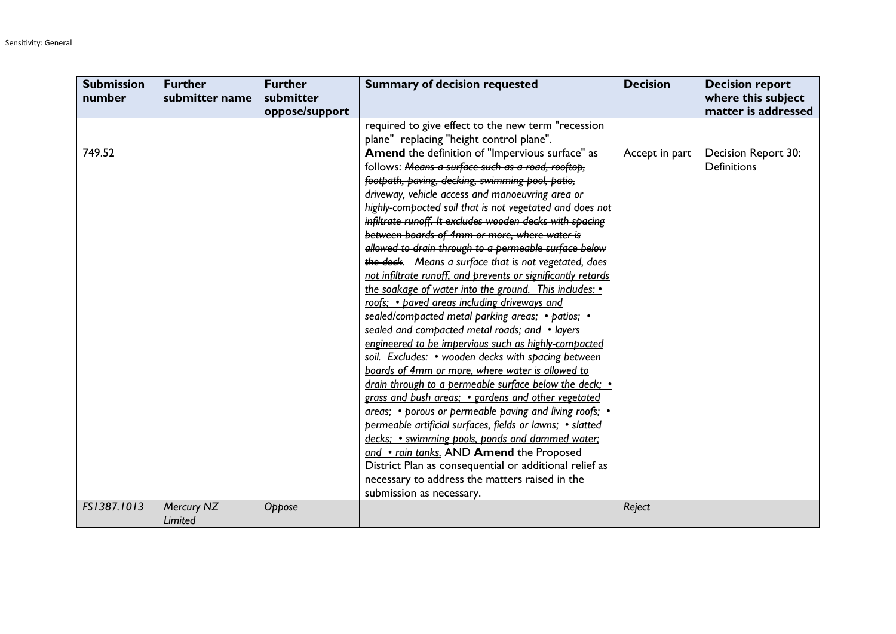| <b>Submission</b> | <b>Further</b> | <b>Further</b> | <b>Summary of decision requested</b>                         | <b>Decision</b> | <b>Decision report</b> |
|-------------------|----------------|----------------|--------------------------------------------------------------|-----------------|------------------------|
| number            | submitter name | submitter      |                                                              |                 | where this subject     |
|                   |                | oppose/support |                                                              |                 | matter is addressed    |
|                   |                |                | required to give effect to the new term "recession           |                 |                        |
|                   |                |                | plane" replacing "height control plane".                     |                 |                        |
| 749.52            |                |                | Amend the definition of "Impervious surface" as              | Accept in part  | Decision Report 30:    |
|                   |                |                | follows: Means a surface such as a road, rooftop,            |                 | <b>Definitions</b>     |
|                   |                |                | footpath, paving, decking, swimming pool, patio,             |                 |                        |
|                   |                |                | driveway, vehicle access and manoeuvring area or             |                 |                        |
|                   |                |                | highly compacted soil that is not vegetated and does not     |                 |                        |
|                   |                |                | infiltrate runoff. It excludes wooden decks with spacing     |                 |                        |
|                   |                |                | between boards of 4mm or more, where water is                |                 |                        |
|                   |                |                | allowed to drain through to a permeable surface below        |                 |                        |
|                   |                |                | the deck. Means a surface that is not vegetated, does        |                 |                        |
|                   |                |                | not infiltrate runoff, and prevents or significantly retards |                 |                        |
|                   |                |                | the soakage of water into the ground. This includes: •       |                 |                        |
|                   |                |                | roofs; • paved areas including driveways and                 |                 |                        |
|                   |                |                | sealed/compacted metal parking areas; • patios; •            |                 |                        |
|                   |                |                | sealed and compacted metal roads; and • layers               |                 |                        |
|                   |                |                | engineered to be impervious such as highly-compacted         |                 |                        |
|                   |                |                | soil. Excludes: • wooden decks with spacing between          |                 |                        |
|                   |                |                | boards of 4mm or more, where water is allowed to             |                 |                        |
|                   |                |                | drain through to a permeable surface below the deck; •       |                 |                        |
|                   |                |                | grass and bush areas; • gardens and other vegetated          |                 |                        |
|                   |                |                | areas; • porous or permeable paving and living roofs; •      |                 |                        |
|                   |                |                | permeable artificial surfaces, fields or lawns; • slatted    |                 |                        |
|                   |                |                | decks; • swimming pools, ponds and dammed water;             |                 |                        |
|                   |                |                | and • rain tanks. AND Amend the Proposed                     |                 |                        |
|                   |                |                | District Plan as consequential or additional relief as       |                 |                        |
|                   |                |                | necessary to address the matters raised in the               |                 |                        |
|                   |                |                | submission as necessary.                                     |                 |                        |
| FS1387.1013       | Mercury NZ     | Oppose         |                                                              | Reject          |                        |
|                   | <b>Limited</b> |                |                                                              |                 |                        |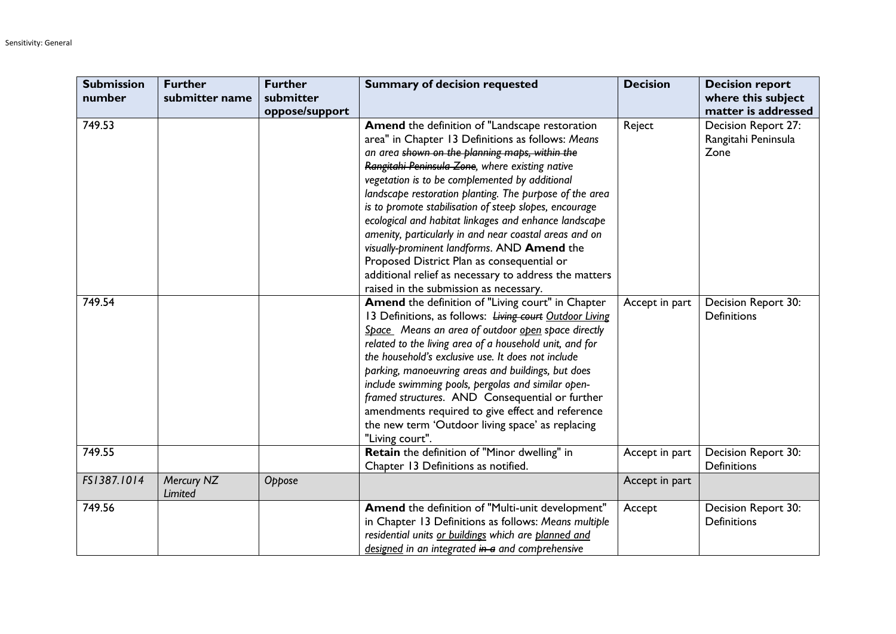| <b>Submission</b> | <b>Further</b>        | <b>Further</b> | <b>Summary of decision requested</b>                    | <b>Decision</b> | <b>Decision report</b> |
|-------------------|-----------------------|----------------|---------------------------------------------------------|-----------------|------------------------|
| number            | submitter name        | submitter      |                                                         |                 | where this subject     |
|                   |                       | oppose/support |                                                         |                 | matter is addressed    |
| 749.53            |                       |                | Amend the definition of "Landscape restoration          | Reject          | Decision Report 27:    |
|                   |                       |                | area" in Chapter 13 Definitions as follows: Means       |                 | Rangitahi Peninsula    |
|                   |                       |                | an area shown on the planning maps, within the          |                 | Zone                   |
|                   |                       |                | Rangitahi Peninsula Zone, where existing native         |                 |                        |
|                   |                       |                | vegetation is to be complemented by additional          |                 |                        |
|                   |                       |                | landscape restoration planting. The purpose of the area |                 |                        |
|                   |                       |                | is to promote stabilisation of steep slopes, encourage  |                 |                        |
|                   |                       |                | ecological and habitat linkages and enhance landscape   |                 |                        |
|                   |                       |                | amenity, particularly in and near coastal areas and on  |                 |                        |
|                   |                       |                | visually-prominent landforms. AND Amend the             |                 |                        |
|                   |                       |                | Proposed District Plan as consequential or              |                 |                        |
|                   |                       |                | additional relief as necessary to address the matters   |                 |                        |
|                   |                       |                | raised in the submission as necessary.                  |                 |                        |
| 749.54            |                       |                | Amend the definition of "Living court" in Chapter       | Accept in part  | Decision Report 30:    |
|                   |                       |                | 13 Definitions, as follows: Living court Outdoor Living |                 | <b>Definitions</b>     |
|                   |                       |                | Space Means an area of outdoor open space directly      |                 |                        |
|                   |                       |                | related to the living area of a household unit, and for |                 |                        |
|                   |                       |                | the household's exclusive use. It does not include      |                 |                        |
|                   |                       |                | parking, manoeuvring areas and buildings, but does      |                 |                        |
|                   |                       |                | include swimming pools, pergolas and similar open-      |                 |                        |
|                   |                       |                | framed structures. AND Consequential or further         |                 |                        |
|                   |                       |                | amendments required to give effect and reference        |                 |                        |
|                   |                       |                | the new term 'Outdoor living space' as replacing        |                 |                        |
|                   |                       |                | "Living court".                                         |                 |                        |
| 749.55            |                       |                | Retain the definition of "Minor dwelling" in            | Accept in part  | Decision Report 30:    |
|                   |                       |                | Chapter 13 Definitions as notified.                     |                 | <b>Definitions</b>     |
| FS1387.1014       | Mercury NZ<br>Limited | Oppose         |                                                         | Accept in part  |                        |
| 749.56            |                       |                | Amend the definition of "Multi-unit development"        | Accept          | Decision Report 30:    |
|                   |                       |                | in Chapter 13 Definitions as follows: Means multiple    |                 | <b>Definitions</b>     |
|                   |                       |                | residential units or buildings which are planned and    |                 |                        |
|                   |                       |                | designed in an integrated in a and comprehensive        |                 |                        |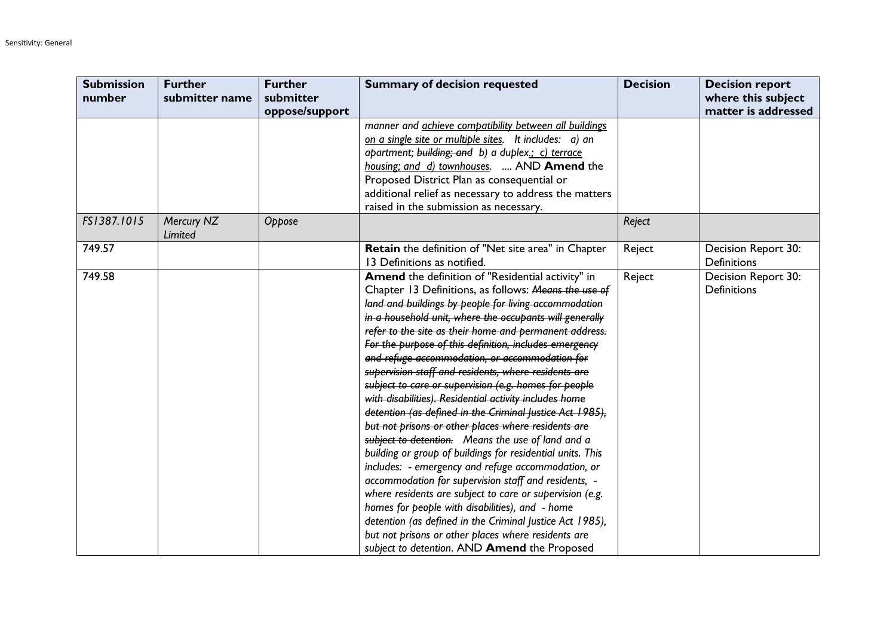| <b>Submission</b> | <b>Further</b>        | <b>Further</b> | <b>Summary of decision requested</b>                                                      | <b>Decision</b> | <b>Decision report</b>                    |
|-------------------|-----------------------|----------------|-------------------------------------------------------------------------------------------|-----------------|-------------------------------------------|
| number            | submitter name        | submitter      |                                                                                           |                 | where this subject                        |
|                   |                       | oppose/support |                                                                                           |                 | matter is addressed                       |
|                   |                       |                | manner and <i>achieve compatibility between all buildings</i>                             |                 |                                           |
|                   |                       |                | on a single site or multiple sites. It includes: a) an                                    |                 |                                           |
|                   |                       |                | apartment; building; and b) a duplex.; c) terrace                                         |                 |                                           |
|                   |                       |                | housing; and d) townhouses.  AND Amend the                                                |                 |                                           |
|                   |                       |                | Proposed District Plan as consequential or                                                |                 |                                           |
|                   |                       |                | additional relief as necessary to address the matters                                     |                 |                                           |
|                   |                       |                | raised in the submission as necessary.                                                    |                 |                                           |
| FS1387.1015       | Mercury NZ<br>Limited | Oppose         |                                                                                           | Reject          |                                           |
| 749.57            |                       |                | <b>Retain</b> the definition of "Net site area" in Chapter<br>13 Definitions as notified. | Reject          | Decision Report 30:<br><b>Definitions</b> |
| 749.58            |                       |                | Amend the definition of "Residential activity" in                                         | Reject          | Decision Report 30:                       |
|                   |                       |                | Chapter 13 Definitions, as follows: Means the use of                                      |                 | <b>Definitions</b>                        |
|                   |                       |                | land and buildings by people for living accommodation                                     |                 |                                           |
|                   |                       |                | in a household unit, where the occupants will generally                                   |                 |                                           |
|                   |                       |                | refer to the site as their home and permanent address.                                    |                 |                                           |
|                   |                       |                | For the purpose of this definition, includes emergency                                    |                 |                                           |
|                   |                       |                | and refuge accommodation, or accommodation for                                            |                 |                                           |
|                   |                       |                | supervision staff and residents, where residents are                                      |                 |                                           |
|                   |                       |                | subject to care or supervision (e.g. homes for people                                     |                 |                                           |
|                   |                       |                | with disabilities). Residential activity includes home                                    |                 |                                           |
|                   |                       |                | detention (as defined in the Criminal Justice Act 1985),                                  |                 |                                           |
|                   |                       |                | but not prisons or other places where residents are                                       |                 |                                           |
|                   |                       |                | subject to detention. Means the use of land and a                                         |                 |                                           |
|                   |                       |                | building or group of buildings for residential units. This                                |                 |                                           |
|                   |                       |                | includes: - emergency and refuge accommodation, or                                        |                 |                                           |
|                   |                       |                | accommodation for supervision staff and residents, -                                      |                 |                                           |
|                   |                       |                | where residents are subject to care or supervision (e.g.                                  |                 |                                           |
|                   |                       |                | homes for people with disabilities), and - home                                           |                 |                                           |
|                   |                       |                | detention (as defined in the Criminal Justice Act 1985),                                  |                 |                                           |
|                   |                       |                | but not prisons or other places where residents are                                       |                 |                                           |
|                   |                       |                | subject to detention. AND Amend the Proposed                                              |                 |                                           |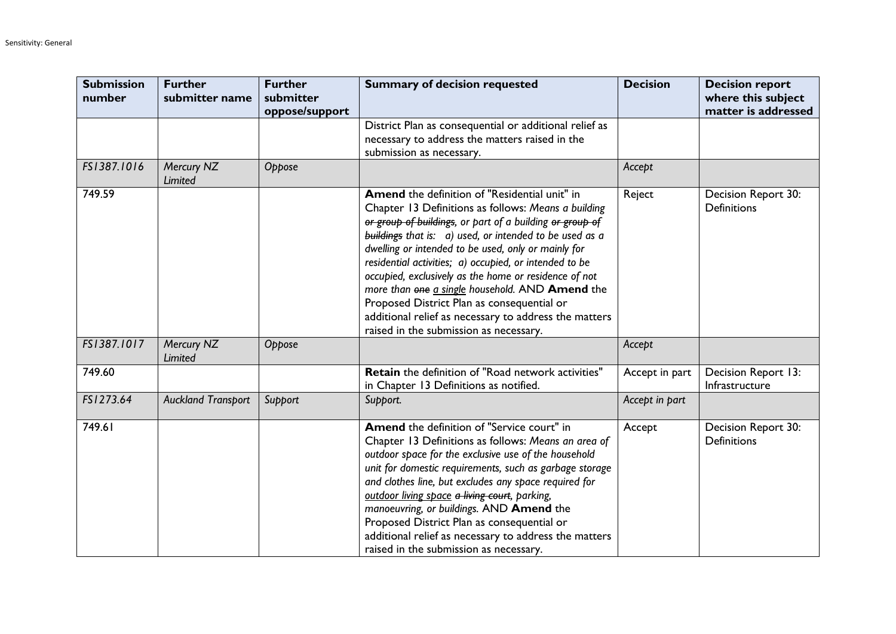| <b>Submission</b><br>number | <b>Further</b><br>submitter name | <b>Further</b><br>submitter<br>oppose/support | <b>Summary of decision requested</b>                                                                                                                                                                                                                                                                                                                                                                                                                                                                                                                                                                      | <b>Decision</b> | <b>Decision report</b><br>where this subject<br>matter is addressed |
|-----------------------------|----------------------------------|-----------------------------------------------|-----------------------------------------------------------------------------------------------------------------------------------------------------------------------------------------------------------------------------------------------------------------------------------------------------------------------------------------------------------------------------------------------------------------------------------------------------------------------------------------------------------------------------------------------------------------------------------------------------------|-----------------|---------------------------------------------------------------------|
|                             |                                  |                                               | District Plan as consequential or additional relief as<br>necessary to address the matters raised in the<br>submission as necessary.                                                                                                                                                                                                                                                                                                                                                                                                                                                                      |                 |                                                                     |
| FS1387.1016                 | Mercury NZ<br>Limited            | Oppose                                        |                                                                                                                                                                                                                                                                                                                                                                                                                                                                                                                                                                                                           | Accept          |                                                                     |
| 749.59                      |                                  |                                               | Amend the definition of "Residential unit" in<br>Chapter 13 Definitions as follows: Means a building<br>or group of buildings, or part of a building or group of<br>buildings that is: a) used, or intended to be used as a<br>dwelling or intended to be used, only or mainly for<br>residential activities; a) occupied, or intended to be<br>occupied, exclusively as the home or residence of not<br>more than one a single household. AND Amend the<br>Proposed District Plan as consequential or<br>additional relief as necessary to address the matters<br>raised in the submission as necessary. | Reject          | Decision Report 30:<br><b>Definitions</b>                           |
| FS1387.1017                 | Mercury NZ<br>Limited            | Oppose                                        |                                                                                                                                                                                                                                                                                                                                                                                                                                                                                                                                                                                                           | Accept          |                                                                     |
| 749.60                      |                                  |                                               | <b>Retain</b> the definition of "Road network activities"<br>in Chapter 13 Definitions as notified.                                                                                                                                                                                                                                                                                                                                                                                                                                                                                                       | Accept in part  | Decision Report 13:<br>Infrastructure                               |
| FS1273.64                   | <b>Auckland Transport</b>        | Support                                       | Support.                                                                                                                                                                                                                                                                                                                                                                                                                                                                                                                                                                                                  | Accept in part  |                                                                     |
| 749.61                      |                                  |                                               | Amend the definition of "Service court" in<br>Chapter 13 Definitions as follows: Means an area of<br>outdoor space for the exclusive use of the household<br>unit for domestic requirements, such as garbage storage<br>and clothes line, but excludes any space required for<br>outdoor living space a living court, parking,<br>manoeuvring, or buildings. AND Amend the<br>Proposed District Plan as consequential or<br>additional relief as necessary to address the matters<br>raised in the submission as necessary.                                                                               | Accept          | Decision Report 30:<br><b>Definitions</b>                           |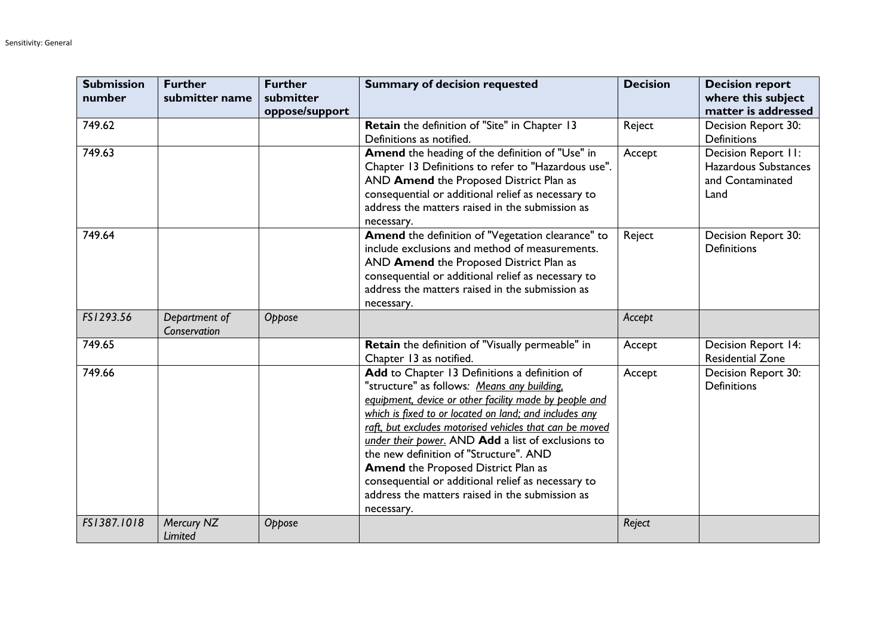| <b>Submission</b><br>number | <b>Further</b><br>submitter name | <b>Further</b><br>submitter<br>oppose/support | <b>Summary of decision requested</b>                                                                                                                                                                                                                                                                                                                                                                                                                                                                                                             | <b>Decision</b> | <b>Decision report</b><br>where this subject<br>matter is addressed     |
|-----------------------------|----------------------------------|-----------------------------------------------|--------------------------------------------------------------------------------------------------------------------------------------------------------------------------------------------------------------------------------------------------------------------------------------------------------------------------------------------------------------------------------------------------------------------------------------------------------------------------------------------------------------------------------------------------|-----------------|-------------------------------------------------------------------------|
| 749.62                      |                                  |                                               | Retain the definition of "Site" in Chapter 13<br>Definitions as notified.                                                                                                                                                                                                                                                                                                                                                                                                                                                                        | Reject          | Decision Report 30:<br><b>Definitions</b>                               |
| 749.63                      |                                  |                                               | Amend the heading of the definition of "Use" in<br>Chapter 13 Definitions to refer to "Hazardous use".<br>AND Amend the Proposed District Plan as<br>consequential or additional relief as necessary to<br>address the matters raised in the submission as<br>necessary.                                                                                                                                                                                                                                                                         | Accept          | Decision Report II:<br>Hazardous Substances<br>and Contaminated<br>Land |
| 749.64                      |                                  |                                               | Amend the definition of "Vegetation clearance" to<br>include exclusions and method of measurements.<br>AND Amend the Proposed District Plan as<br>consequential or additional relief as necessary to<br>address the matters raised in the submission as<br>necessary.                                                                                                                                                                                                                                                                            | Reject          | Decision Report 30:<br><b>Definitions</b>                               |
| FS1293.56                   | Department of<br>Conservation    | Oppose                                        |                                                                                                                                                                                                                                                                                                                                                                                                                                                                                                                                                  | Accept          |                                                                         |
| 749.65                      |                                  |                                               | Retain the definition of "Visually permeable" in<br>Chapter 13 as notified.                                                                                                                                                                                                                                                                                                                                                                                                                                                                      | Accept          | Decision Report 14:<br><b>Residential Zone</b>                          |
| 749.66                      |                                  |                                               | Add to Chapter 13 Definitions a definition of<br>"structure" as follows: Means any building.<br>equipment, device or other facility made by people and<br>which is fixed to or located on land; and includes any<br>raft, but excludes motorised vehicles that can be moved<br>under their power. AND Add a list of exclusions to<br>the new definition of "Structure". AND<br><b>Amend the Proposed District Plan as</b><br>consequential or additional relief as necessary to<br>address the matters raised in the submission as<br>necessary. | Accept          | Decision Report 30:<br><b>Definitions</b>                               |
| FS1387.1018                 | Mercury NZ<br>Limited            | Oppose                                        |                                                                                                                                                                                                                                                                                                                                                                                                                                                                                                                                                  | Reject          |                                                                         |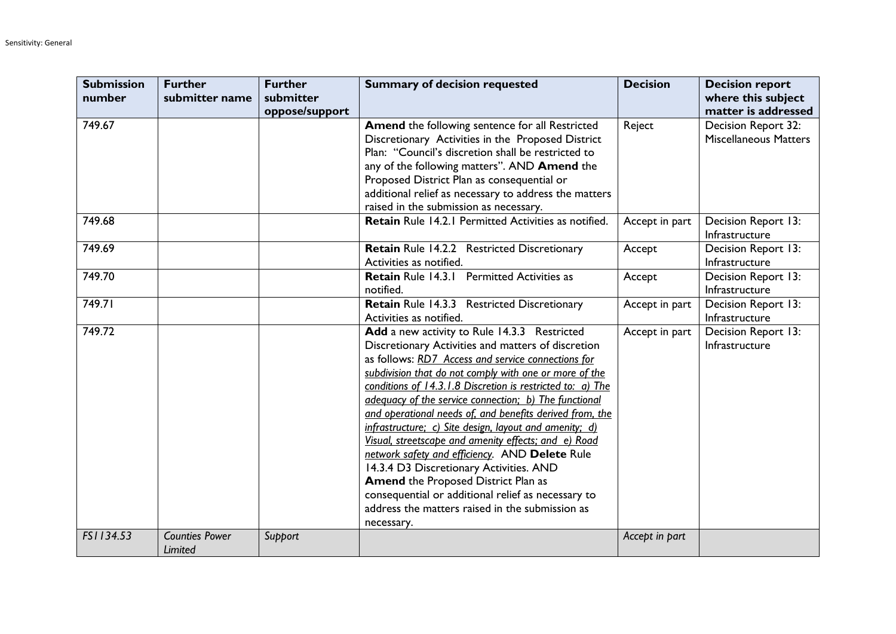| <b>Submission</b> | <b>Further</b>                   | <b>Further</b>              | <b>Summary of decision requested</b>                                                                                                                                                                                                                                                                                                                                                                                                                                                                                                                                                                                                                                                                                                                                                      | <b>Decision</b> | <b>Decision report</b>                              |
|-------------------|----------------------------------|-----------------------------|-------------------------------------------------------------------------------------------------------------------------------------------------------------------------------------------------------------------------------------------------------------------------------------------------------------------------------------------------------------------------------------------------------------------------------------------------------------------------------------------------------------------------------------------------------------------------------------------------------------------------------------------------------------------------------------------------------------------------------------------------------------------------------------------|-----------------|-----------------------------------------------------|
| number            | submitter name                   | submitter<br>oppose/support |                                                                                                                                                                                                                                                                                                                                                                                                                                                                                                                                                                                                                                                                                                                                                                                           |                 | where this subject<br>matter is addressed           |
| 749.67            |                                  |                             | Amend the following sentence for all Restricted<br>Discretionary Activities in the Proposed District<br>Plan: "Council's discretion shall be restricted to<br>any of the following matters". AND Amend the<br>Proposed District Plan as consequential or<br>additional relief as necessary to address the matters<br>raised in the submission as necessary.                                                                                                                                                                                                                                                                                                                                                                                                                               | Reject          | Decision Report 32:<br><b>Miscellaneous Matters</b> |
| 749.68            |                                  |                             | Retain Rule 14.2.1 Permitted Activities as notified.                                                                                                                                                                                                                                                                                                                                                                                                                                                                                                                                                                                                                                                                                                                                      | Accept in part  | Decision Report 13:<br>Infrastructure               |
| 749.69            |                                  |                             | Retain Rule 14.2.2 Restricted Discretionary<br>Activities as notified.                                                                                                                                                                                                                                                                                                                                                                                                                                                                                                                                                                                                                                                                                                                    | Accept          | Decision Report 13:<br>Infrastructure               |
| 749.70            |                                  |                             | <b>Retain Rule 14.3.1 Permitted Activities as</b><br>notified.                                                                                                                                                                                                                                                                                                                                                                                                                                                                                                                                                                                                                                                                                                                            | Accept          | Decision Report 13:<br>Infrastructure               |
| 749.71            |                                  |                             | Retain Rule 14.3.3 Restricted Discretionary<br>Activities as notified.                                                                                                                                                                                                                                                                                                                                                                                                                                                                                                                                                                                                                                                                                                                    | Accept in part  | Decision Report 13:<br>Infrastructure               |
| 749.72            |                                  |                             | Add a new activity to Rule 14.3.3 Restricted<br>Discretionary Activities and matters of discretion<br>as follows: RD7 Access and service connections for<br>subdivision that do not comply with one or more of the<br>conditions of 14.3.1.8 Discretion is restricted to: a) The<br>adequacy of the service connection; b) The functional<br>and operational needs of, and benefits derived from, the<br>infrastructure; c) Site design, layout and amenity; d)<br>Visual, streetscape and amenity effects; and e) Road<br>network safety and efficiency. AND Delete Rule<br>14.3.4 D3 Discretionary Activities. AND<br><b>Amend the Proposed District Plan as</b><br>consequential or additional relief as necessary to<br>address the matters raised in the submission as<br>necessary. | Accept in part  | Decision Report 13:<br>Infrastructure               |
| FS1134.53         | <b>Counties Power</b><br>Limited | Support                     |                                                                                                                                                                                                                                                                                                                                                                                                                                                                                                                                                                                                                                                                                                                                                                                           | Accept in part  |                                                     |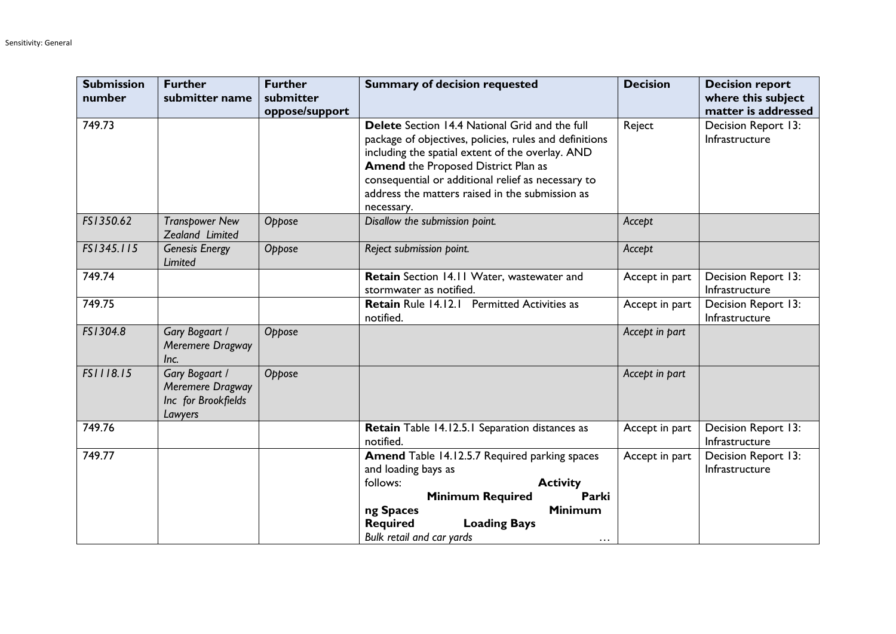| <b>Submission</b><br>number | <b>Further</b><br>submitter name                                     | <b>Further</b><br>submitter<br>oppose/support | <b>Summary of decision requested</b>                                                                                                                                                                                                                                                                                              | <b>Decision</b> | <b>Decision report</b><br>where this subject<br>matter is addressed |
|-----------------------------|----------------------------------------------------------------------|-----------------------------------------------|-----------------------------------------------------------------------------------------------------------------------------------------------------------------------------------------------------------------------------------------------------------------------------------------------------------------------------------|-----------------|---------------------------------------------------------------------|
| 749.73                      |                                                                      |                                               | Delete Section 14.4 National Grid and the full<br>package of objectives, policies, rules and definitions<br>including the spatial extent of the overlay. AND<br><b>Amend the Proposed District Plan as</b><br>consequential or additional relief as necessary to<br>address the matters raised in the submission as<br>necessary. | Reject          | Decision Report 13:<br>Infrastructure                               |
| FS1350.62                   | <b>Transpower New</b><br>Zealand Limited                             | Oppose                                        | Disallow the submission point.                                                                                                                                                                                                                                                                                                    | Accept          |                                                                     |
| FS1345.115                  | <b>Genesis Energy</b><br>Limited                                     | Oppose                                        | Reject submission point.                                                                                                                                                                                                                                                                                                          | Accept          |                                                                     |
| 749.74                      |                                                                      |                                               | Retain Section 14.11 Water, wastewater and<br>stormwater as notified.                                                                                                                                                                                                                                                             | Accept in part  | Decision Report 13:<br>Infrastructure                               |
| 749.75                      |                                                                      |                                               | Retain Rule 14.12.1 Permitted Activities as<br>notified.                                                                                                                                                                                                                                                                          | Accept in part  | Decision Report 13:<br>Infrastructure                               |
| FS1304.8                    | Gary Bogaart /<br>Meremere Dragway<br>Inc.                           | Oppose                                        |                                                                                                                                                                                                                                                                                                                                   | Accept in part  |                                                                     |
| FS1118.15                   | Gary Bogaart /<br>Meremere Dragway<br>Inc for Brookfields<br>Lawyers | Oppose                                        |                                                                                                                                                                                                                                                                                                                                   | Accept in part  |                                                                     |
| 749.76                      |                                                                      |                                               | Retain Table 14.12.5.1 Separation distances as<br>notified.                                                                                                                                                                                                                                                                       | Accept in part  | Decision Report 13:<br>Infrastructure                               |
| 749.77                      |                                                                      |                                               | Amend Table 14.12.5.7 Required parking spaces<br>and loading bays as<br>follows:<br><b>Activity</b><br><b>Minimum Required</b><br>Parki<br><b>Minimum</b><br>ng Spaces<br><b>Loading Bays</b><br><b>Required</b><br>Bulk retail and car yards<br>$\cdots$                                                                         | Accept in part  | Decision Report 13:<br>Infrastructure                               |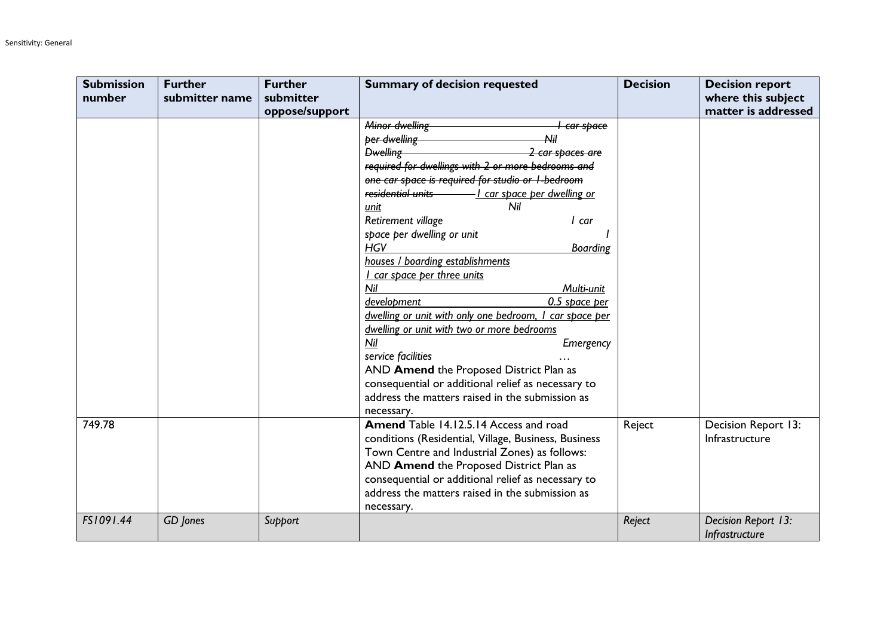| <b>Submission</b><br>number | <b>Further</b><br>submitter name | <b>Further</b><br>submitter<br>oppose/support | <b>Summary of decision requested</b>                                                                                                                                                                                                                                                                                                                                                                                                                                                                                                                                                                                                                                                                                                                                             | <b>Decision</b> | <b>Decision report</b><br>where this subject<br>matter is addressed |
|-----------------------------|----------------------------------|-----------------------------------------------|----------------------------------------------------------------------------------------------------------------------------------------------------------------------------------------------------------------------------------------------------------------------------------------------------------------------------------------------------------------------------------------------------------------------------------------------------------------------------------------------------------------------------------------------------------------------------------------------------------------------------------------------------------------------------------------------------------------------------------------------------------------------------------|-----------------|---------------------------------------------------------------------|
|                             |                                  |                                               | Minor dwelling<br><del>l car space</del><br>Nil<br>ber dwelling<br>Dwelling-<br><del>2 car spaces are</del><br>required for dwellings with 2 or more bedrooms and<br>one car space is required for studio or I-bedroom<br>Nil<br>unit<br>Retirement village<br>I car<br>space per dwelling or unit<br><b>HGV</b><br><b>Boarding</b><br>houses / boarding establishments<br>I car space per three units<br>Nil<br>Multi-unit<br>development<br>0.5 space per<br>dwelling or unit with only one bedroom, I car space per<br>dwelling or unit with two or more bedrooms<br>Nil<br>Emergency<br>service facilities<br>AND Amend the Proposed District Plan as<br>consequential or additional relief as necessary to<br>address the matters raised in the submission as<br>necessary. |                 |                                                                     |
| 749.78                      |                                  |                                               | Amend Table 14.12.5.14 Access and road<br>conditions (Residential, Village, Business, Business<br>Town Centre and Industrial Zones) as follows:<br>AND Amend the Proposed District Plan as<br>consequential or additional relief as necessary to<br>address the matters raised in the submission as<br>necessary.                                                                                                                                                                                                                                                                                                                                                                                                                                                                | Reject          | Decision Report 13:<br>Infrastructure                               |
| FS1091.44                   | GD Jones                         | Support                                       |                                                                                                                                                                                                                                                                                                                                                                                                                                                                                                                                                                                                                                                                                                                                                                                  | Reject          | Decision Report 13:<br>Infrastructure                               |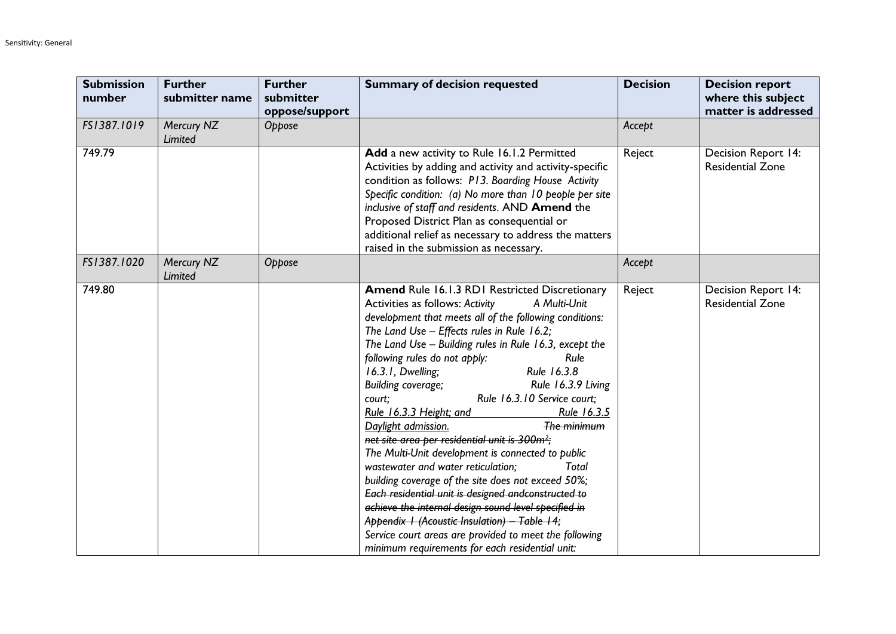| <b>Submission</b><br>number | <b>Further</b><br>submitter name | <b>Further</b><br>submitter<br>oppose/support | <b>Summary of decision requested</b>                                                                                                                                                                                                                                                                                                                                                                                                                                                                                                                                                                                                                                                                                                                                                                                                                                                                                                                                                                                             | <b>Decision</b> | <b>Decision report</b><br>where this subject<br>matter is addressed |
|-----------------------------|----------------------------------|-----------------------------------------------|----------------------------------------------------------------------------------------------------------------------------------------------------------------------------------------------------------------------------------------------------------------------------------------------------------------------------------------------------------------------------------------------------------------------------------------------------------------------------------------------------------------------------------------------------------------------------------------------------------------------------------------------------------------------------------------------------------------------------------------------------------------------------------------------------------------------------------------------------------------------------------------------------------------------------------------------------------------------------------------------------------------------------------|-----------------|---------------------------------------------------------------------|
| FS1387.1019                 | Mercury NZ<br>Limited            | Oppose                                        |                                                                                                                                                                                                                                                                                                                                                                                                                                                                                                                                                                                                                                                                                                                                                                                                                                                                                                                                                                                                                                  | Accept          |                                                                     |
| 749.79                      |                                  |                                               | Add a new activity to Rule 16.1.2 Permitted<br>Activities by adding and activity and activity-specific<br>condition as follows: P13. Boarding House Activity<br>Specific condition: (a) No more than 10 people per site<br>inclusive of staff and residents. AND Amend the<br>Proposed District Plan as consequential or<br>additional relief as necessary to address the matters<br>raised in the submission as necessary.                                                                                                                                                                                                                                                                                                                                                                                                                                                                                                                                                                                                      | Reject          | Decision Report 14:<br><b>Residential Zone</b>                      |
| FS1387.1020                 | Mercury NZ<br>Limited            | Oppose                                        |                                                                                                                                                                                                                                                                                                                                                                                                                                                                                                                                                                                                                                                                                                                                                                                                                                                                                                                                                                                                                                  | Accept          |                                                                     |
| 749.80                      |                                  |                                               | Amend Rule 16.1.3 RD1 Restricted Discretionary<br>Activities as follows: Activity<br>A Multi-Unit<br>development that meets all of the following conditions:<br>The Land Use - Effects rules in Rule 16.2;<br>The Land Use - Building rules in Rule 16.3, except the<br>Rule<br>following rules do not apply:<br>Rule 16.3.8<br>16.3.1, Dwelling;<br><b>Building coverage;</b><br>Rule 16.3.9 Living<br>Rule 16.3.10 Service court;<br>court;<br>Rule 16.3.3 Height; and<br>Rule 16.3.5<br>Daylight admission.<br>The minimum<br>net site area per residential unit is 300m <sup>2</sup> ;<br>The Multi-Unit development is connected to public<br>wastewater and water reticulation;<br>Total<br>building coverage of the site does not exceed 50%;<br>Each residential unit is designed andconstructed to<br>achieve the internal design sound level specified in<br>Appendix I (Acoustic Insulation) - Table 14;<br>Service court areas are provided to meet the following<br>minimum requirements for each residential unit: | Reject          | Decision Report 14:<br><b>Residential Zone</b>                      |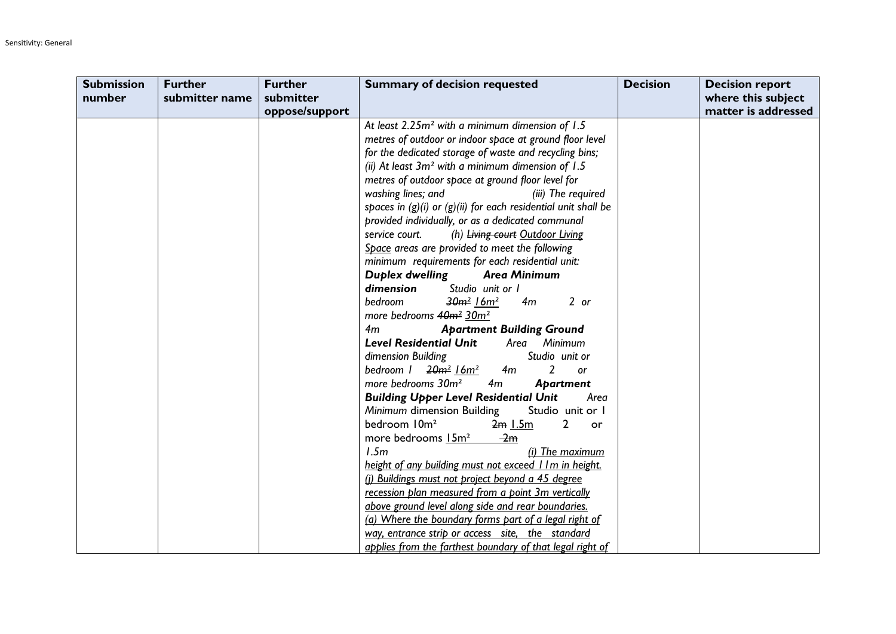| <b>Submission</b> | <b>Further</b> | <b>Further</b> | <b>Summary of decision requested</b>                               | <b>Decision</b> | <b>Decision report</b> |
|-------------------|----------------|----------------|--------------------------------------------------------------------|-----------------|------------------------|
| number            | submitter name | submitter      |                                                                    |                 | where this subject     |
|                   |                | oppose/support |                                                                    |                 | matter is addressed    |
|                   |                |                | At least 2.25m <sup>2</sup> with a minimum dimension of 1.5        |                 |                        |
|                   |                |                | metres of outdoor or indoor space at ground floor level            |                 |                        |
|                   |                |                | for the dedicated storage of waste and recycling bins;             |                 |                        |
|                   |                |                | (ii) At least $3m^2$ with a minimum dimension of 1.5               |                 |                        |
|                   |                |                | metres of outdoor space at ground floor level for                  |                 |                        |
|                   |                |                | washing lines; and<br>(iii) The required                           |                 |                        |
|                   |                |                | spaces in $(g)(i)$ or $(g)(ii)$ for each residential unit shall be |                 |                        |
|                   |                |                | provided individually, or as a dedicated communal                  |                 |                        |
|                   |                |                | service court.<br>(h) Living court Outdoor Living                  |                 |                        |
|                   |                |                | Space areas are provided to meet the following                     |                 |                        |
|                   |                |                | minimum requirements for each residential unit:                    |                 |                        |
|                   |                |                | Duplex dwelling<br><b>Area Minimum</b>                             |                 |                        |
|                   |                |                | dimension<br>Studio unit or I                                      |                 |                        |
|                   |                |                | bedroom<br>$2$ or<br>$30m^2$ 16 $m^2$<br>4m                        |                 |                        |
|                   |                |                | more bedrooms 40m <sup>2</sup> 30m <sup>2</sup>                    |                 |                        |
|                   |                |                | 4m<br><b>Apartment Building Ground</b>                             |                 |                        |
|                   |                |                | <b>Level Residential Unit</b><br>Area Minimum                      |                 |                        |
|                   |                |                | dimension Building<br>Studio unit or                               |                 |                        |
|                   |                |                | bedroom $1$ $20m^2$ $16m^2$<br>2<br>4m<br><b>or</b>                |                 |                        |
|                   |                |                | more bedrooms 30m <sup>2</sup><br>4m<br>Apartment                  |                 |                        |
|                   |                |                | <b>Building Upper Level Residential Unit</b><br>Area               |                 |                        |
|                   |                |                | Minimum dimension Building<br>Studio unit or I                     |                 |                        |
|                   |                |                | bedroom 10m <sup>2</sup><br>$2m$ $1.5m$<br>2<br>or                 |                 |                        |
|                   |                |                | more bedrooms 15m <sup>2</sup><br>$\frac{2m}{2}$                   |                 |                        |
|                   |                |                | 1.5m<br>(i) The maximum                                            |                 |                        |
|                   |                |                | height of any building must not exceed I Im in height.             |                 |                        |
|                   |                |                | (i) Buildings must not project beyond a 45 degree                  |                 |                        |
|                   |                |                | recession plan measured from a point 3m vertically                 |                 |                        |
|                   |                |                | above ground level along side and rear boundaries.                 |                 |                        |
|                   |                |                | (a) Where the boundary forms part of a legal right of              |                 |                        |
|                   |                |                | way, entrance strip or access site, the standard                   |                 |                        |
|                   |                |                | applies from the farthest boundary of that legal right of          |                 |                        |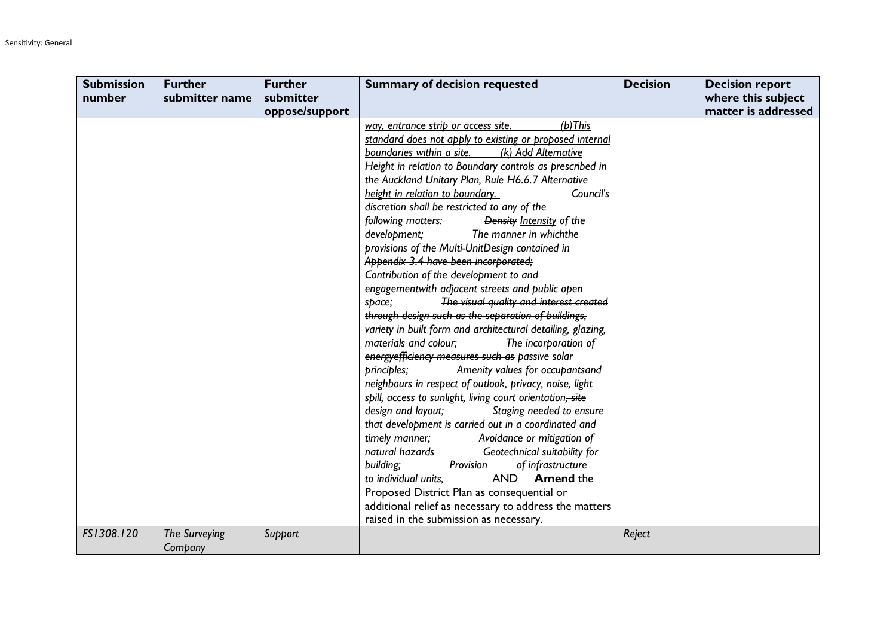| <b>Submission</b> | <b>Further</b> | <b>Further</b> | <b>Summary of decision requested</b>                        | <b>Decision</b> | <b>Decision report</b> |
|-------------------|----------------|----------------|-------------------------------------------------------------|-----------------|------------------------|
| number            | submitter name | submitter      |                                                             |                 | where this subject     |
|                   |                | oppose/support |                                                             |                 | matter is addressed    |
|                   |                |                | $(b)$ This<br>way, entrance strip or access site.           |                 |                        |
|                   |                |                | standard does not apply to existing or proposed internal    |                 |                        |
|                   |                |                | boundaries within a site.<br>(k) Add Alternative            |                 |                        |
|                   |                |                | Height in relation to Boundary controls as prescribed in    |                 |                        |
|                   |                |                | the Auckland Unitary Plan, Rule H6.6.7 Alternative          |                 |                        |
|                   |                |                | height in relation to boundary.<br>Council's                |                 |                        |
|                   |                |                | discretion shall be restricted to any of the                |                 |                        |
|                   |                |                | following matters:<br>Density Intensity of the              |                 |                        |
|                   |                |                | The manner in whichthe<br>development;                      |                 |                        |
|                   |                |                | provisions of the Multi-UnitDesign contained in             |                 |                        |
|                   |                |                | Appendix 3.4 have been incorporated;                        |                 |                        |
|                   |                |                | Contribution of the development to and                      |                 |                        |
|                   |                |                | engagementwith adjacent streets and public open             |                 |                        |
|                   |                |                | The visual quality and interest created<br>space;           |                 |                        |
|                   |                |                | through design such as the separation of buildings,         |                 |                        |
|                   |                |                | variety in built form and architectural detailing, glazing, |                 |                        |
|                   |                |                | materials and colour;<br>The incorporation of               |                 |                        |
|                   |                |                | energy efficiency measures such as passive solar            |                 |                        |
|                   |                |                | Amenity values for occupantsand<br>principles;              |                 |                        |
|                   |                |                | neighbours in respect of outlook, privacy, noise, light     |                 |                        |
|                   |                |                | spill, access to sunlight, living court orientation, site   |                 |                        |
|                   |                |                | design and layout;<br>Staging needed to ensure              |                 |                        |
|                   |                |                | that development is carried out in a coordinated and        |                 |                        |
|                   |                |                | timely manner;<br>Avoidance or mitigation of                |                 |                        |
|                   |                |                | natural hazards<br>Geotechnical suitability for             |                 |                        |
|                   |                |                | building;<br>Provision<br>of infrastructure                 |                 |                        |
|                   |                |                | <b>AND</b><br><b>Amend the</b><br>to individual units.      |                 |                        |
|                   |                |                | Proposed District Plan as consequential or                  |                 |                        |
|                   |                |                | additional relief as necessary to address the matters       |                 |                        |
|                   |                |                | raised in the submission as necessary.                      |                 |                        |
| FS1308.120        | The Surveying  | Support        |                                                             | Reject          |                        |
|                   | Company        |                |                                                             |                 |                        |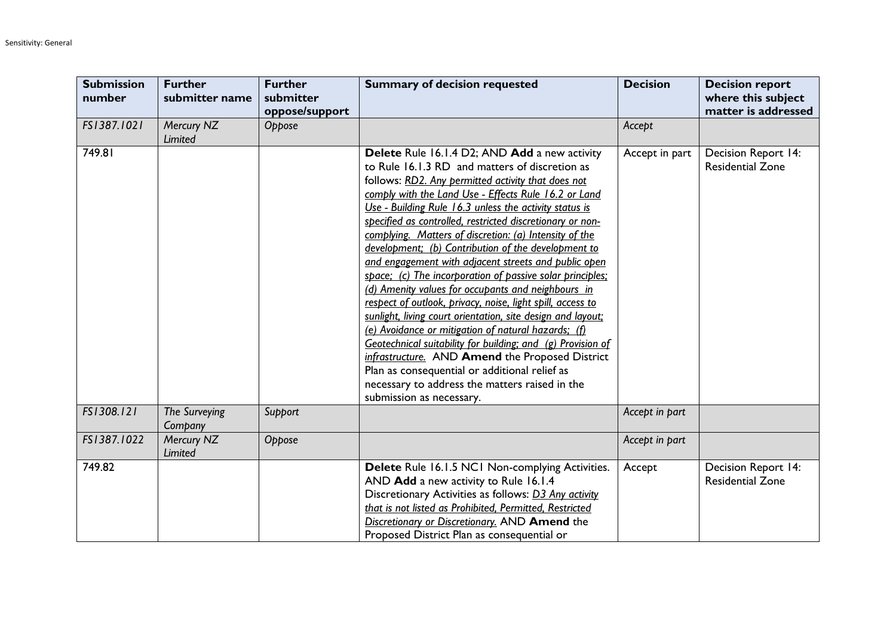| <b>Submission</b><br>number | <b>Further</b><br>submitter name | <b>Further</b><br>submitter<br>oppose/support | <b>Summary of decision requested</b>                                                                                                                                                                                                                                                                                                                                                                                                                                                                                                                                                                                                                                                                                                                                                                                                                                                                                                                                                                                                                                  | <b>Decision</b> | <b>Decision report</b><br>where this subject<br>matter is addressed |
|-----------------------------|----------------------------------|-----------------------------------------------|-----------------------------------------------------------------------------------------------------------------------------------------------------------------------------------------------------------------------------------------------------------------------------------------------------------------------------------------------------------------------------------------------------------------------------------------------------------------------------------------------------------------------------------------------------------------------------------------------------------------------------------------------------------------------------------------------------------------------------------------------------------------------------------------------------------------------------------------------------------------------------------------------------------------------------------------------------------------------------------------------------------------------------------------------------------------------|-----------------|---------------------------------------------------------------------|
| FS1387.1021                 | Mercury NZ<br>Limited            | Oppose                                        |                                                                                                                                                                                                                                                                                                                                                                                                                                                                                                                                                                                                                                                                                                                                                                                                                                                                                                                                                                                                                                                                       | Accept          |                                                                     |
| 749.81                      |                                  |                                               | Delete Rule 16.1.4 D2; AND Add a new activity<br>to Rule 16.1.3 RD and matters of discretion as<br>follows: RD2. Any permitted activity that does not<br>comply with the Land Use - Effects Rule 16.2 or Land<br>Use - Building Rule 16.3 unless the activity status is<br>specified as controlled, restricted discretionary or non-<br>complying. Matters of discretion: (a) Intensity of the<br>development; (b) Contribution of the development to<br>and engagement with adjacent streets and public open<br>space; (c) The incorporation of passive solar principles;<br>(d) Amenity values for occupants and neighbours in<br>respect of outlook, privacy, noise, light spill, access to<br>sunlight, living court orientation, site design and layout;<br>(e) Avoidance or mitigation of natural hazards; (f)<br>Geotechnical suitability for building; and (g) Provision of<br>infrastructure. AND Amend the Proposed District<br>Plan as consequential or additional relief as<br>necessary to address the matters raised in the<br>submission as necessary. | Accept in part  | <b>Decision Report 14:</b><br><b>Residential Zone</b>               |
| FS1308.121                  | The Surveying<br>Company         | Support                                       |                                                                                                                                                                                                                                                                                                                                                                                                                                                                                                                                                                                                                                                                                                                                                                                                                                                                                                                                                                                                                                                                       | Accept in part  |                                                                     |
| FS1387.1022                 | Mercury NZ<br><b>Limited</b>     | Oppose                                        |                                                                                                                                                                                                                                                                                                                                                                                                                                                                                                                                                                                                                                                                                                                                                                                                                                                                                                                                                                                                                                                                       | Accept in part  |                                                                     |
| 749.82                      |                                  |                                               | Delete Rule 16.1.5 NC1 Non-complying Activities.<br>AND Add a new activity to Rule 16.1.4<br>Discretionary Activities as follows: D3 Any activity<br>that is not listed as Prohibited, Permitted, Restricted<br>Discretionary or Discretionary. AND Amend the<br>Proposed District Plan as consequential or                                                                                                                                                                                                                                                                                                                                                                                                                                                                                                                                                                                                                                                                                                                                                           | Accept          | <b>Decision Report 14:</b><br><b>Residential Zone</b>               |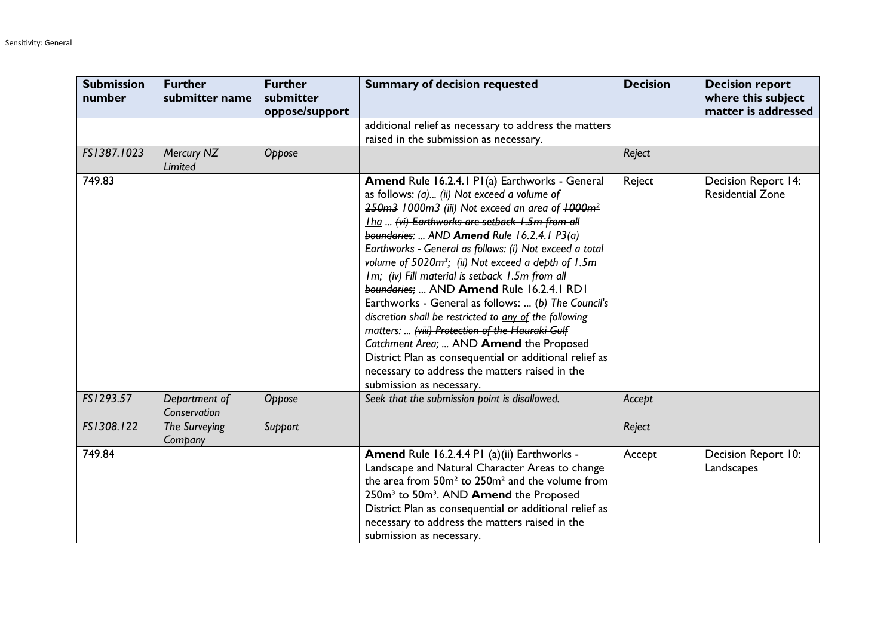| <b>Submission</b><br>number | <b>Further</b><br>submitter name | <b>Further</b><br>submitter<br>oppose/support | <b>Summary of decision requested</b>                                                                                                                                                                                                                                                                                                                                                                                                                                                                                                                                                                                                                                                                                                                                                                                                            | <b>Decision</b> | <b>Decision report</b><br>where this subject<br>matter is addressed |
|-----------------------------|----------------------------------|-----------------------------------------------|-------------------------------------------------------------------------------------------------------------------------------------------------------------------------------------------------------------------------------------------------------------------------------------------------------------------------------------------------------------------------------------------------------------------------------------------------------------------------------------------------------------------------------------------------------------------------------------------------------------------------------------------------------------------------------------------------------------------------------------------------------------------------------------------------------------------------------------------------|-----------------|---------------------------------------------------------------------|
|                             |                                  |                                               | additional relief as necessary to address the matters<br>raised in the submission as necessary.                                                                                                                                                                                                                                                                                                                                                                                                                                                                                                                                                                                                                                                                                                                                                 |                 |                                                                     |
| FS1387.1023                 | Mercury NZ<br>Limited            | Oppose                                        |                                                                                                                                                                                                                                                                                                                                                                                                                                                                                                                                                                                                                                                                                                                                                                                                                                                 | Reject          |                                                                     |
| 749.83                      |                                  |                                               | Amend Rule 16.2.4.1 P1(a) Earthworks - General<br>as follows: (a) (ii) Not exceed a volume of<br>250m3 1000m3 (iii) Not exceed an area of +000m <sup>2</sup><br>Iha  (vi) Earthworks are setback 1.5m from all<br>boundaries:  AND Amend Rule 16.2.4.1 P3(a)<br>Earthworks - General as follows: (i) Not exceed a total<br>volume of 5020m <sup>3</sup> ; (ii) Not exceed a depth of 1.5m<br>Im; (iv) Fill material is setback 1.5m from all<br>boundaries;  AND Amend Rule 16.2.4.1 RD1<br>Earthworks - General as follows:  (b) The Council's<br>discretion shall be restricted to any of the following<br>matters:  (viii) Protection of the Hauraki Gulf<br>Catchment Area;  AND Amend the Proposed<br>District Plan as consequential or additional relief as<br>necessary to address the matters raised in the<br>submission as necessary. | Reject          | Decision Report 14:<br><b>Residential Zone</b>                      |
| FS1293.57                   | Department of<br>Conservation    | Oppose                                        | Seek that the submission point is disallowed.                                                                                                                                                                                                                                                                                                                                                                                                                                                                                                                                                                                                                                                                                                                                                                                                   | Accept          |                                                                     |
| FS1308.122                  | The Surveying<br>Company         | Support                                       |                                                                                                                                                                                                                                                                                                                                                                                                                                                                                                                                                                                                                                                                                                                                                                                                                                                 | Reject          |                                                                     |
| 749.84                      |                                  |                                               | Amend Rule 16.2.4.4 PI (a)(ii) Earthworks -<br>Landscape and Natural Character Areas to change<br>the area from 50m <sup>2</sup> to 250m <sup>2</sup> and the volume from<br>250m <sup>3</sup> to 50m <sup>3</sup> . AND <b>Amend</b> the Proposed<br>District Plan as consequential or additional relief as<br>necessary to address the matters raised in the<br>submission as necessary.                                                                                                                                                                                                                                                                                                                                                                                                                                                      | Accept          | Decision Report 10:<br>Landscapes                                   |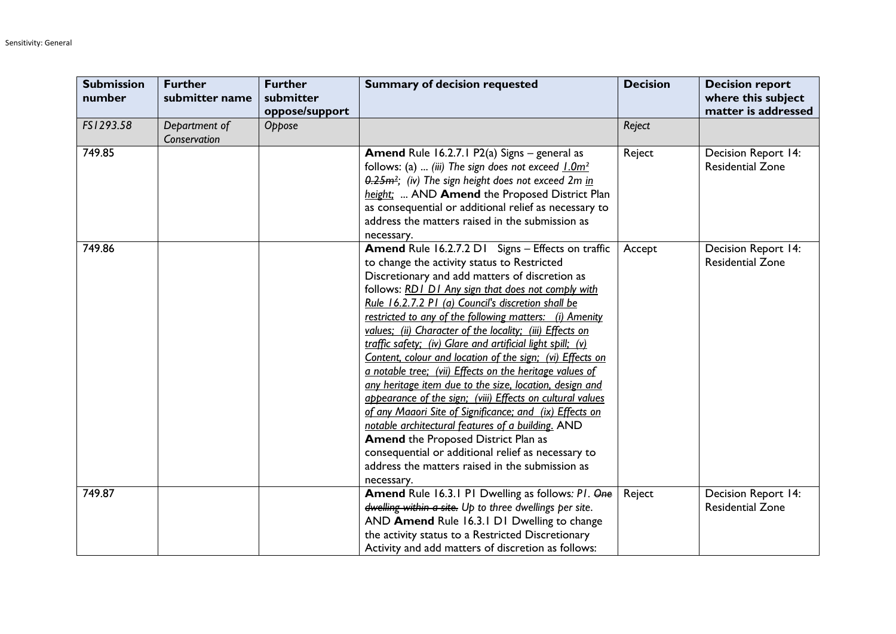| <b>Submission</b><br>number | <b>Further</b><br>submitter name | <b>Further</b><br>submitter<br>oppose/support | <b>Summary of decision requested</b>                                                                                                                                                                                                                                                                                                                                                                                                                                                                                                                                                                                                                                                                                                                                                                                                                                                                                                                                                     | <b>Decision</b> | <b>Decision report</b><br>where this subject<br>matter is addressed |
|-----------------------------|----------------------------------|-----------------------------------------------|------------------------------------------------------------------------------------------------------------------------------------------------------------------------------------------------------------------------------------------------------------------------------------------------------------------------------------------------------------------------------------------------------------------------------------------------------------------------------------------------------------------------------------------------------------------------------------------------------------------------------------------------------------------------------------------------------------------------------------------------------------------------------------------------------------------------------------------------------------------------------------------------------------------------------------------------------------------------------------------|-----------------|---------------------------------------------------------------------|
| FS1293.58                   | Department of<br>Conservation    | Oppose                                        |                                                                                                                                                                                                                                                                                                                                                                                                                                                                                                                                                                                                                                                                                                                                                                                                                                                                                                                                                                                          | Reject          |                                                                     |
| 749.85                      |                                  |                                               | <b>Amend</b> Rule 16.2.7.1 P2(a) Signs $-$ general as<br>follows: (a)  (iii) The sign does not exceed $1.0m^2$<br>0.25m <sup>2</sup> ; (iv) The sign height does not exceed 2m in<br>height;  AND Amend the Proposed District Plan<br>as consequential or additional relief as necessary to<br>address the matters raised in the submission as<br>necessary.                                                                                                                                                                                                                                                                                                                                                                                                                                                                                                                                                                                                                             | Reject          | Decision Report 14:<br><b>Residential Zone</b>                      |
| 749.86                      |                                  |                                               | Amend Rule 16.2.7.2 D1 Signs - Effects on traffic<br>to change the activity status to Restricted<br>Discretionary and add matters of discretion as<br>follows: RD1 D1 Any sign that does not comply with<br>Rule 16.2.7.2 P1 (a) Council's discretion shall be<br>restricted to any of the following matters: (i) Amenity<br>values; (ii) Character of the locality; (iii) Effects on<br>traffic safety; (iv) Glare and artificial light spill; (v)<br>Content, colour and location of the sign; (vi) Effects on<br>a notable tree; (vii) Effects on the heritage values of<br>any heritage item due to the size, location, design and<br>appearance of the sign; (viii) Effects on cultural values<br>of any Maaori Site of Significance; and (ix) Effects on<br>notable architectural features of a building. AND<br><b>Amend the Proposed District Plan as</b><br>consequential or additional relief as necessary to<br>address the matters raised in the submission as<br>necessary. | Accept          | <b>Decision Report 14:</b><br><b>Residential Zone</b>               |
| 749.87                      |                                  |                                               | <b>Amend Rule 16.3.1 P1 Dwelling as follows: P1. One</b><br>dwelling within a site. Up to three dwellings per site.<br>AND Amend Rule 16.3.1 D1 Dwelling to change<br>the activity status to a Restricted Discretionary<br>Activity and add matters of discretion as follows:                                                                                                                                                                                                                                                                                                                                                                                                                                                                                                                                                                                                                                                                                                            | Reject          | Decision Report 14:<br><b>Residential Zone</b>                      |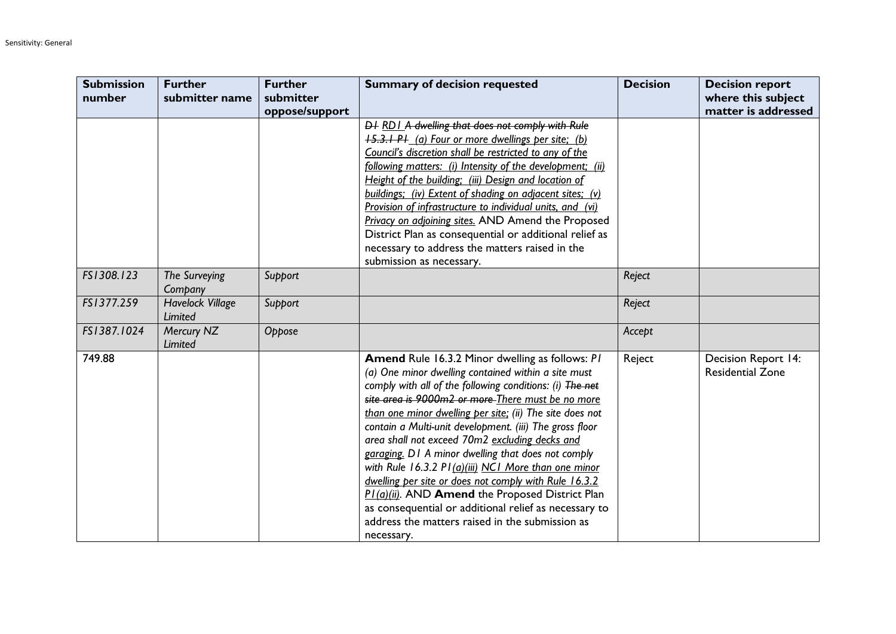| <b>Submission</b> | <b>Further</b>                     | <b>Further</b> | <b>Summary of decision requested</b>                                                                            | <b>Decision</b> | <b>Decision report</b>                         |
|-------------------|------------------------------------|----------------|-----------------------------------------------------------------------------------------------------------------|-----------------|------------------------------------------------|
| number            | submitter name                     | submitter      |                                                                                                                 |                 | where this subject                             |
|                   |                                    | oppose/support |                                                                                                                 |                 | matter is addressed                            |
|                   |                                    |                | D+ RD1 A dwelling that does not comply with Rule                                                                |                 |                                                |
|                   |                                    |                | <b>15.3.1 PI</b> (a) Four or more dwellings per site; (b)                                                       |                 |                                                |
|                   |                                    |                | Council's discretion shall be restricted to any of the                                                          |                 |                                                |
|                   |                                    |                | following matters: (i) Intensity of the development; (ii)                                                       |                 |                                                |
|                   |                                    |                | Height of the building; (iii) Design and location of                                                            |                 |                                                |
|                   |                                    |                | buildings; (iv) Extent of shading on adjacent sites; (v)                                                        |                 |                                                |
|                   |                                    |                | Provision of infrastructure to individual units, and (vi)                                                       |                 |                                                |
|                   |                                    |                | Privacy on adjoining sites. AND Amend the Proposed                                                              |                 |                                                |
|                   |                                    |                | District Plan as consequential or additional relief as                                                          |                 |                                                |
|                   |                                    |                | necessary to address the matters raised in the                                                                  |                 |                                                |
|                   |                                    |                | submission as necessary.                                                                                        |                 |                                                |
| FS1308.123        | The Surveying<br>Company           | Support        |                                                                                                                 | Reject          |                                                |
| FS1377.259        | <b>Havelock Village</b><br>Limited | Support        |                                                                                                                 | Reject          |                                                |
| FS1387.1024       | Mercury NZ                         | Oppose         |                                                                                                                 | Accept          |                                                |
|                   | Limited                            |                |                                                                                                                 |                 |                                                |
| 749.88            |                                    |                | Amend Rule 16.3.2 Minor dwelling as follows: PI                                                                 | Reject          | Decision Report 14:<br><b>Residential Zone</b> |
|                   |                                    |                | (a) One minor dwelling contained within a site must<br>comply with all of the following conditions: (i) The net |                 |                                                |
|                   |                                    |                | site area is 9000m2 or more There must be no more                                                               |                 |                                                |
|                   |                                    |                | than one minor dwelling per site; (ii) The site does not                                                        |                 |                                                |
|                   |                                    |                | contain a Multi-unit development. (iii) The gross floor                                                         |                 |                                                |
|                   |                                    |                | area shall not exceed 70m2 excluding decks and                                                                  |                 |                                                |
|                   |                                    |                | garaging. D1 A minor dwelling that does not comply                                                              |                 |                                                |
|                   |                                    |                | with Rule 16.3.2 PI (a)(iii) NCI More than one minor                                                            |                 |                                                |
|                   |                                    |                | dwelling per site or does not comply with Rule 16.3.2                                                           |                 |                                                |
|                   |                                    |                | PI(a)(ii). AND Amend the Proposed District Plan                                                                 |                 |                                                |
|                   |                                    |                | as consequential or additional relief as necessary to                                                           |                 |                                                |
|                   |                                    |                | address the matters raised in the submission as                                                                 |                 |                                                |
|                   |                                    |                | necessary.                                                                                                      |                 |                                                |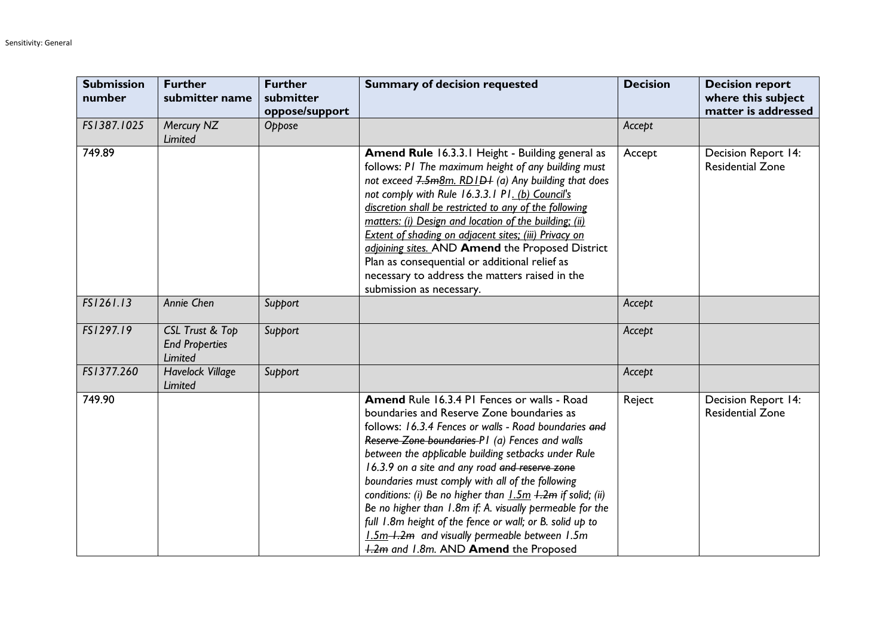| <b>Submission</b><br>number | <b>Further</b><br>submitter name                    | <b>Further</b><br>submitter<br>oppose/support | <b>Summary of decision requested</b>                                                                                                                                                                                                                                                                                                                                                                                                                                                                                                                                                                                                                | <b>Decision</b> | <b>Decision report</b><br>where this subject<br>matter is addressed |
|-----------------------------|-----------------------------------------------------|-----------------------------------------------|-----------------------------------------------------------------------------------------------------------------------------------------------------------------------------------------------------------------------------------------------------------------------------------------------------------------------------------------------------------------------------------------------------------------------------------------------------------------------------------------------------------------------------------------------------------------------------------------------------------------------------------------------------|-----------------|---------------------------------------------------------------------|
| FS1387.1025                 | Mercury NZ<br>Limited                               | Oppose                                        |                                                                                                                                                                                                                                                                                                                                                                                                                                                                                                                                                                                                                                                     | Accept          |                                                                     |
| 749.89                      |                                                     |                                               | Amend Rule 16.3.3.1 Height - Building general as<br>follows: PI The maximum height of any building must<br>not exceed 7.5m8m. RD1D+ (a) Any building that does<br>not comply with Rule 16.3.3.1 P1. (b) Council's<br>discretion shall be restricted to any of the following<br>matters: (i) Design and location of the building; (ii)<br>Extent of shading on adjacent sites; (iii) Privacy on<br>adjoining sites. AND Amend the Proposed District<br>Plan as consequential or additional relief as<br>necessary to address the matters raised in the<br>submission as necessary.                                                                   | Accept          | <b>Decision Report 14:</b><br><b>Residential Zone</b>               |
| FS1261.13                   | Annie Chen                                          | Support                                       |                                                                                                                                                                                                                                                                                                                                                                                                                                                                                                                                                                                                                                                     | Accept          |                                                                     |
| FS1297.19                   | CSL Trust & Top<br><b>End Properties</b><br>Limited | Support                                       |                                                                                                                                                                                                                                                                                                                                                                                                                                                                                                                                                                                                                                                     | Accept          |                                                                     |
| FS1377.260                  | Havelock Village<br>Limited                         | Support                                       |                                                                                                                                                                                                                                                                                                                                                                                                                                                                                                                                                                                                                                                     | Accept          |                                                                     |
| 749.90                      |                                                     |                                               | Amend Rule 16.3.4 PI Fences or walls - Road<br>boundaries and Reserve Zone boundaries as<br>follows: 16.3.4 Fences or walls - Road boundaries and<br>Reserve Zone boundaries P1 (a) Fences and walls<br>between the applicable building setbacks under Rule<br>16.3.9 on a site and any road and reserve zone<br>boundaries must comply with all of the following<br>conditions: (i) Be no higher than $1.5m + 2m$ if solid; (ii)<br>Be no higher than 1.8m if: A. visually permeable for the<br>full 1.8m height of the fence or wall; or B. solid up to<br>1.5m-1.2m and visually permeable between 1.5m<br>1.2m and 1.8m. AND Amend the Proposed | Reject          | Decision Report 14:<br><b>Residential Zone</b>                      |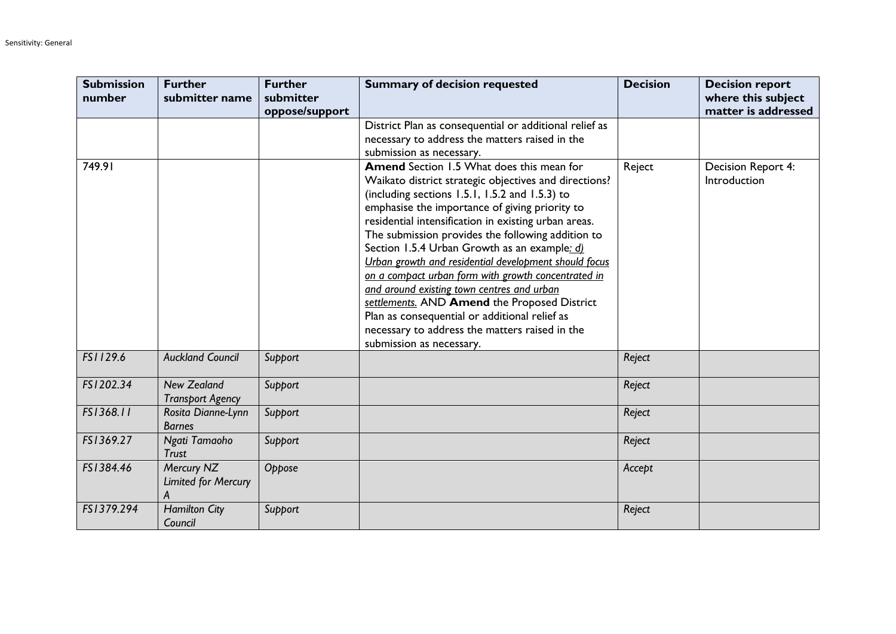| <b>Submission</b><br>number | <b>Further</b><br>submitter name | <b>Further</b><br>submitter | <b>Summary of decision requested</b>                   | <b>Decision</b> | <b>Decision report</b><br>where this subject |
|-----------------------------|----------------------------------|-----------------------------|--------------------------------------------------------|-----------------|----------------------------------------------|
|                             |                                  | oppose/support              | District Plan as consequential or additional relief as |                 | matter is addressed                          |
|                             |                                  |                             | necessary to address the matters raised in the         |                 |                                              |
|                             |                                  |                             | submission as necessary.                               |                 |                                              |
| 749.91                      |                                  |                             | <b>Amend</b> Section 1.5 What does this mean for       | Reject          | Decision Report 4:                           |
|                             |                                  |                             | Waikato district strategic objectives and directions?  |                 | Introduction                                 |
|                             |                                  |                             | (including sections $1.5.1$ , $1.5.2$ and $1.5.3$ ) to |                 |                                              |
|                             |                                  |                             | emphasise the importance of giving priority to         |                 |                                              |
|                             |                                  |                             | residential intensification in existing urban areas.   |                 |                                              |
|                             |                                  |                             | The submission provides the following addition to      |                 |                                              |
|                             |                                  |                             | Section 1.5.4 Urban Growth as an example: d)           |                 |                                              |
|                             |                                  |                             | Urban growth and residential development should focus  |                 |                                              |
|                             |                                  |                             | on a compact urban form with growth concentrated in    |                 |                                              |
|                             |                                  |                             | and around existing town centres and urban             |                 |                                              |
|                             |                                  |                             | settlements. AND Amend the Proposed District           |                 |                                              |
|                             |                                  |                             | Plan as consequential or additional relief as          |                 |                                              |
|                             |                                  |                             | necessary to address the matters raised in the         |                 |                                              |
|                             |                                  |                             | submission as necessary.                               |                 |                                              |
| FS1129.6                    | <b>Auckland Council</b>          | Support                     |                                                        | Reject          |                                              |
| FS1202.34                   | <b>New Zealand</b>               | Support                     |                                                        | Reject          |                                              |
|                             | <b>Transport Agency</b>          |                             |                                                        |                 |                                              |
| FS1368.11                   | Rosita Dianne-Lynn               | Support                     |                                                        | Reject          |                                              |
|                             | <b>Barnes</b>                    |                             |                                                        |                 |                                              |
| FS1369.27                   | Ngati Tamaoho                    | Support                     |                                                        | Reject          |                                              |
|                             | <b>Trust</b>                     |                             |                                                        |                 |                                              |
| FS1384.46                   | Mercury NZ                       | Oppose                      |                                                        | Accept          |                                              |
|                             | <b>Limited for Mercury</b>       |                             |                                                        |                 |                                              |
|                             |                                  |                             |                                                        |                 |                                              |
| FS1379.294                  | <b>Hamilton City</b>             | Support                     |                                                        | Reject          |                                              |
|                             | Council                          |                             |                                                        |                 |                                              |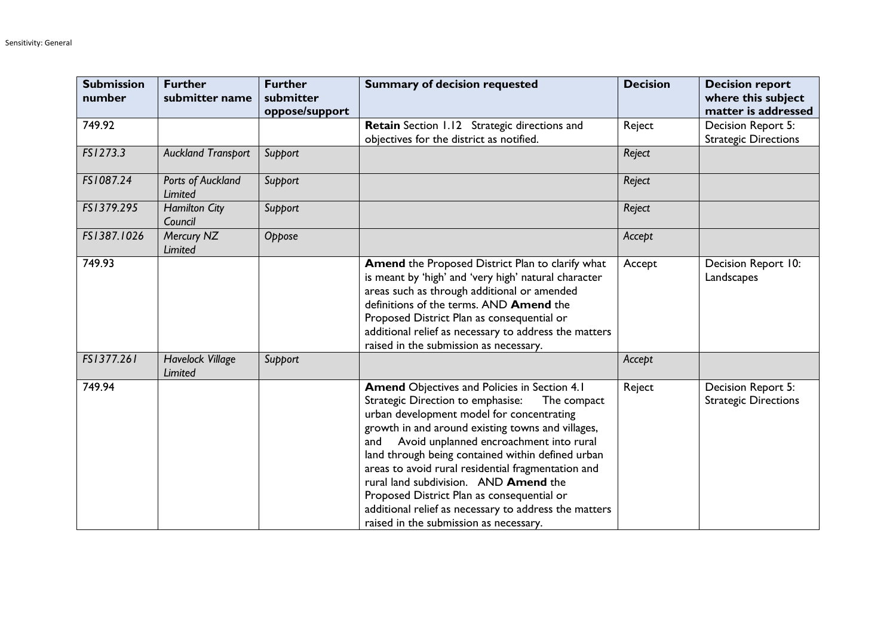| <b>Submission</b><br>number | <b>Further</b><br>submitter name   | <b>Further</b><br>submitter<br>oppose/support | <b>Summary of decision requested</b>                                                                                                                                                                                                                                                                                                                                                                                                                                                                                                                             | <b>Decision</b> | <b>Decision report</b><br>where this subject<br>matter is addressed |
|-----------------------------|------------------------------------|-----------------------------------------------|------------------------------------------------------------------------------------------------------------------------------------------------------------------------------------------------------------------------------------------------------------------------------------------------------------------------------------------------------------------------------------------------------------------------------------------------------------------------------------------------------------------------------------------------------------------|-----------------|---------------------------------------------------------------------|
| 749.92                      |                                    |                                               | Retain Section 1.12 Strategic directions and<br>objectives for the district as notified.                                                                                                                                                                                                                                                                                                                                                                                                                                                                         | Reject          | Decision Report 5:<br><b>Strategic Directions</b>                   |
| FS1273.3                    | <b>Auckland Transport</b>          | Support                                       |                                                                                                                                                                                                                                                                                                                                                                                                                                                                                                                                                                  | Reject          |                                                                     |
| FS1087.24                   | Ports of Auckland<br>Limited       | Support                                       |                                                                                                                                                                                                                                                                                                                                                                                                                                                                                                                                                                  | Reject          |                                                                     |
| FS1379.295                  | <b>Hamilton City</b><br>Council    | Support                                       |                                                                                                                                                                                                                                                                                                                                                                                                                                                                                                                                                                  | Reject          |                                                                     |
| FS1387.1026                 | Mercury NZ<br>Limited              | Oppose                                        |                                                                                                                                                                                                                                                                                                                                                                                                                                                                                                                                                                  | Accept          |                                                                     |
| 749.93                      |                                    |                                               | Amend the Proposed District Plan to clarify what<br>is meant by 'high' and 'very high' natural character<br>areas such as through additional or amended<br>definitions of the terms. AND Amend the<br>Proposed District Plan as consequential or<br>additional relief as necessary to address the matters<br>raised in the submission as necessary.                                                                                                                                                                                                              | Accept          | Decision Report 10:<br>Landscapes                                   |
| FS1377.261                  | <b>Havelock Village</b><br>Limited | Support                                       |                                                                                                                                                                                                                                                                                                                                                                                                                                                                                                                                                                  | Accept          |                                                                     |
| 749.94                      |                                    |                                               | <b>Amend Objectives and Policies in Section 4.1</b><br>Strategic Direction to emphasise:<br>The compact<br>urban development model for concentrating<br>growth in and around existing towns and villages,<br>Avoid unplanned encroachment into rural<br>and<br>land through being contained within defined urban<br>areas to avoid rural residential fragmentation and<br>rural land subdivision. AND Amend the<br>Proposed District Plan as consequential or<br>additional relief as necessary to address the matters<br>raised in the submission as necessary. | Reject          | Decision Report 5:<br><b>Strategic Directions</b>                   |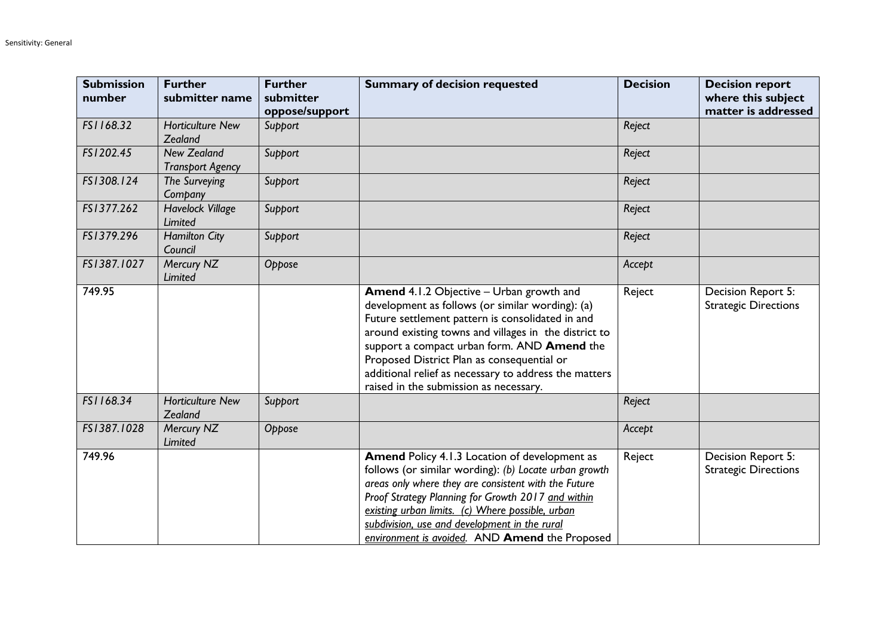| <b>Submission</b><br>number | <b>Further</b><br>submitter name              | <b>Further</b><br>submitter<br>oppose/support | <b>Summary of decision requested</b>                                                                                                                                                                                                                                                                                                                                                                      | <b>Decision</b> | <b>Decision report</b><br>where this subject<br>matter is addressed |
|-----------------------------|-----------------------------------------------|-----------------------------------------------|-----------------------------------------------------------------------------------------------------------------------------------------------------------------------------------------------------------------------------------------------------------------------------------------------------------------------------------------------------------------------------------------------------------|-----------------|---------------------------------------------------------------------|
| FS1168.32                   | <b>Horticulture New</b><br>Zealand            | Support                                       |                                                                                                                                                                                                                                                                                                                                                                                                           | Reject          |                                                                     |
| FS1202.45                   | <b>New Zealand</b><br><b>Transport Agency</b> | Support                                       |                                                                                                                                                                                                                                                                                                                                                                                                           | Reject          |                                                                     |
| FS1308.124                  | The Surveying<br>Company                      | Support                                       |                                                                                                                                                                                                                                                                                                                                                                                                           | Reject          |                                                                     |
| FS1377.262                  | <b>Havelock Village</b><br>Limited            | Support                                       |                                                                                                                                                                                                                                                                                                                                                                                                           | Reject          |                                                                     |
| FS1379.296                  | <b>Hamilton City</b><br>Council               | Support                                       |                                                                                                                                                                                                                                                                                                                                                                                                           | Reject          |                                                                     |
| FS1387.1027                 | Mercury NZ<br>Limited                         | Oppose                                        |                                                                                                                                                                                                                                                                                                                                                                                                           | Accept          |                                                                     |
| 749.95                      |                                               |                                               | Amend 4.1.2 Objective - Urban growth and<br>development as follows (or similar wording): (a)<br>Future settlement pattern is consolidated in and<br>around existing towns and villages in the district to<br>support a compact urban form. AND Amend the<br>Proposed District Plan as consequential or<br>additional relief as necessary to address the matters<br>raised in the submission as necessary. | Reject          | Decision Report 5:<br><b>Strategic Directions</b>                   |
| FS1168.34                   | <b>Horticulture New</b><br>Zealand            | Support                                       |                                                                                                                                                                                                                                                                                                                                                                                                           | Reject          |                                                                     |
| FS1387.1028                 | Mercury NZ<br>Limited                         | Oppose                                        |                                                                                                                                                                                                                                                                                                                                                                                                           | Accept          |                                                                     |
| 749.96                      |                                               |                                               | Amend Policy 4.1.3 Location of development as<br>follows (or similar wording): (b) Locate urban growth<br>areas only where they are consistent with the Future<br>Proof Strategy Planning for Growth 2017 and within<br>existing urban limits. (c) Where possible, urban<br>subdivision, use and development in the rural<br>environment is avoided. AND Amend the Proposed                               | Reject          | Decision Report 5:<br><b>Strategic Directions</b>                   |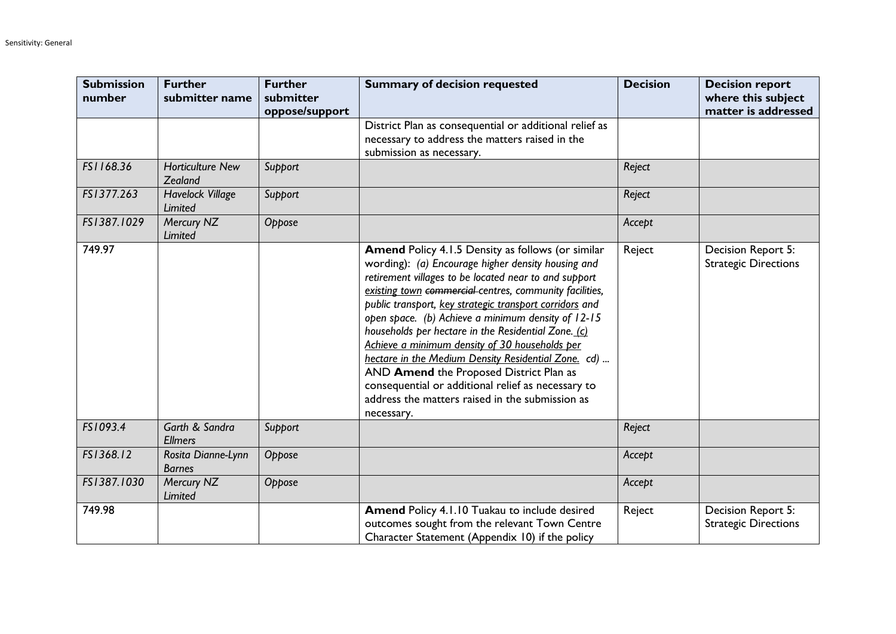| <b>Submission</b><br>number | <b>Further</b><br>submitter name          | <b>Further</b><br>submitter<br>oppose/support | <b>Summary of decision requested</b>                                                                                                                                                                                                                                                                                                                                                                                                                                                                                                                                                                                                                                           | <b>Decision</b> | <b>Decision report</b><br>where this subject<br>matter is addressed |
|-----------------------------|-------------------------------------------|-----------------------------------------------|--------------------------------------------------------------------------------------------------------------------------------------------------------------------------------------------------------------------------------------------------------------------------------------------------------------------------------------------------------------------------------------------------------------------------------------------------------------------------------------------------------------------------------------------------------------------------------------------------------------------------------------------------------------------------------|-----------------|---------------------------------------------------------------------|
|                             |                                           |                                               | District Plan as consequential or additional relief as<br>necessary to address the matters raised in the<br>submission as necessary.                                                                                                                                                                                                                                                                                                                                                                                                                                                                                                                                           |                 |                                                                     |
| FS1168.36                   | <b>Horticulture New</b><br>Zealand        | Support                                       |                                                                                                                                                                                                                                                                                                                                                                                                                                                                                                                                                                                                                                                                                | Reject          |                                                                     |
| FS1377.263                  | <b>Havelock Village</b><br><b>Limited</b> | Support                                       |                                                                                                                                                                                                                                                                                                                                                                                                                                                                                                                                                                                                                                                                                | Reject          |                                                                     |
| FS1387.1029                 | Mercury NZ<br>Limited                     | Oppose                                        |                                                                                                                                                                                                                                                                                                                                                                                                                                                                                                                                                                                                                                                                                | Accept          |                                                                     |
| 749.97                      |                                           |                                               | Amend Policy 4.1.5 Density as follows (or similar<br>wording): (a) Encourage higher density housing and<br>retirement villages to be located near to and support<br>existing town commercial centres, community facilities,<br>public transport, key strategic transport corridors and<br>open space. (b) Achieve a minimum density of 12-15<br>households per hectare in the Residential Zone. (c)<br>Achieve a minimum density of 30 households per<br>hectare in the Medium Density Residential Zone. cd)<br>AND Amend the Proposed District Plan as<br>consequential or additional relief as necessary to<br>address the matters raised in the submission as<br>necessary. | Reject          | Decision Report 5:<br><b>Strategic Directions</b>                   |
| FS1093.4                    | Garth & Sandra<br><b>Ellmers</b>          | Support                                       |                                                                                                                                                                                                                                                                                                                                                                                                                                                                                                                                                                                                                                                                                | Reject          |                                                                     |
| FS1368.12                   | Rosita Dianne-Lynn<br><b>Barnes</b>       | Oppose                                        |                                                                                                                                                                                                                                                                                                                                                                                                                                                                                                                                                                                                                                                                                | Accept          |                                                                     |
| FS1387.1030                 | Mercury NZ<br>Limited                     | Oppose                                        |                                                                                                                                                                                                                                                                                                                                                                                                                                                                                                                                                                                                                                                                                | Accept          |                                                                     |
| 749.98                      |                                           |                                               | Amend Policy 4.1.10 Tuakau to include desired<br>outcomes sought from the relevant Town Centre<br>Character Statement (Appendix 10) if the policy                                                                                                                                                                                                                                                                                                                                                                                                                                                                                                                              | Reject          | Decision Report 5:<br><b>Strategic Directions</b>                   |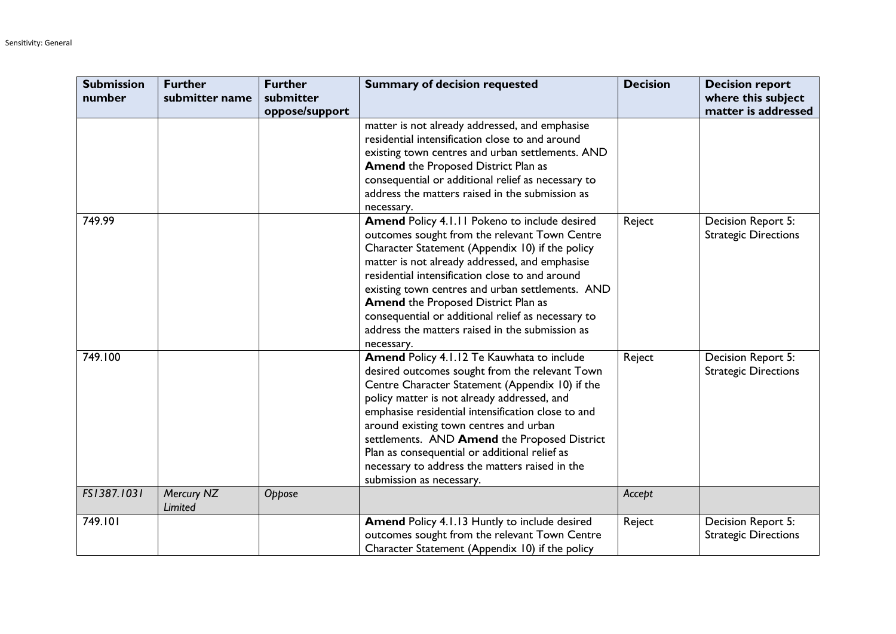| <b>Submission</b><br>number | <b>Further</b><br>submitter name | <b>Further</b><br>submitter | <b>Summary of decision requested</b>                                                                                                                                                                                                                                                                                                                                                                                                                                            | <b>Decision</b> | <b>Decision report</b><br>where this subject      |
|-----------------------------|----------------------------------|-----------------------------|---------------------------------------------------------------------------------------------------------------------------------------------------------------------------------------------------------------------------------------------------------------------------------------------------------------------------------------------------------------------------------------------------------------------------------------------------------------------------------|-----------------|---------------------------------------------------|
|                             |                                  | oppose/support              |                                                                                                                                                                                                                                                                                                                                                                                                                                                                                 |                 | matter is addressed                               |
|                             |                                  |                             | matter is not already addressed, and emphasise<br>residential intensification close to and around<br>existing town centres and urban settlements. AND<br><b>Amend the Proposed District Plan as</b><br>consequential or additional relief as necessary to<br>address the matters raised in the submission as<br>necessary.                                                                                                                                                      |                 |                                                   |
| 749.99                      |                                  |                             | Amend Policy 4.1.11 Pokeno to include desired<br>outcomes sought from the relevant Town Centre<br>Character Statement (Appendix 10) if the policy<br>matter is not already addressed, and emphasise<br>residential intensification close to and around<br>existing town centres and urban settlements. AND<br><b>Amend the Proposed District Plan as</b><br>consequential or additional relief as necessary to<br>address the matters raised in the submission as<br>necessary. | Reject          | Decision Report 5:<br><b>Strategic Directions</b> |
| 749.100                     |                                  |                             | Amend Policy 4.1.12 Te Kauwhata to include<br>desired outcomes sought from the relevant Town<br>Centre Character Statement (Appendix 10) if the<br>policy matter is not already addressed, and<br>emphasise residential intensification close to and<br>around existing town centres and urban<br>settlements. AND Amend the Proposed District<br>Plan as consequential or additional relief as<br>necessary to address the matters raised in the<br>submission as necessary.   | Reject          | Decision Report 5:<br><b>Strategic Directions</b> |
| FS1387.1031                 | Mercury NZ<br>Limited            | Oppose                      |                                                                                                                                                                                                                                                                                                                                                                                                                                                                                 | Accept          |                                                   |
| 749.101                     |                                  |                             | Amend Policy 4.1.13 Huntly to include desired<br>outcomes sought from the relevant Town Centre<br>Character Statement (Appendix 10) if the policy                                                                                                                                                                                                                                                                                                                               | Reject          | Decision Report 5:<br><b>Strategic Directions</b> |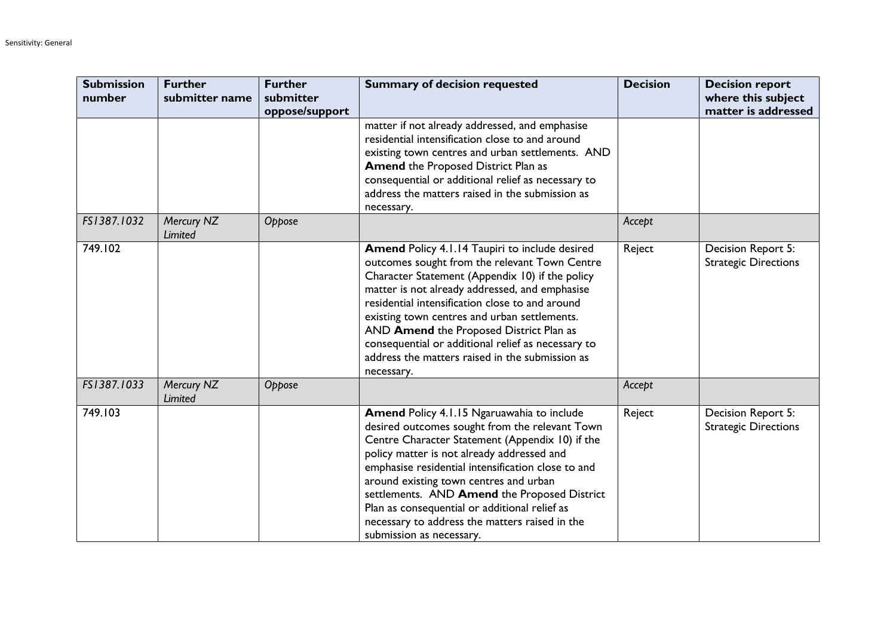| <b>Submission</b><br>number | <b>Further</b><br>submitter name | <b>Further</b><br>submitter | <b>Summary of decision requested</b>                                                                                                                                                                                                                                                                                                                                                                                                                                         | <b>Decision</b> | <b>Decision report</b><br>where this subject<br>matter is addressed |
|-----------------------------|----------------------------------|-----------------------------|------------------------------------------------------------------------------------------------------------------------------------------------------------------------------------------------------------------------------------------------------------------------------------------------------------------------------------------------------------------------------------------------------------------------------------------------------------------------------|-----------------|---------------------------------------------------------------------|
|                             |                                  | oppose/support              | matter if not already addressed, and emphasise<br>residential intensification close to and around<br>existing town centres and urban settlements. AND<br><b>Amend the Proposed District Plan as</b><br>consequential or additional relief as necessary to<br>address the matters raised in the submission as<br>necessary.                                                                                                                                                   |                 |                                                                     |
| FS1387.1032                 | Mercury NZ<br>Limited            | Oppose                      |                                                                                                                                                                                                                                                                                                                                                                                                                                                                              | Accept          |                                                                     |
| 749.102                     |                                  |                             | Amend Policy 4.1.14 Taupiri to include desired<br>outcomes sought from the relevant Town Centre<br>Character Statement (Appendix 10) if the policy<br>matter is not already addressed, and emphasise<br>residential intensification close to and around<br>existing town centres and urban settlements.<br>AND Amend the Proposed District Plan as<br>consequential or additional relief as necessary to<br>address the matters raised in the submission as<br>necessary.    | Reject          | Decision Report 5:<br><b>Strategic Directions</b>                   |
| FS1387.1033                 | Mercury NZ<br>Limited            | Oppose                      |                                                                                                                                                                                                                                                                                                                                                                                                                                                                              | Accept          |                                                                     |
| 749.103                     |                                  |                             | Amend Policy 4.1.15 Ngaruawahia to include<br>desired outcomes sought from the relevant Town<br>Centre Character Statement (Appendix 10) if the<br>policy matter is not already addressed and<br>emphasise residential intensification close to and<br>around existing town centres and urban<br>settlements. AND Amend the Proposed District<br>Plan as consequential or additional relief as<br>necessary to address the matters raised in the<br>submission as necessary. | Reject          | Decision Report 5:<br><b>Strategic Directions</b>                   |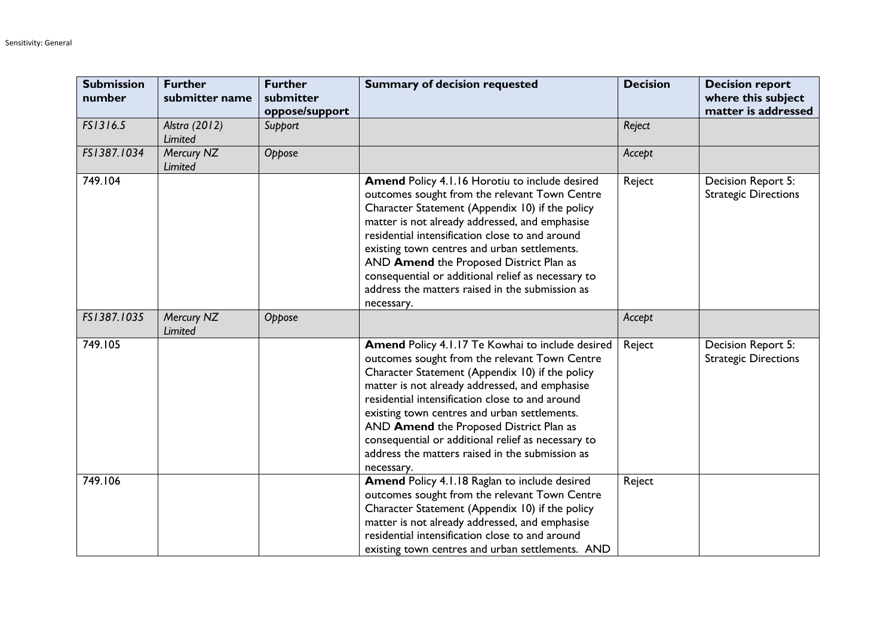| <b>Submission</b><br>number | <b>Further</b><br>submitter name | <b>Further</b><br>submitter<br>oppose/support | <b>Summary of decision requested</b>                                                                                                                                                                                                                                                                                                                                                                                                                                        | <b>Decision</b> | <b>Decision report</b><br>where this subject<br>matter is addressed |
|-----------------------------|----------------------------------|-----------------------------------------------|-----------------------------------------------------------------------------------------------------------------------------------------------------------------------------------------------------------------------------------------------------------------------------------------------------------------------------------------------------------------------------------------------------------------------------------------------------------------------------|-----------------|---------------------------------------------------------------------|
| FS1316.5                    | Alstra (2012)<br>Limited         | Support                                       |                                                                                                                                                                                                                                                                                                                                                                                                                                                                             | Reject          |                                                                     |
| FS1387.1034                 | Mercury NZ<br>Limited            | Oppose                                        |                                                                                                                                                                                                                                                                                                                                                                                                                                                                             | Accept          |                                                                     |
| 749.104                     |                                  |                                               | Amend Policy 4.1.16 Horotiu to include desired<br>outcomes sought from the relevant Town Centre<br>Character Statement (Appendix 10) if the policy<br>matter is not already addressed, and emphasise<br>residential intensification close to and around<br>existing town centres and urban settlements.<br>AND Amend the Proposed District Plan as<br>consequential or additional relief as necessary to<br>address the matters raised in the submission as<br>necessary.   | Reject          | Decision Report 5:<br><b>Strategic Directions</b>                   |
| FS1387.1035                 | Mercury NZ<br>Limited            | Oppose                                        |                                                                                                                                                                                                                                                                                                                                                                                                                                                                             | Accept          |                                                                     |
| 749.105                     |                                  |                                               | Amend Policy 4.1.17 Te Kowhai to include desired<br>outcomes sought from the relevant Town Centre<br>Character Statement (Appendix 10) if the policy<br>matter is not already addressed, and emphasise<br>residential intensification close to and around<br>existing town centres and urban settlements.<br>AND Amend the Proposed District Plan as<br>consequential or additional relief as necessary to<br>address the matters raised in the submission as<br>necessary. | Reject          | Decision Report 5:<br><b>Strategic Directions</b>                   |
| 749.106                     |                                  |                                               | Amend Policy 4.1.18 Raglan to include desired<br>outcomes sought from the relevant Town Centre<br>Character Statement (Appendix 10) if the policy<br>matter is not already addressed, and emphasise<br>residential intensification close to and around<br>existing town centres and urban settlements. AND                                                                                                                                                                  | Reject          |                                                                     |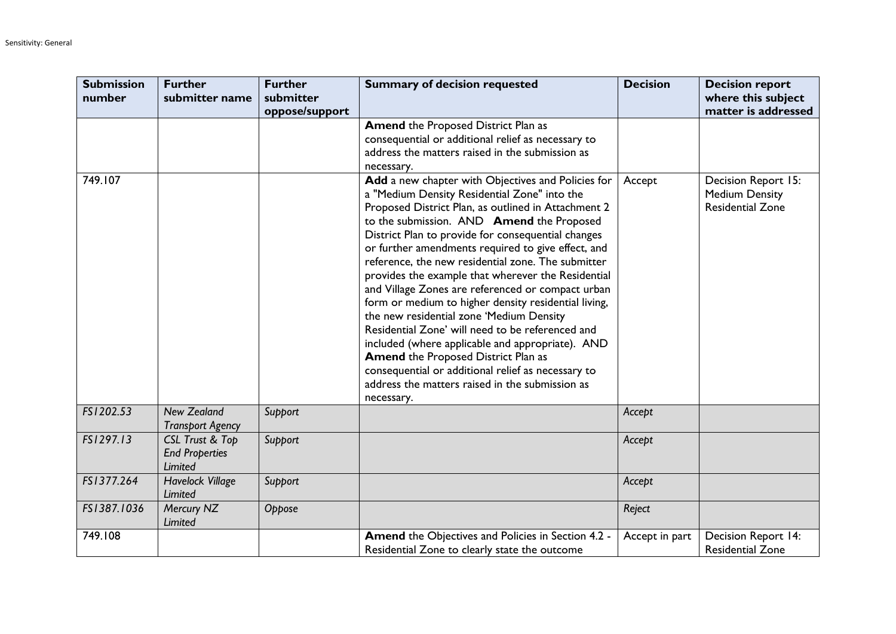| <b>Submission</b><br>number | <b>Further</b><br>submitter name                                      | <b>Further</b><br>submitter | <b>Summary of decision requested</b>                                                                                                                                                                                                                                                                                                                                                                                                                                                                                                                                                                                                                                                                                                                                                                                                                                 | <b>Decision</b> | <b>Decision report</b><br>where this subject                            |
|-----------------------------|-----------------------------------------------------------------------|-----------------------------|----------------------------------------------------------------------------------------------------------------------------------------------------------------------------------------------------------------------------------------------------------------------------------------------------------------------------------------------------------------------------------------------------------------------------------------------------------------------------------------------------------------------------------------------------------------------------------------------------------------------------------------------------------------------------------------------------------------------------------------------------------------------------------------------------------------------------------------------------------------------|-----------------|-------------------------------------------------------------------------|
|                             |                                                                       | oppose/support              |                                                                                                                                                                                                                                                                                                                                                                                                                                                                                                                                                                                                                                                                                                                                                                                                                                                                      |                 | matter is addressed                                                     |
|                             |                                                                       |                             | <b>Amend the Proposed District Plan as</b><br>consequential or additional relief as necessary to<br>address the matters raised in the submission as<br>necessary.                                                                                                                                                                                                                                                                                                                                                                                                                                                                                                                                                                                                                                                                                                    |                 |                                                                         |
| 749.107                     |                                                                       |                             | Add a new chapter with Objectives and Policies for<br>a "Medium Density Residential Zone" into the<br>Proposed District Plan, as outlined in Attachment 2<br>to the submission. AND Amend the Proposed<br>District Plan to provide for consequential changes<br>or further amendments required to give effect, and<br>reference, the new residential zone. The submitter<br>provides the example that wherever the Residential<br>and Village Zones are referenced or compact urban<br>form or medium to higher density residential living,<br>the new residential zone 'Medium Density<br>Residential Zone' will need to be referenced and<br>included (where applicable and appropriate). AND<br><b>Amend the Proposed District Plan as</b><br>consequential or additional relief as necessary to<br>address the matters raised in the submission as<br>necessary. | Accept          | Decision Report 15:<br><b>Medium Density</b><br><b>Residential Zone</b> |
| FS1202.53                   | <b>New Zealand</b><br><b>Transport Agency</b>                         | Support                     |                                                                                                                                                                                                                                                                                                                                                                                                                                                                                                                                                                                                                                                                                                                                                                                                                                                                      | Accept          |                                                                         |
| FS1297.13                   | <b>CSL Trust &amp; Top</b><br><b>End Properties</b><br><b>Limited</b> | Support                     |                                                                                                                                                                                                                                                                                                                                                                                                                                                                                                                                                                                                                                                                                                                                                                                                                                                                      | Accept          |                                                                         |
| FS1377.264                  | <b>Havelock Village</b><br>Limited                                    | Support                     |                                                                                                                                                                                                                                                                                                                                                                                                                                                                                                                                                                                                                                                                                                                                                                                                                                                                      | Accept          |                                                                         |
| FS1387.1036                 | Mercury NZ<br>Limited                                                 | Oppose                      |                                                                                                                                                                                                                                                                                                                                                                                                                                                                                                                                                                                                                                                                                                                                                                                                                                                                      | Reject          |                                                                         |
| 749.108                     |                                                                       |                             | Amend the Objectives and Policies in Section 4.2 -<br>Residential Zone to clearly state the outcome                                                                                                                                                                                                                                                                                                                                                                                                                                                                                                                                                                                                                                                                                                                                                                  | Accept in part  | Decision Report 14:<br><b>Residential Zone</b>                          |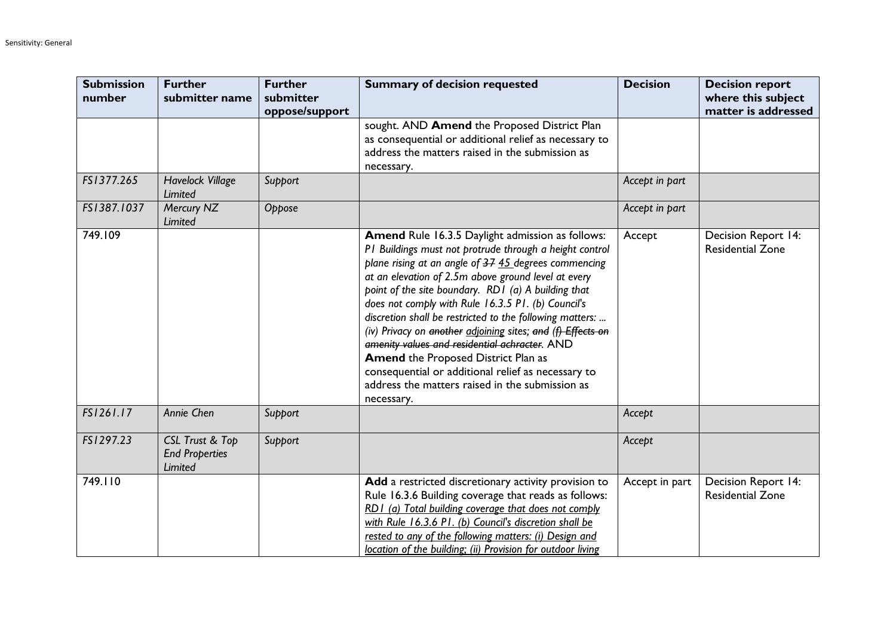| <b>Submission</b><br>number | <b>Further</b><br>submitter name                           | <b>Further</b><br>submitter<br>oppose/support | <b>Summary of decision requested</b>                                                                                                                                                                                                                                                                                                                                                                                                                                                                                                                                                                                                                                                     | <b>Decision</b> | <b>Decision report</b><br>where this subject<br>matter is addressed |
|-----------------------------|------------------------------------------------------------|-----------------------------------------------|------------------------------------------------------------------------------------------------------------------------------------------------------------------------------------------------------------------------------------------------------------------------------------------------------------------------------------------------------------------------------------------------------------------------------------------------------------------------------------------------------------------------------------------------------------------------------------------------------------------------------------------------------------------------------------------|-----------------|---------------------------------------------------------------------|
|                             |                                                            |                                               | sought. AND Amend the Proposed District Plan<br>as consequential or additional relief as necessary to<br>address the matters raised in the submission as<br>necessary.                                                                                                                                                                                                                                                                                                                                                                                                                                                                                                                   |                 |                                                                     |
| FS1377.265                  | <b>Havelock Village</b><br><b>Limited</b>                  | Support                                       |                                                                                                                                                                                                                                                                                                                                                                                                                                                                                                                                                                                                                                                                                          | Accept in part  |                                                                     |
| FS1387.1037                 | Mercury NZ<br><b>Limited</b>                               | Oppose                                        |                                                                                                                                                                                                                                                                                                                                                                                                                                                                                                                                                                                                                                                                                          | Accept in part  |                                                                     |
| 749.109                     |                                                            |                                               | Amend Rule 16.3.5 Daylight admission as follows:<br>PI Buildings must not protrude through a height control<br>plane rising at an angle of 37 45 degrees commencing<br>at an elevation of 2.5m above ground level at every<br>point of the site boundary. RD1 (a) A building that<br>does not comply with Rule 16.3.5 P1. (b) Council's<br>discretion shall be restricted to the following matters:<br>(iv) Privacy on another adjoining sites; and (f) Effects on<br>amenity values and residential achracter. AND<br><b>Amend the Proposed District Plan as</b><br>consequential or additional relief as necessary to<br>address the matters raised in the submission as<br>necessary. | Accept          | Decision Report 14:<br><b>Residential Zone</b>                      |
| FS1261.17                   | Annie Chen                                                 | Support                                       |                                                                                                                                                                                                                                                                                                                                                                                                                                                                                                                                                                                                                                                                                          | Accept          |                                                                     |
| FS1297.23                   | CSL Trust & Top<br><b>End Properties</b><br><b>Limited</b> | Support                                       |                                                                                                                                                                                                                                                                                                                                                                                                                                                                                                                                                                                                                                                                                          | Accept          |                                                                     |
| 749.110                     |                                                            |                                               | Add a restricted discretionary activity provision to<br>Rule 16.3.6 Building coverage that reads as follows:<br>RD1 (a) Total building coverage that does not comply<br>with Rule 16.3.6 P1. (b) Council's discretion shall be<br>rested to any of the following matters: (i) Design and<br>location of the building; (ii) Provision for outdoor living                                                                                                                                                                                                                                                                                                                                  | Accept in part  | Decision Report 14:<br><b>Residential Zone</b>                      |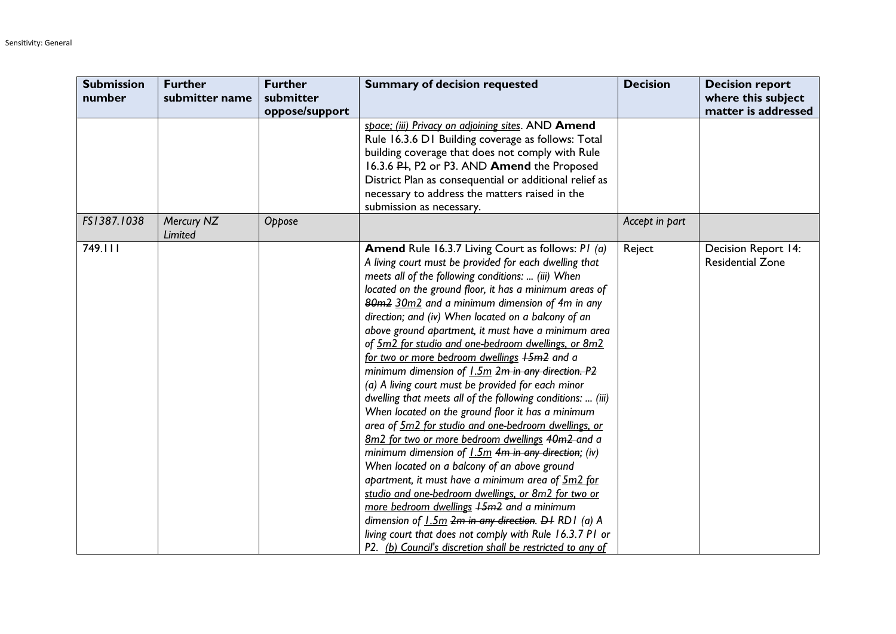| <b>Submission</b> | <b>Further</b>        | <b>Further</b> | <b>Summary of decision requested</b>                        | <b>Decision</b> | <b>Decision report</b>  |
|-------------------|-----------------------|----------------|-------------------------------------------------------------|-----------------|-------------------------|
| number            | submitter name        | submitter      |                                                             |                 | where this subject      |
|                   |                       | oppose/support |                                                             |                 | matter is addressed     |
|                   |                       |                | space; (iii) Privacy on adjoining sites. AND Amend          |                 |                         |
|                   |                       |                | Rule 16.3.6 D1 Building coverage as follows: Total          |                 |                         |
|                   |                       |                | building coverage that does not comply with Rule            |                 |                         |
|                   |                       |                | 16.3.6 PH, P2 or P3. AND Amend the Proposed                 |                 |                         |
|                   |                       |                | District Plan as consequential or additional relief as      |                 |                         |
|                   |                       |                | necessary to address the matters raised in the              |                 |                         |
|                   |                       |                | submission as necessary.                                    |                 |                         |
| FS1387.1038       | Mercury NZ<br>Limited | Oppose         |                                                             | Accept in part  |                         |
| 749.111           |                       |                | <b>Amend</b> Rule 16.3.7 Living Court as follows: PI (a)    | Reject          | Decision Report 14:     |
|                   |                       |                | A living court must be provided for each dwelling that      |                 | <b>Residential Zone</b> |
|                   |                       |                | meets all of the following conditions:  (iii) When          |                 |                         |
|                   |                       |                | located on the ground floor, it has a minimum areas of      |                 |                         |
|                   |                       |                | 80m2 30m2 and a minimum dimension of 4m in any              |                 |                         |
|                   |                       |                | direction; and (iv) When located on a balcony of an         |                 |                         |
|                   |                       |                | above ground apartment, it must have a minimum area         |                 |                         |
|                   |                       |                | of 5m2 for studio and one-bedroom dwellings, or 8m2         |                 |                         |
|                   |                       |                | for two or more bedroom dwellings +5m2 and a                |                 |                         |
|                   |                       |                | minimum dimension of 1.5m 2m in any direction. P2           |                 |                         |
|                   |                       |                | (a) A living court must be provided for each minor          |                 |                         |
|                   |                       |                | dwelling that meets all of the following conditions:  (iii) |                 |                         |
|                   |                       |                | When located on the ground floor it has a minimum           |                 |                         |
|                   |                       |                | area of 5m2 for studio and one-bedroom dwellings, or        |                 |                         |
|                   |                       |                | 8m2 for two or more bedroom dwellings 40m2 and a            |                 |                         |
|                   |                       |                | minimum dimension of 1.5m 4m in any direction; (iv)         |                 |                         |
|                   |                       |                | When located on a balcony of an above ground                |                 |                         |
|                   |                       |                | apartment, it must have a minimum area of 5m2 for           |                 |                         |
|                   |                       |                | studio and one-bedroom dwellings, or 8m2 for two or         |                 |                         |
|                   |                       |                | more bedroom dwellings +5m2 and a minimum                   |                 |                         |
|                   |                       |                | dimension of 1.5m 2m in any direction. DI RD1 (a) A         |                 |                         |
|                   |                       |                | living court that does not comply with Rule 16.3.7 P1 or    |                 |                         |
|                   |                       |                | P2. (b) Council's discretion shall be restricted to any of  |                 |                         |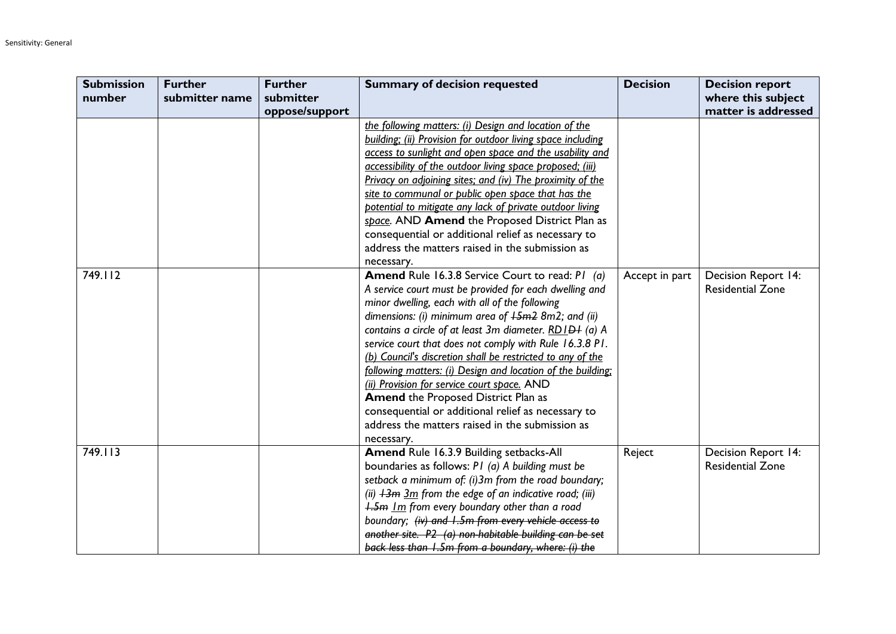| <b>Submission</b> | <b>Further</b> | <b>Further</b> | <b>Summary of decision requested</b>                        | <b>Decision</b> | <b>Decision report</b>     |
|-------------------|----------------|----------------|-------------------------------------------------------------|-----------------|----------------------------|
| number            | submitter name | submitter      |                                                             |                 | where this subject         |
|                   |                | oppose/support |                                                             |                 | matter is addressed        |
|                   |                |                | the following matters: (i) Design and location of the       |                 |                            |
|                   |                |                | building; (ii) Provision for outdoor living space including |                 |                            |
|                   |                |                | access to sunlight and open space and the usability and     |                 |                            |
|                   |                |                | accessibility of the outdoor living space proposed; (iii)   |                 |                            |
|                   |                |                | Privacy on adjoining sites; and (iv) The proximity of the   |                 |                            |
|                   |                |                | site to communal or public open space that has the          |                 |                            |
|                   |                |                | potential to mitigate any lack of private outdoor living    |                 |                            |
|                   |                |                | space. AND Amend the Proposed District Plan as              |                 |                            |
|                   |                |                | consequential or additional relief as necessary to          |                 |                            |
|                   |                |                | address the matters raised in the submission as             |                 |                            |
|                   |                |                | necessary.                                                  |                 |                            |
| 749.112           |                |                | <b>Amend Rule 16.3.8 Service Court to read: P1 (a)</b>      | Accept in part  | <b>Decision Report 14:</b> |
|                   |                |                | A service court must be provided for each dwelling and      |                 | <b>Residential Zone</b>    |
|                   |                |                | minor dwelling, each with all of the following              |                 |                            |
|                   |                |                | dimensions: (i) minimum area of $+5m^2$ 8m2; and (ii)       |                 |                            |
|                   |                |                | contains a circle of at least 3m diameter. RD LD+ (a) A     |                 |                            |
|                   |                |                | service court that does not comply with Rule 16.3.8 P1.     |                 |                            |
|                   |                |                | (b) Council's discretion shall be restricted to any of the  |                 |                            |
|                   |                |                | following matters: (i) Design and location of the building: |                 |                            |
|                   |                |                | (ii) Provision for service court space. AND                 |                 |                            |
|                   |                |                | <b>Amend the Proposed District Plan as</b>                  |                 |                            |
|                   |                |                | consequential or additional relief as necessary to          |                 |                            |
|                   |                |                | address the matters raised in the submission as             |                 |                            |
|                   |                |                | necessary.                                                  |                 |                            |
| 749.113           |                |                | Amend Rule 16.3.9 Building setbacks-All                     | Reject          | Decision Report 14:        |
|                   |                |                | boundaries as follows: P1 (a) A building must be            |                 | <b>Residential Zone</b>    |
|                   |                |                | setback a minimum of: (i)3m from the road boundary;         |                 |                            |
|                   |                |                | (ii) $13m$ 3m from the edge of an indicative road; (iii)    |                 |                            |
|                   |                |                | 1.5m Im from every boundary other than a road               |                 |                            |
|                   |                |                | boundary; (iv) and 1.5m from every vehicle access to        |                 |                            |
|                   |                |                | another site. P2 (a) non-habitable building can be set      |                 |                            |
|                   |                |                | back less than 1.5m from a boundary, where: (i) the         |                 |                            |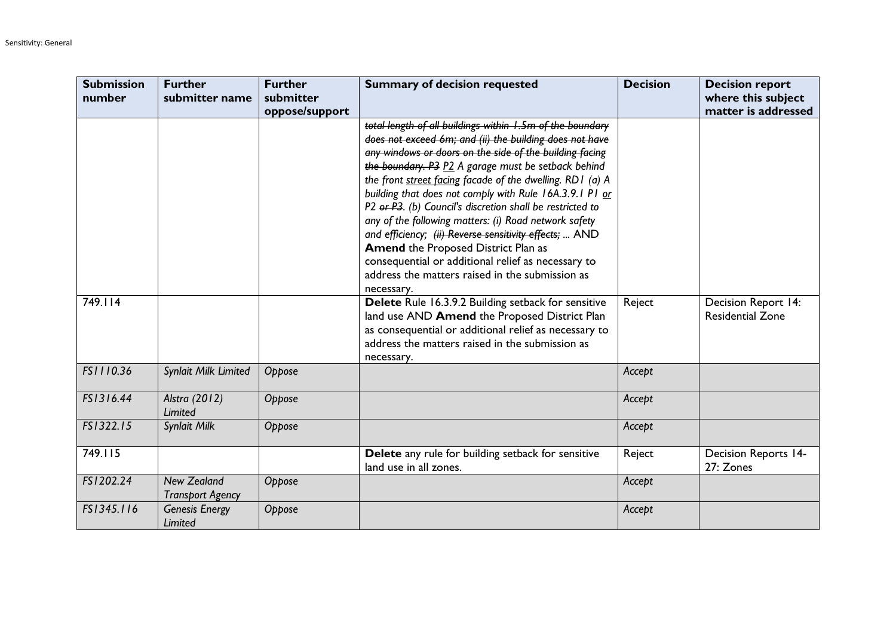| <b>Submission</b><br>number | <b>Further</b><br>submitter name              | <b>Further</b><br>submitter | <b>Summary of decision requested</b>                                                                                                                                                                                                                                                                                                                                                                                                                                                                                                                                                                                                                                                                   | <b>Decision</b> | <b>Decision report</b><br>where this subject   |
|-----------------------------|-----------------------------------------------|-----------------------------|--------------------------------------------------------------------------------------------------------------------------------------------------------------------------------------------------------------------------------------------------------------------------------------------------------------------------------------------------------------------------------------------------------------------------------------------------------------------------------------------------------------------------------------------------------------------------------------------------------------------------------------------------------------------------------------------------------|-----------------|------------------------------------------------|
|                             |                                               | oppose/support              |                                                                                                                                                                                                                                                                                                                                                                                                                                                                                                                                                                                                                                                                                                        |                 | matter is addressed                            |
|                             |                                               |                             | total length of all buildings within 1.5m of the boundary<br>does not exceed 6m; and (ii) the building does not have<br>any windows or doors on the side of the building facing<br>the boundary. P3 P2 A garage must be setback behind<br>the front street facing facade of the dwelling. RD I (a) A<br>building that does not comply with Rule 16A.3.9.1 P1 or<br>P2 or P3. (b) Council's discretion shall be restricted to<br>any of the following matters: (i) Road network safety<br>and efficiency; (ii) Reverse sensitivity effects;  AND<br><b>Amend the Proposed District Plan as</b><br>consequential or additional relief as necessary to<br>address the matters raised in the submission as |                 |                                                |
| 749.114                     |                                               |                             | necessary.<br>Delete Rule 16.3.9.2 Building setback for sensitive<br>land use AND Amend the Proposed District Plan<br>as consequential or additional relief as necessary to<br>address the matters raised in the submission as<br>necessary.                                                                                                                                                                                                                                                                                                                                                                                                                                                           | Reject          | Decision Report 14:<br><b>Residential Zone</b> |
| FS1110.36                   | Synlait Milk Limited                          | Oppose                      |                                                                                                                                                                                                                                                                                                                                                                                                                                                                                                                                                                                                                                                                                                        | Accept          |                                                |
| FS1316.44                   | Alstra (2012)<br>Limited                      | Oppose                      |                                                                                                                                                                                                                                                                                                                                                                                                                                                                                                                                                                                                                                                                                                        | Accept          |                                                |
| FS1322.15                   | Synlait Milk                                  | Oppose                      |                                                                                                                                                                                                                                                                                                                                                                                                                                                                                                                                                                                                                                                                                                        | Accept          |                                                |
| 749.115                     |                                               |                             | Delete any rule for building setback for sensitive<br>land use in all zones.                                                                                                                                                                                                                                                                                                                                                                                                                                                                                                                                                                                                                           | Reject          | <b>Decision Reports 14-</b><br>27: Zones       |
| FS1202.24                   | <b>New Zealand</b><br><b>Transport Agency</b> | Oppose                      |                                                                                                                                                                                                                                                                                                                                                                                                                                                                                                                                                                                                                                                                                                        | Accept          |                                                |
| FS1345.116                  | <b>Genesis Energy</b><br>Limited              | Oppose                      |                                                                                                                                                                                                                                                                                                                                                                                                                                                                                                                                                                                                                                                                                                        | Accept          |                                                |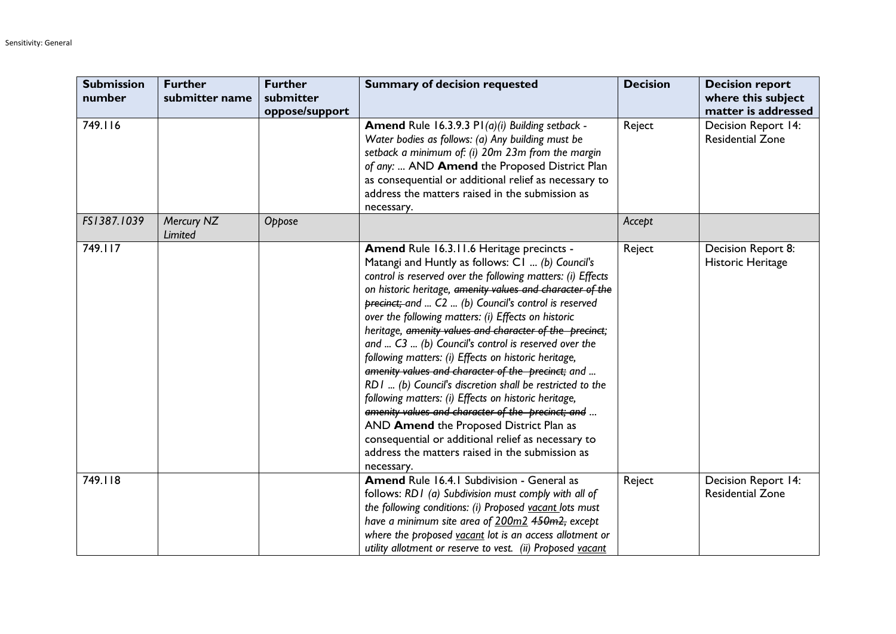| <b>Submission</b><br>number | <b>Further</b><br>submitter name | <b>Further</b><br>submitter | <b>Summary of decision requested</b>                                                                                                                                                                                                                                                                                                                                                                                                                                                                                                                                                                                                                                                                                                                                                                                                                                                                               | <b>Decision</b> | <b>Decision report</b><br>where this subject   |
|-----------------------------|----------------------------------|-----------------------------|--------------------------------------------------------------------------------------------------------------------------------------------------------------------------------------------------------------------------------------------------------------------------------------------------------------------------------------------------------------------------------------------------------------------------------------------------------------------------------------------------------------------------------------------------------------------------------------------------------------------------------------------------------------------------------------------------------------------------------------------------------------------------------------------------------------------------------------------------------------------------------------------------------------------|-----------------|------------------------------------------------|
|                             |                                  | oppose/support              |                                                                                                                                                                                                                                                                                                                                                                                                                                                                                                                                                                                                                                                                                                                                                                                                                                                                                                                    |                 | matter is addressed                            |
| 749.116                     |                                  |                             | Amend Rule 16.3.9.3 P1(a)(i) Building setback -<br>Water bodies as follows: (a) Any building must be<br>setback a minimum of: (i) 20m 23m from the margin<br>of any:  AND Amend the Proposed District Plan<br>as consequential or additional relief as necessary to<br>address the matters raised in the submission as<br>necessary.                                                                                                                                                                                                                                                                                                                                                                                                                                                                                                                                                                               | Reject          | Decision Report 14:<br><b>Residential Zone</b> |
| FS1387.1039                 | Mercury NZ<br>Limited            | Oppose                      |                                                                                                                                                                                                                                                                                                                                                                                                                                                                                                                                                                                                                                                                                                                                                                                                                                                                                                                    | Accept          |                                                |
| 749.117                     |                                  |                             | Amend Rule 16.3.11.6 Heritage precincts -<br>Matangi and Huntly as follows: C1  (b) Council's<br>control is reserved over the following matters: (i) Effects<br>on historic heritage, amenity values and character of the<br>precinct; and  C2  (b) Council's control is reserved<br>over the following matters: (i) Effects on historic<br>heritage, amenity values and character of the precinct;<br>and $C3$ (b) Council's control is reserved over the<br>following matters: (i) Effects on historic heritage,<br>amenity values and character of the precinct; and<br>RD1  (b) Council's discretion shall be restricted to the<br>following matters: (i) Effects on historic heritage,<br>amenity values and character of the precinct; and<br>AND Amend the Proposed District Plan as<br>consequential or additional relief as necessary to<br>address the matters raised in the submission as<br>necessary. | Reject          | Decision Report 8:<br>Historic Heritage        |
| 749.118                     |                                  |                             | Amend Rule 16.4.1 Subdivision - General as<br>follows: RD1 (a) Subdivision must comply with all of<br>the following conditions: (i) Proposed vacant lots must<br>have a minimum site area of 200m2 450m2, except<br>where the proposed vacant lot is an access allotment or<br>utility allotment or reserve to vest. (ii) Proposed vacant                                                                                                                                                                                                                                                                                                                                                                                                                                                                                                                                                                          | Reject          | Decision Report 14:<br><b>Residential Zone</b> |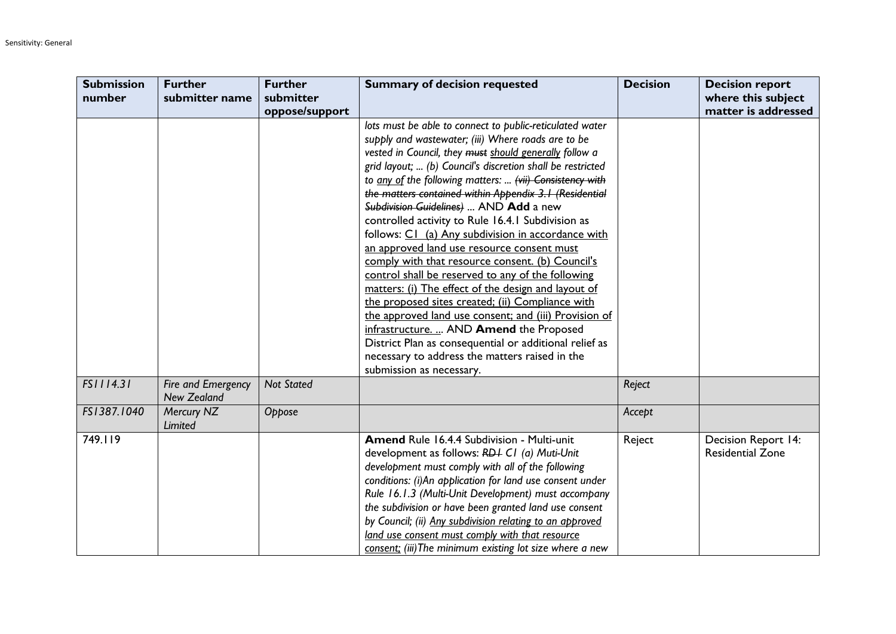| <b>Submission</b> | <b>Further</b>                           | <b>Further</b>    | <b>Summary of decision requested</b>                                                                                                                                                                                                                                                                                                                                                                                                                                                                                                                                                                                                                                                                                                                                                                                                         | <b>Decision</b> | <b>Decision report</b>                         |
|-------------------|------------------------------------------|-------------------|----------------------------------------------------------------------------------------------------------------------------------------------------------------------------------------------------------------------------------------------------------------------------------------------------------------------------------------------------------------------------------------------------------------------------------------------------------------------------------------------------------------------------------------------------------------------------------------------------------------------------------------------------------------------------------------------------------------------------------------------------------------------------------------------------------------------------------------------|-----------------|------------------------------------------------|
| number            | submitter name                           | submitter         |                                                                                                                                                                                                                                                                                                                                                                                                                                                                                                                                                                                                                                                                                                                                                                                                                                              |                 | where this subject                             |
|                   |                                          | oppose/support    |                                                                                                                                                                                                                                                                                                                                                                                                                                                                                                                                                                                                                                                                                                                                                                                                                                              |                 | matter is addressed                            |
|                   |                                          |                   | lots must be able to connect to public-reticulated water<br>supply and wastewater; (iii) Where roads are to be<br>vested in Council, they must should generally follow a<br>grid layout;  (b) Council's discretion shall be restricted<br>to any of the following matters:  (vii) Consistency with<br>the matters contained within Appendix 3.1 (Residential<br>Subdivision Guidelines)  AND Add a new<br>controlled activity to Rule 16.4.1 Subdivision as<br>follows: C1 (a) Any subdivision in accordance with<br>an approved land use resource consent must<br>comply with that resource consent. (b) Council's<br>control shall be reserved to any of the following<br>matters: (i) The effect of the design and layout of<br>the proposed sites created; (ii) Compliance with<br>the approved land use consent; and (iii) Provision of |                 |                                                |
|                   |                                          |                   | infrastructure.  AND Amend the Proposed<br>District Plan as consequential or additional relief as<br>necessary to address the matters raised in the<br>submission as necessary.                                                                                                                                                                                                                                                                                                                                                                                                                                                                                                                                                                                                                                                              |                 |                                                |
| FS1114.31         | Fire and Emergency<br><b>New Zealand</b> | <b>Not Stated</b> |                                                                                                                                                                                                                                                                                                                                                                                                                                                                                                                                                                                                                                                                                                                                                                                                                                              | Reject          |                                                |
| FS1387.1040       | Mercury NZ<br>Limited                    | Oppose            |                                                                                                                                                                                                                                                                                                                                                                                                                                                                                                                                                                                                                                                                                                                                                                                                                                              | Accept          |                                                |
| 749.119           |                                          |                   | Amend Rule 16.4.4 Subdivision - Multi-unit<br>development as follows: RD+ C1 (a) Muti-Unit<br>development must comply with all of the following<br>conditions: (i)An application for land use consent under<br>Rule 16.1.3 (Multi-Unit Development) must accompany<br>the subdivision or have been granted land use consent<br>by Council; (ii) Any subdivision relating to an approved<br>land use consent must comply with that resource<br>consent; (iii) The minimum existing lot size where a new                                                                                                                                                                                                                                                                                                                                       | Reject          | Decision Report 14:<br><b>Residential Zone</b> |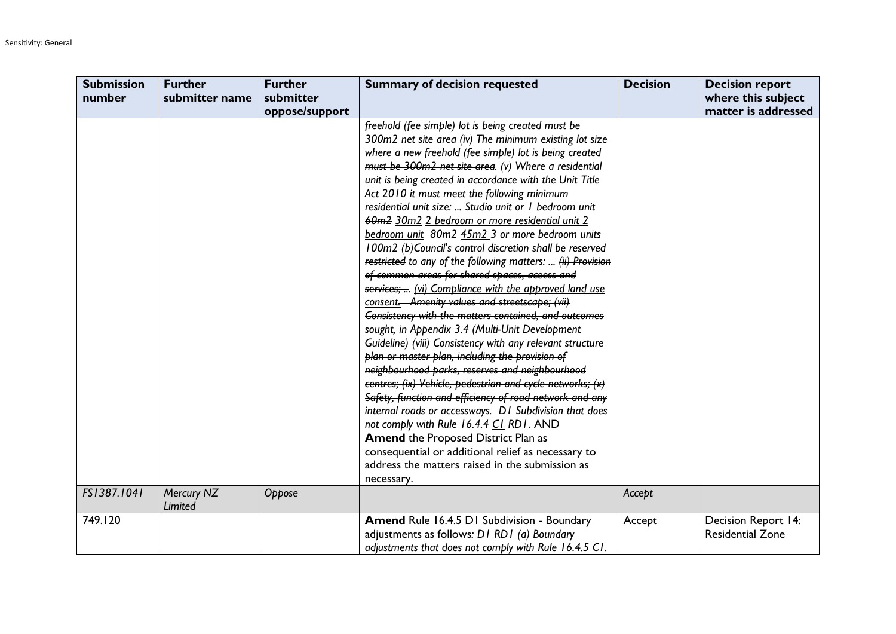| <b>Submission</b> | <b>Further</b>        | <b>Further</b> | <b>Summary of decision requested</b>                                                                                                                                                                                                                                                                                                                                                                                                                                                                                                                                                                                                                                                                                                                                                                                                                                                                                                                                                                                                                                                                                                                                                                                                                                                                                                                                                                                                                                                | <b>Decision</b> | <b>Decision report</b>                                |
|-------------------|-----------------------|----------------|-------------------------------------------------------------------------------------------------------------------------------------------------------------------------------------------------------------------------------------------------------------------------------------------------------------------------------------------------------------------------------------------------------------------------------------------------------------------------------------------------------------------------------------------------------------------------------------------------------------------------------------------------------------------------------------------------------------------------------------------------------------------------------------------------------------------------------------------------------------------------------------------------------------------------------------------------------------------------------------------------------------------------------------------------------------------------------------------------------------------------------------------------------------------------------------------------------------------------------------------------------------------------------------------------------------------------------------------------------------------------------------------------------------------------------------------------------------------------------------|-----------------|-------------------------------------------------------|
| number            | submitter name        | submitter      |                                                                                                                                                                                                                                                                                                                                                                                                                                                                                                                                                                                                                                                                                                                                                                                                                                                                                                                                                                                                                                                                                                                                                                                                                                                                                                                                                                                                                                                                                     |                 | where this subject                                    |
|                   |                       | oppose/support |                                                                                                                                                                                                                                                                                                                                                                                                                                                                                                                                                                                                                                                                                                                                                                                                                                                                                                                                                                                                                                                                                                                                                                                                                                                                                                                                                                                                                                                                                     |                 | matter is addressed                                   |
|                   |                       |                | freehold (fee simple) lot is being created must be<br>300m2 net site area (iv) The minimum existing lot size<br>where a new freehold (fee simple) lot is being created<br>must be 300m2 net site area. (v) Where a residential<br>unit is being created in accordance with the Unit Title<br>Act 2010 it must meet the following minimum<br>residential unit size:  Studio unit or I bedroom unit<br>60m2 30m2 2 bedroom or more residential unit 2<br>bedroom unit 80m2-45m2 3 or more bedroom units<br><b>100m2</b> (b)Council's control discretion shall be reserved<br>restricted to any of the following matters:  (ii) Provision<br>of common areas for shared spaces, aceess and<br>services;  (vi) Compliance with the approved land use<br>consent. Amenity values and streetscape; (vii)<br>Consistency with the matters contained, and outcomes<br>sought, in Appendix 3.4 (Multi-Unit Development<br>Guideline) (viii) Consistency with any relevant structure<br>plan or master plan, including the provision of<br>neighbourhood parks, reserves and neighbourhood<br>centres; (ix) Vehicle, pedestrian and cycle networks; (x)<br>Safety, function and efficiency of road network and any<br>internal roads or accessways. D I Subdivision that does<br>not comply with Rule 16.4.4 CI RDI. AND<br><b>Amend the Proposed District Plan as</b><br>consequential or additional relief as necessary to<br>address the matters raised in the submission as<br>necessary. |                 |                                                       |
| FS1387.1041       | Mercury NZ<br>Limited | Oppose         |                                                                                                                                                                                                                                                                                                                                                                                                                                                                                                                                                                                                                                                                                                                                                                                                                                                                                                                                                                                                                                                                                                                                                                                                                                                                                                                                                                                                                                                                                     | Accept          |                                                       |
| 749.120           |                       |                | Amend Rule 16.4.5 D1 Subdivision - Boundary<br>adjustments as follows: $D+RDI$ (a) Boundary<br>adjustments that does not comply with Rule 16.4.5 CI.                                                                                                                                                                                                                                                                                                                                                                                                                                                                                                                                                                                                                                                                                                                                                                                                                                                                                                                                                                                                                                                                                                                                                                                                                                                                                                                                | Accept          | <b>Decision Report 14:</b><br><b>Residential Zone</b> |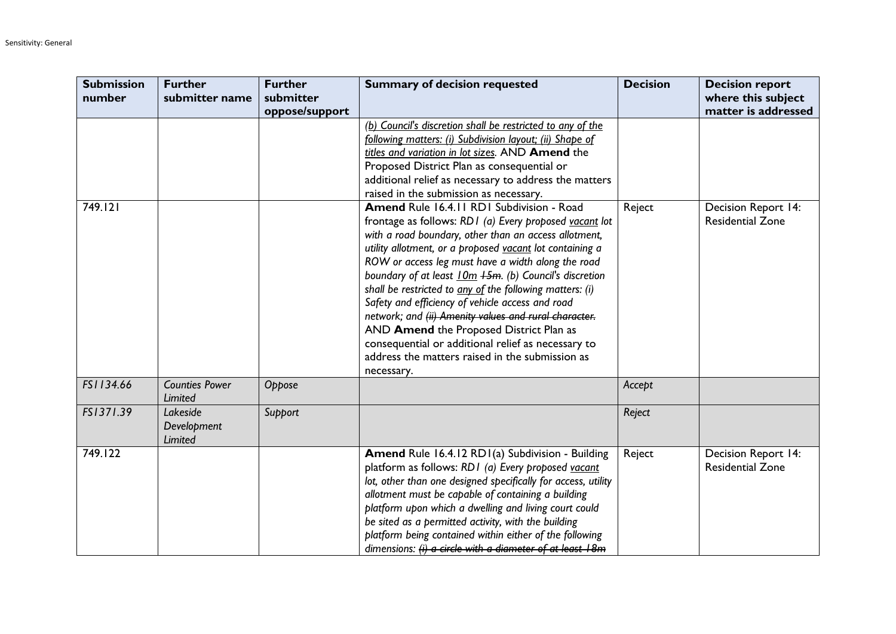| <b>Submission</b><br>number | <b>Further</b><br>submitter name   | <b>Further</b><br>submitter<br>oppose/support | <b>Summary of decision requested</b>                                                                                                                                                                                                                                                                                                                                                                                                                                                                                                                                                                                                                                                | <b>Decision</b> | <b>Decision report</b><br>where this subject<br>matter is addressed |
|-----------------------------|------------------------------------|-----------------------------------------------|-------------------------------------------------------------------------------------------------------------------------------------------------------------------------------------------------------------------------------------------------------------------------------------------------------------------------------------------------------------------------------------------------------------------------------------------------------------------------------------------------------------------------------------------------------------------------------------------------------------------------------------------------------------------------------------|-----------------|---------------------------------------------------------------------|
|                             |                                    |                                               | (b) Council's discretion shall be restricted to any of the<br>following matters: (i) Subdivision layout; (ii) Shape of<br>titles and variation in lot sizes. AND Amend the<br>Proposed District Plan as consequential or<br>additional relief as necessary to address the matters<br>raised in the submission as necessary.                                                                                                                                                                                                                                                                                                                                                         |                 |                                                                     |
| 749.121                     |                                    |                                               | Amend Rule 16.4.11 RD1 Subdivision - Road<br>frontage as follows: RD1 (a) Every proposed vacant lot<br>with a road boundary, other than an access allotment,<br>utility allotment, or a proposed vacant lot containing a<br>ROW or access leg must have a width along the road<br>boundary of at least 10m +5m. (b) Council's discretion<br>shall be restricted to any of the following matters: (i)<br>Safety and efficiency of vehicle access and road<br>network; and (ii) Amenity values and rural character.<br>AND Amend the Proposed District Plan as<br>consequential or additional relief as necessary to<br>address the matters raised in the submission as<br>necessary. | Reject          | Decision Report 14:<br><b>Residential Zone</b>                      |
| FS1134.66                   | <b>Counties Power</b><br>Limited   | Oppose                                        |                                                                                                                                                                                                                                                                                                                                                                                                                                                                                                                                                                                                                                                                                     | Accept          |                                                                     |
| FS1371.39                   | Lakeside<br>Development<br>Limited | Support                                       |                                                                                                                                                                                                                                                                                                                                                                                                                                                                                                                                                                                                                                                                                     | Reject          |                                                                     |
| 749.122                     |                                    |                                               | Amend Rule 16.4.12 RD1(a) Subdivision - Building<br>platform as follows: RD1 (a) Every proposed vacant<br>lot, other than one designed specifically for access, utility<br>allotment must be capable of containing a building<br>platform upon which a dwelling and living court could<br>be sited as a permitted activity, with the building<br>platform being contained within either of the following<br>dimensions: (i) a circle with a diameter of at least 18m                                                                                                                                                                                                                | Reject          | Decision Report 14:<br><b>Residential Zone</b>                      |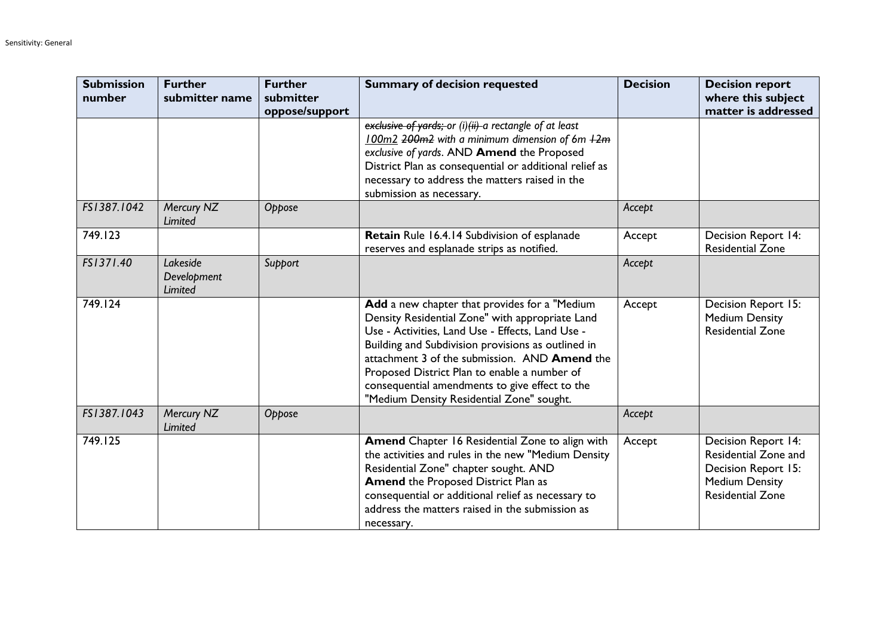| <b>Submission</b><br>number | <b>Further</b><br>submitter name          | <b>Further</b><br>submitter<br>oppose/support | <b>Summary of decision requested</b>                                                                                                                                                                                                                                                                                                                                                                       | <b>Decision</b> | <b>Decision report</b><br>where this subject<br>matter is addressed                                                           |
|-----------------------------|-------------------------------------------|-----------------------------------------------|------------------------------------------------------------------------------------------------------------------------------------------------------------------------------------------------------------------------------------------------------------------------------------------------------------------------------------------------------------------------------------------------------------|-----------------|-------------------------------------------------------------------------------------------------------------------------------|
|                             |                                           |                                               | exclusive of yards; or (i)(ii) a rectangle of at least<br>100m2 200m2 with a minimum dimension of 6m +2m<br>exclusive of yards. AND Amend the Proposed<br>District Plan as consequential or additional relief as<br>necessary to address the matters raised in the<br>submission as necessary.                                                                                                             |                 |                                                                                                                               |
| FS1387.1042                 | Mercury NZ<br>Limited                     | Oppose                                        |                                                                                                                                                                                                                                                                                                                                                                                                            | Accept          |                                                                                                                               |
| 749.123                     |                                           |                                               | Retain Rule 16.4.14 Subdivision of esplanade<br>reserves and esplanade strips as notified.                                                                                                                                                                                                                                                                                                                 | Accept          | <b>Decision Report 14:</b><br><b>Residential Zone</b>                                                                         |
| FS1371.40                   | Lakeside<br>Development<br><b>Limited</b> | Support                                       |                                                                                                                                                                                                                                                                                                                                                                                                            | Accept          |                                                                                                                               |
| 749.124                     |                                           |                                               | Add a new chapter that provides for a "Medium<br>Density Residential Zone" with appropriate Land<br>Use - Activities, Land Use - Effects, Land Use -<br>Building and Subdivision provisions as outlined in<br>attachment 3 of the submission. AND Amend the<br>Proposed District Plan to enable a number of<br>consequential amendments to give effect to the<br>"Medium Density Residential Zone" sought. | Accept          | Decision Report 15:<br><b>Medium Density</b><br><b>Residential Zone</b>                                                       |
| FS1387.1043                 | Mercury NZ<br>Limited                     | Oppose                                        |                                                                                                                                                                                                                                                                                                                                                                                                            | Accept          |                                                                                                                               |
| 749.125                     |                                           |                                               | Amend Chapter 16 Residential Zone to align with<br>the activities and rules in the new "Medium Density<br>Residential Zone" chapter sought. AND<br><b>Amend the Proposed District Plan as</b><br>consequential or additional relief as necessary to<br>address the matters raised in the submission as<br>necessary.                                                                                       | Accept          | <b>Decision Report 14:</b><br>Residential Zone and<br>Decision Report 15:<br><b>Medium Density</b><br><b>Residential Zone</b> |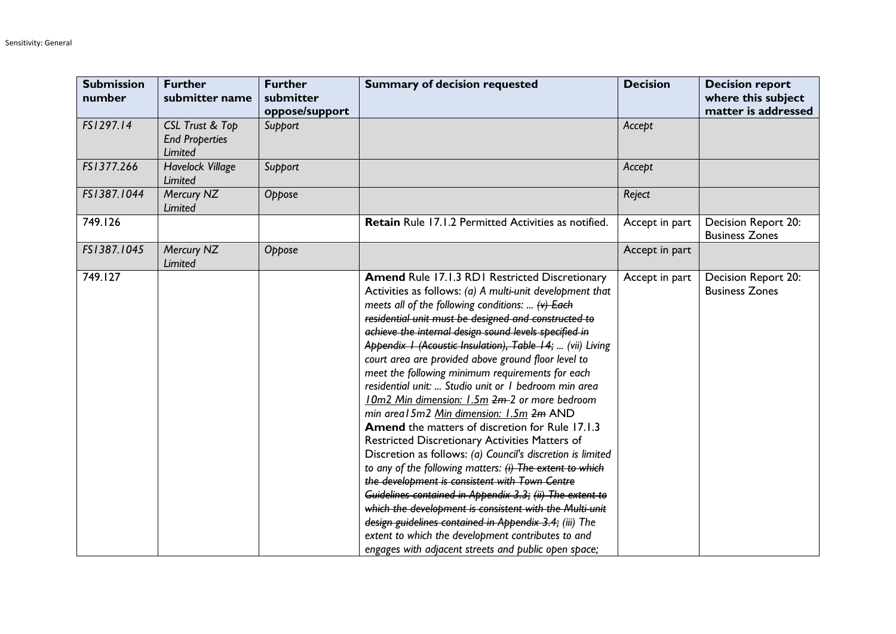| <b>Submission</b><br>number | <b>Further</b><br>submitter name                                      | <b>Further</b><br>submitter<br>oppose/support | <b>Summary of decision requested</b>                                                                                                                                                                                                                                                                                                                                                                                                                                                                                                                                                                                                                                                                                                                                                                                                                                                                                                                                                                                                                                                                                                                                                                             | <b>Decision</b> | <b>Decision report</b><br>where this subject<br>matter is addressed |
|-----------------------------|-----------------------------------------------------------------------|-----------------------------------------------|------------------------------------------------------------------------------------------------------------------------------------------------------------------------------------------------------------------------------------------------------------------------------------------------------------------------------------------------------------------------------------------------------------------------------------------------------------------------------------------------------------------------------------------------------------------------------------------------------------------------------------------------------------------------------------------------------------------------------------------------------------------------------------------------------------------------------------------------------------------------------------------------------------------------------------------------------------------------------------------------------------------------------------------------------------------------------------------------------------------------------------------------------------------------------------------------------------------|-----------------|---------------------------------------------------------------------|
| FS1297.14                   | <b>CSL Trust &amp; Top</b><br><b>End Properties</b><br><b>Limited</b> | Support                                       |                                                                                                                                                                                                                                                                                                                                                                                                                                                                                                                                                                                                                                                                                                                                                                                                                                                                                                                                                                                                                                                                                                                                                                                                                  | Accept          |                                                                     |
| FS1377.266                  | <b>Havelock Village</b><br>Limited                                    | Support                                       |                                                                                                                                                                                                                                                                                                                                                                                                                                                                                                                                                                                                                                                                                                                                                                                                                                                                                                                                                                                                                                                                                                                                                                                                                  | Accept          |                                                                     |
| FS1387.1044                 | Mercury NZ<br>Limited                                                 | Oppose                                        |                                                                                                                                                                                                                                                                                                                                                                                                                                                                                                                                                                                                                                                                                                                                                                                                                                                                                                                                                                                                                                                                                                                                                                                                                  | Reject          |                                                                     |
| 749.126                     |                                                                       |                                               | Retain Rule 17.1.2 Permitted Activities as notified.                                                                                                                                                                                                                                                                                                                                                                                                                                                                                                                                                                                                                                                                                                                                                                                                                                                                                                                                                                                                                                                                                                                                                             | Accept in part  | Decision Report 20:<br><b>Business Zones</b>                        |
| FS1387.1045                 | Mercury NZ<br>Limited                                                 | Oppose                                        |                                                                                                                                                                                                                                                                                                                                                                                                                                                                                                                                                                                                                                                                                                                                                                                                                                                                                                                                                                                                                                                                                                                                                                                                                  | Accept in part  |                                                                     |
| 749.127                     |                                                                       |                                               | Amend Rule 17.1.3 RD1 Restricted Discretionary<br>Activities as follows: (a) A multi-unit development that<br>meets all of the following conditions: $\leftrightarrow$ Each<br>residential unit must be designed and constructed to<br>achieve the internal design sound levels specified in<br>Appendix I (Acoustic Insulation), Table 14;  (vii) Living<br>court area are provided above ground floor level to<br>meet the following minimum requirements for each<br>residential unit:  Studio unit or I bedroom min area<br>10m2 Min dimension: 1.5m 2m-2 or more bedroom<br>min area 15m2 Min dimension: 1.5m 2m AND<br><b>Amend</b> the matters of discretion for Rule 17.1.3<br>Restricted Discretionary Activities Matters of<br>Discretion as follows: (a) Council's discretion is limited<br>to any of the following matters: (i) The extent to which<br>the development is consistent with Town Centre<br>Guidelines contained in Appendix 3.3; (ii) The extent to<br>which the development is consistent with the Multi-unit<br>design guidelines contained in Appendix 3.4; (iii) The<br>extent to which the development contributes to and<br>engages with adjacent streets and public open space; | Accept in part  | Decision Report 20:<br><b>Business Zones</b>                        |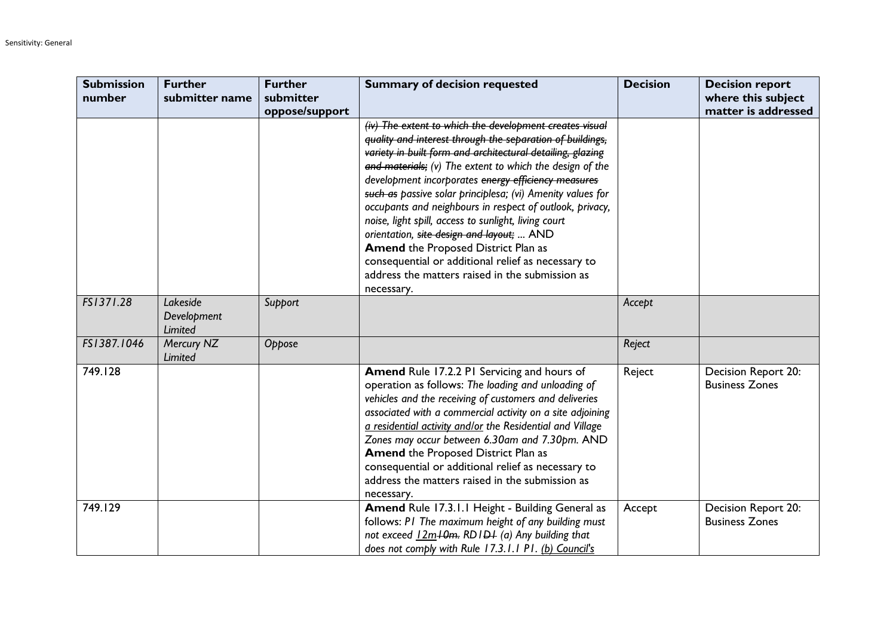| <b>Submission</b><br>number | <b>Further</b><br>submitter name   | <b>Further</b><br>submitter | <b>Summary of decision requested</b>                                                                                                                                                                                                                                                                                                                                                                                                                                                                                                                                                                                                                                                                      | <b>Decision</b> | <b>Decision report</b><br>where this subject |
|-----------------------------|------------------------------------|-----------------------------|-----------------------------------------------------------------------------------------------------------------------------------------------------------------------------------------------------------------------------------------------------------------------------------------------------------------------------------------------------------------------------------------------------------------------------------------------------------------------------------------------------------------------------------------------------------------------------------------------------------------------------------------------------------------------------------------------------------|-----------------|----------------------------------------------|
|                             |                                    | oppose/support              |                                                                                                                                                                                                                                                                                                                                                                                                                                                                                                                                                                                                                                                                                                           |                 | matter is addressed                          |
|                             |                                    |                             | (iv) The extent to which the development creates visual<br>quality and interest through the separation of buildings,<br>variety in built form and architectural detailing, glazing<br>and materials; (v) The extent to which the design of the<br>development incorporates energy efficiency measures<br>such as passive solar principlesa; (vi) Amenity values for<br>occupants and neighbours in respect of outlook, privacy,<br>noise, light spill, access to sunlight, living court<br>orientation, site design and layout;  AND<br><b>Amend the Proposed District Plan as</b><br>consequential or additional relief as necessary to<br>address the matters raised in the submission as<br>necessary. |                 |                                              |
| FS1371.28                   | Lakeside<br>Development<br>Limited | Support                     |                                                                                                                                                                                                                                                                                                                                                                                                                                                                                                                                                                                                                                                                                                           | Accept          |                                              |
| FS1387.1046                 | Mercury NZ<br>Limited              | Oppose                      |                                                                                                                                                                                                                                                                                                                                                                                                                                                                                                                                                                                                                                                                                                           | Reject          |                                              |
| 749.128                     |                                    |                             | Amend Rule 17.2.2 PI Servicing and hours of<br>operation as follows: The loading and unloading of<br>vehicles and the receiving of customers and deliveries<br>associated with a commercial activity on a site adjoining<br>a residential activity and/or the Residential and Village<br>Zones may occur between 6.30am and 7.30pm. AND<br><b>Amend the Proposed District Plan as</b><br>consequential or additional relief as necessary to<br>address the matters raised in the submission as<br>necessary.                                                                                                                                                                                              | Reject          | Decision Report 20:<br><b>Business Zones</b> |
| 749.129                     |                                    |                             | Amend Rule 17.3.1.1 Height - Building General as<br>follows: PI The maximum height of any building must<br>not exceed 12m <sup>10m</sup> . RD1D <sub>1</sub> (a) Any building that<br>does not comply with Rule 17.3.1.1 P1. (b) Council's                                                                                                                                                                                                                                                                                                                                                                                                                                                                | Accept          | Decision Report 20:<br><b>Business Zones</b> |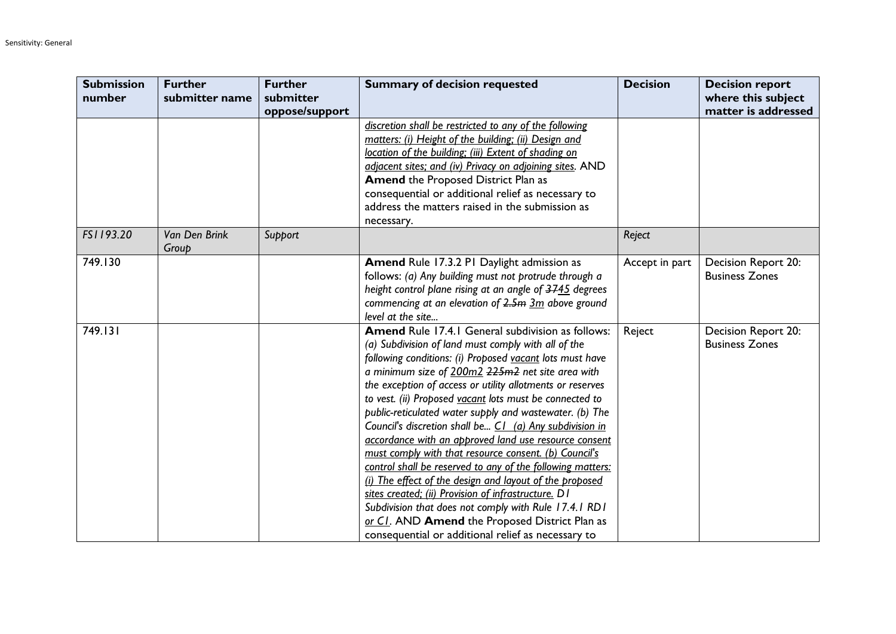| <b>Submission</b> | <b>Further</b>         | <b>Further</b> | <b>Summary of decision requested</b>                       | <b>Decision</b> | <b>Decision report</b> |
|-------------------|------------------------|----------------|------------------------------------------------------------|-----------------|------------------------|
| number            | submitter name         | submitter      |                                                            |                 | where this subject     |
|                   |                        | oppose/support |                                                            |                 | matter is addressed    |
|                   |                        |                | discretion shall be restricted to any of the following     |                 |                        |
|                   |                        |                | matters: (i) Height of the building; (ii) Design and       |                 |                        |
|                   |                        |                | location of the building; (iii) Extent of shading on       |                 |                        |
|                   |                        |                | adjacent sites; and (iv) Privacy on adjoining sites. AND   |                 |                        |
|                   |                        |                | <b>Amend the Proposed District Plan as</b>                 |                 |                        |
|                   |                        |                | consequential or additional relief as necessary to         |                 |                        |
|                   |                        |                | address the matters raised in the submission as            |                 |                        |
|                   |                        |                | necessary.                                                 |                 |                        |
| FS1193.20         | Van Den Brink<br>Group | Support        |                                                            | Reject          |                        |
| 749.130           |                        |                | <b>Amend Rule 17.3.2 PI Daylight admission as</b>          | Accept in part  | Decision Report 20:    |
|                   |                        |                | follows: (a) Any building must not protrude through a      |                 | <b>Business Zones</b>  |
|                   |                        |                | height control plane rising at an angle of 3745 degrees    |                 |                        |
|                   |                        |                | commencing at an elevation of $2.5m$ $3m$ above ground     |                 |                        |
|                   |                        |                | level at the site                                          |                 |                        |
| 749.131           |                        |                | Amend Rule 17.4.1 General subdivision as follows:          | Reject          | Decision Report 20:    |
|                   |                        |                | (a) Subdivision of land must comply with all of the        |                 | <b>Business Zones</b>  |
|                   |                        |                | following conditions: (i) Proposed vacant lots must have   |                 |                        |
|                   |                        |                | a minimum size of 200m2 225m2 net site area with           |                 |                        |
|                   |                        |                | the exception of access or utility allotments or reserves  |                 |                        |
|                   |                        |                | to vest. (ii) Proposed vacant lots must be connected to    |                 |                        |
|                   |                        |                | public-reticulated water supply and wastewater. (b) The    |                 |                        |
|                   |                        |                | Council's discretion shall be C1 (a) Any subdivision in    |                 |                        |
|                   |                        |                | accordance with an approved land use resource consent      |                 |                        |
|                   |                        |                | must comply with that resource consent. (b) Council's      |                 |                        |
|                   |                        |                | control shall be reserved to any of the following matters: |                 |                        |
|                   |                        |                | (i) The effect of the design and layout of the proposed    |                 |                        |
|                   |                        |                | sites created; (ii) Provision of infrastructure. D1        |                 |                        |
|                   |                        |                | Subdivision that does not comply with Rule 17.4.1 RD1      |                 |                        |
|                   |                        |                | or Cl. AND Amend the Proposed District Plan as             |                 |                        |
|                   |                        |                | consequential or additional relief as necessary to         |                 |                        |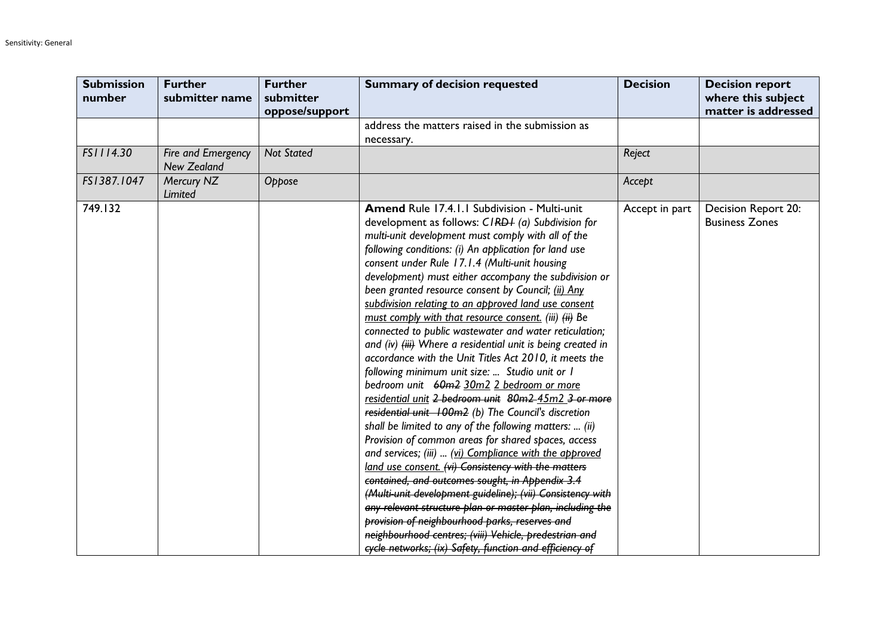| <b>Submission</b><br>number | <b>Further</b><br>submitter name         | <b>Further</b><br>submitter<br>oppose/support | <b>Summary of decision requested</b>                                                                                                                                                                                                                                                                                                                                                                                                                                                                                                                                                                                                                                                                                                                                                                                                                                                                                                                                                                                                                                                                                                                                                                                                                                                                                                                                                                                                                                                     | <b>Decision</b> | <b>Decision report</b><br>where this subject<br>matter is addressed |
|-----------------------------|------------------------------------------|-----------------------------------------------|------------------------------------------------------------------------------------------------------------------------------------------------------------------------------------------------------------------------------------------------------------------------------------------------------------------------------------------------------------------------------------------------------------------------------------------------------------------------------------------------------------------------------------------------------------------------------------------------------------------------------------------------------------------------------------------------------------------------------------------------------------------------------------------------------------------------------------------------------------------------------------------------------------------------------------------------------------------------------------------------------------------------------------------------------------------------------------------------------------------------------------------------------------------------------------------------------------------------------------------------------------------------------------------------------------------------------------------------------------------------------------------------------------------------------------------------------------------------------------------|-----------------|---------------------------------------------------------------------|
|                             |                                          |                                               | address the matters raised in the submission as<br>necessary.                                                                                                                                                                                                                                                                                                                                                                                                                                                                                                                                                                                                                                                                                                                                                                                                                                                                                                                                                                                                                                                                                                                                                                                                                                                                                                                                                                                                                            |                 |                                                                     |
| FS1114.30                   | Fire and Emergency<br><b>New Zealand</b> | <b>Not Stated</b>                             |                                                                                                                                                                                                                                                                                                                                                                                                                                                                                                                                                                                                                                                                                                                                                                                                                                                                                                                                                                                                                                                                                                                                                                                                                                                                                                                                                                                                                                                                                          | Reject          |                                                                     |
| FS1387.1047                 | Mercury NZ<br>Limited                    | Oppose                                        |                                                                                                                                                                                                                                                                                                                                                                                                                                                                                                                                                                                                                                                                                                                                                                                                                                                                                                                                                                                                                                                                                                                                                                                                                                                                                                                                                                                                                                                                                          | Accept          |                                                                     |
| 749.132                     |                                          |                                               | Amend Rule 17.4.1.1 Subdivision - Multi-unit<br>development as follows: CIRDI (a) Subdivision for<br>multi-unit development must comply with all of the<br>following conditions: (i) An application for land use<br>consent under Rule 17.1.4 (Multi-unit housing<br>development) must either accompany the subdivision or<br>been granted resource consent by Council; (ii) Any<br>subdivision relating to an approved land use consent<br>must comply with that resource consent. (iii) (ii) Be<br>connected to public wastewater and water reticulation;<br>and (iv) (iii) Where a residential unit is being created in<br>accordance with the Unit Titles Act 2010, it meets the<br>following minimum unit size:  Studio unit or I<br>bedroom unit 60m2 30m2 2 bedroom or more<br>residential unit 2 bedroom unit 80m2 45m2 3 or more<br>residential unit 100m2 (b) The Council's discretion<br>shall be limited to any of the following matters:  (ii)<br>Provision of common areas for shared spaces, access<br>and services; (iii)  (vi) Compliance with the approved<br>land use consent. (vi) Consistency with the matters<br>contained, and outcomes sought, in Appendix 3.4<br>(Multi-unit development guideline); (vii) Consistency with<br>any relevant structure plan or master plan, including the<br>provision of neighbourhood parks, reserves and<br>neighbourhood centres; (viii) Vehicle, predestrian and<br>cycle networks; (ix) Safety, function and efficiency of | Accept in part  | Decision Report 20:<br><b>Business Zones</b>                        |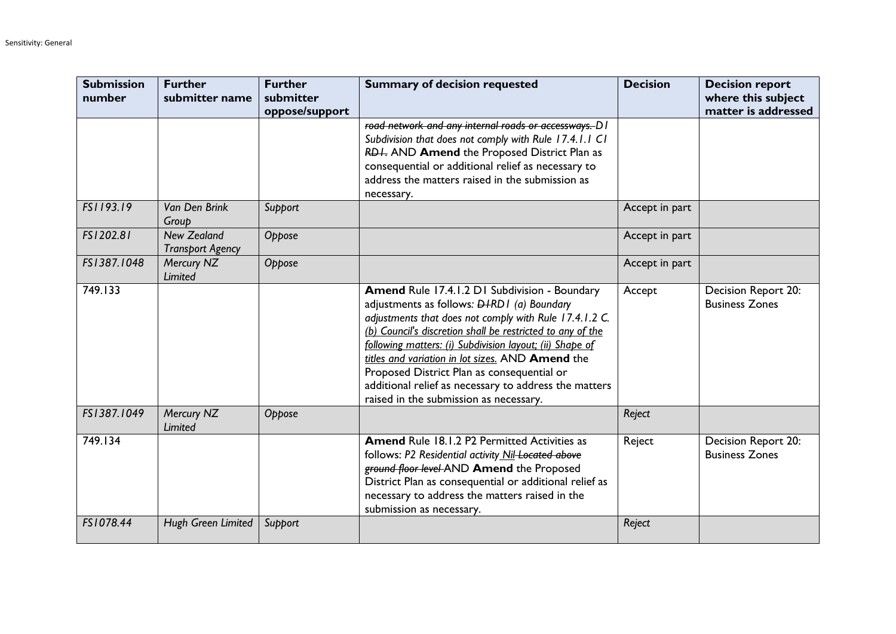| <b>Submission</b><br>number | <b>Further</b><br>submitter name              | <b>Further</b><br>submitter<br>oppose/support | <b>Summary of decision requested</b>                                                                                                                                                                                                                                                                                                                                                                                                                                                        | <b>Decision</b> | <b>Decision report</b><br>where this subject<br>matter is addressed |
|-----------------------------|-----------------------------------------------|-----------------------------------------------|---------------------------------------------------------------------------------------------------------------------------------------------------------------------------------------------------------------------------------------------------------------------------------------------------------------------------------------------------------------------------------------------------------------------------------------------------------------------------------------------|-----------------|---------------------------------------------------------------------|
|                             |                                               |                                               | road network and any internal roads or accessways. D I<br>Subdivision that does not comply with Rule 17.4.1.1 C1<br>RDI. AND Amend the Proposed District Plan as<br>consequential or additional relief as necessary to<br>address the matters raised in the submission as<br>necessary.                                                                                                                                                                                                     |                 |                                                                     |
| FS1193.19                   | Van Den Brink<br>Group                        | Support                                       |                                                                                                                                                                                                                                                                                                                                                                                                                                                                                             | Accept in part  |                                                                     |
| FS1202.81                   | <b>New Zealand</b><br><b>Transport Agency</b> | Oppose                                        |                                                                                                                                                                                                                                                                                                                                                                                                                                                                                             | Accept in part  |                                                                     |
| FS1387.1048                 | Mercury NZ<br>Limited                         | Oppose                                        |                                                                                                                                                                                                                                                                                                                                                                                                                                                                                             | Accept in part  |                                                                     |
| 749.133                     |                                               |                                               | Amend Rule 17.4.1.2 D1 Subdivision - Boundary<br>adjustments as follows: <b>DIRDI</b> (a) Boundary<br>adjustments that does not comply with Rule 17.4.1.2 C.<br>(b) Council's discretion shall be restricted to any of the<br>following matters: (i) Subdivision layout; (ii) Shape of<br>titles and variation in lot sizes. AND Amend the<br>Proposed District Plan as consequential or<br>additional relief as necessary to address the matters<br>raised in the submission as necessary. | Accept          | Decision Report 20:<br><b>Business Zones</b>                        |
| FS1387.1049                 | Mercury NZ<br>Limited                         | Oppose                                        |                                                                                                                                                                                                                                                                                                                                                                                                                                                                                             | Reject          |                                                                     |
| 749.134                     |                                               |                                               | <b>Amend Rule 18.1.2 P2 Permitted Activities as</b><br>follows: P2 Residential activity Nil-Located above<br>ground floor level AND Amend the Proposed<br>District Plan as consequential or additional relief as<br>necessary to address the matters raised in the<br>submission as necessary.                                                                                                                                                                                              | Reject          | Decision Report 20:<br><b>Business Zones</b>                        |
| FS1078.44                   | Hugh Green Limited                            | Support                                       |                                                                                                                                                                                                                                                                                                                                                                                                                                                                                             | Reject          |                                                                     |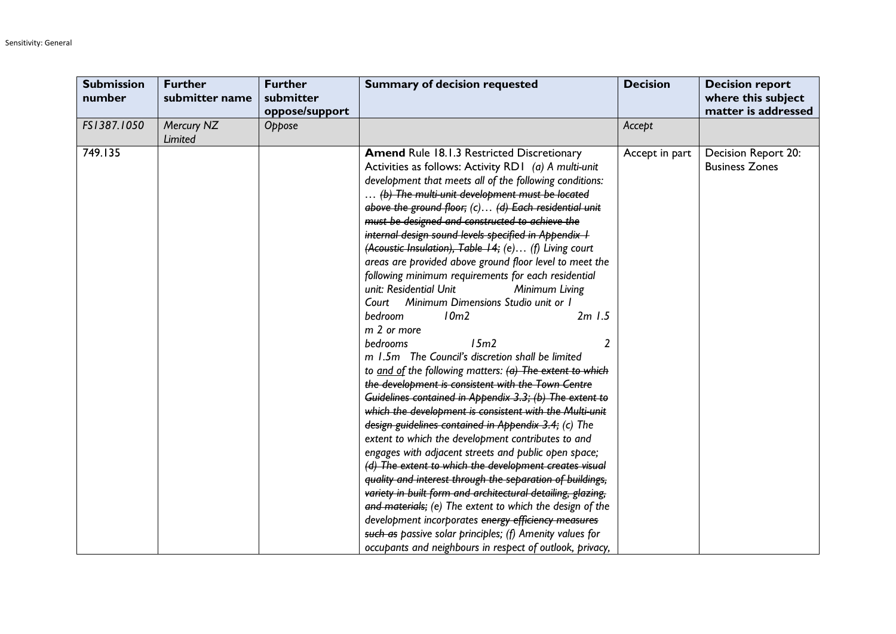| <b>Submission</b><br>number | <b>Further</b><br>submitter name | <b>Further</b><br>submitter<br>oppose/support | <b>Summary of decision requested</b>                                                                                                                                                                                                                                                                                                                                                                                                                                                                                                                                                                                                                                                                                                                                                                                                                                                                                                                                                                                                                                                                                                                                                                                                                                                                                                                                                                                                                                                                                                                                                                                                       | <b>Decision</b> | <b>Decision report</b><br>where this subject<br>matter is addressed |
|-----------------------------|----------------------------------|-----------------------------------------------|--------------------------------------------------------------------------------------------------------------------------------------------------------------------------------------------------------------------------------------------------------------------------------------------------------------------------------------------------------------------------------------------------------------------------------------------------------------------------------------------------------------------------------------------------------------------------------------------------------------------------------------------------------------------------------------------------------------------------------------------------------------------------------------------------------------------------------------------------------------------------------------------------------------------------------------------------------------------------------------------------------------------------------------------------------------------------------------------------------------------------------------------------------------------------------------------------------------------------------------------------------------------------------------------------------------------------------------------------------------------------------------------------------------------------------------------------------------------------------------------------------------------------------------------------------------------------------------------------------------------------------------------|-----------------|---------------------------------------------------------------------|
| FS1387.1050                 | Mercury NZ<br>Limited            | Oppose                                        |                                                                                                                                                                                                                                                                                                                                                                                                                                                                                                                                                                                                                                                                                                                                                                                                                                                                                                                                                                                                                                                                                                                                                                                                                                                                                                                                                                                                                                                                                                                                                                                                                                            | Accept          |                                                                     |
| 749.135                     |                                  |                                               | <b>Amend Rule 18.1.3 Restricted Discretionary</b><br>Activities as follows: Activity RD1 (a) A multi-unit<br>development that meets all of the following conditions:<br>(b) The multi-unit development must be located<br>above the ground floor; (c) (d) Each residential unit<br>must be designed and constructed to achieve the<br>internal design sound levels specified in Appendix I<br>(Acoustic Insulation), Table 14; (e) (f) Living court<br>areas are provided above ground floor level to meet the<br>following minimum requirements for each residential<br>unit: Residential Unit<br>Minimum Living<br>Court Minimum Dimensions Studio unit or I<br>10m2<br>bedroom<br>$2m$ $1.5$<br>m 2 or more<br>15m2<br>bedrooms<br>2<br>m 1.5m The Council's discretion shall be limited<br>to and of the following matters: (a) The extent to which<br>the development is consistent with the Town Centre<br>Guidelines contained in Appendix 3.3; (b) The extent to<br>which the development is consistent with the Multi-unit<br>design guidelines contained in Appendix 3.4; (c) The<br>extent to which the development contributes to and<br>engages with adjacent streets and public open space;<br>(d) The extent to which the development creates visual<br>quality and interest through the separation of buildings,<br>variety in built form and architectural detailing, glazing,<br>and materials; (e) The extent to which the design of the<br>development incorporates energy efficiency measures<br>such as passive solar principles; (f) Amenity values for<br>occupants and neighbours in respect of outlook, privacy, | Accept in part  | Decision Report 20:<br><b>Business Zones</b>                        |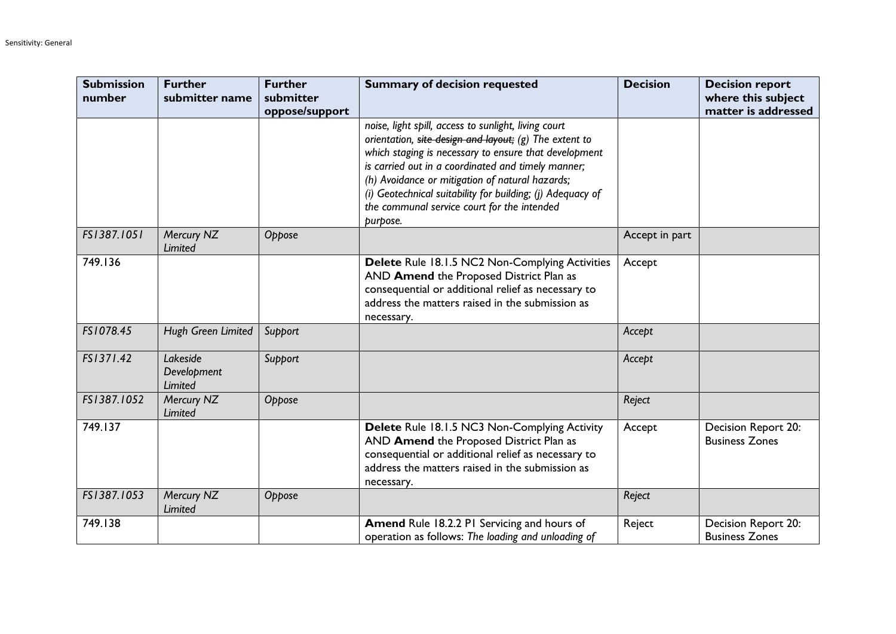| <b>Submission</b><br>number | <b>Further</b><br>submitter name   | <b>Further</b><br>submitter | <b>Summary of decision requested</b>                                                                                                                                                                                                                                                                                                                                                                      | <b>Decision</b> | <b>Decision report</b><br>where this subject |
|-----------------------------|------------------------------------|-----------------------------|-----------------------------------------------------------------------------------------------------------------------------------------------------------------------------------------------------------------------------------------------------------------------------------------------------------------------------------------------------------------------------------------------------------|-----------------|----------------------------------------------|
|                             |                                    | oppose/support              |                                                                                                                                                                                                                                                                                                                                                                                                           |                 | matter is addressed                          |
|                             |                                    |                             | noise, light spill, access to sunlight, living court<br>orientation, site design and layout; (g) The extent to<br>which staging is necessary to ensure that development<br>is carried out in a coordinated and timely manner;<br>(h) Avoidance or mitigation of natural hazards;<br>(i) Geotechnical suitability for building; (j) Adequacy of<br>the communal service court for the intended<br>purpose. |                 |                                              |
| FS1387.1051                 | Mercury NZ<br>Limited              | Oppose                      |                                                                                                                                                                                                                                                                                                                                                                                                           | Accept in part  |                                              |
| 749.136                     |                                    |                             | Delete Rule 18.1.5 NC2 Non-Complying Activities<br>AND Amend the Proposed District Plan as<br>consequential or additional relief as necessary to<br>address the matters raised in the submission as<br>necessary.                                                                                                                                                                                         | Accept          |                                              |
| FS1078.45                   | Hugh Green Limited                 | Support                     |                                                                                                                                                                                                                                                                                                                                                                                                           | Accept          |                                              |
| FS1371.42                   | Lakeside<br>Development<br>Limited | Support                     |                                                                                                                                                                                                                                                                                                                                                                                                           | Accept          |                                              |
| FS1387.1052                 | Mercury NZ<br>Limited              | Oppose                      |                                                                                                                                                                                                                                                                                                                                                                                                           | Reject          |                                              |
| 749.137                     |                                    |                             | Delete Rule 18.1.5 NC3 Non-Complying Activity<br>AND Amend the Proposed District Plan as<br>consequential or additional relief as necessary to<br>address the matters raised in the submission as<br>necessary.                                                                                                                                                                                           | Accept          | Decision Report 20:<br><b>Business Zones</b> |
| FS1387.1053                 | Mercury NZ<br>Limited              | Oppose                      |                                                                                                                                                                                                                                                                                                                                                                                                           | Reject          |                                              |
| 749.138                     |                                    |                             | Amend Rule 18.2.2 PI Servicing and hours of<br>operation as follows: The loading and unloading of                                                                                                                                                                                                                                                                                                         | Reject          | Decision Report 20:<br><b>Business Zones</b> |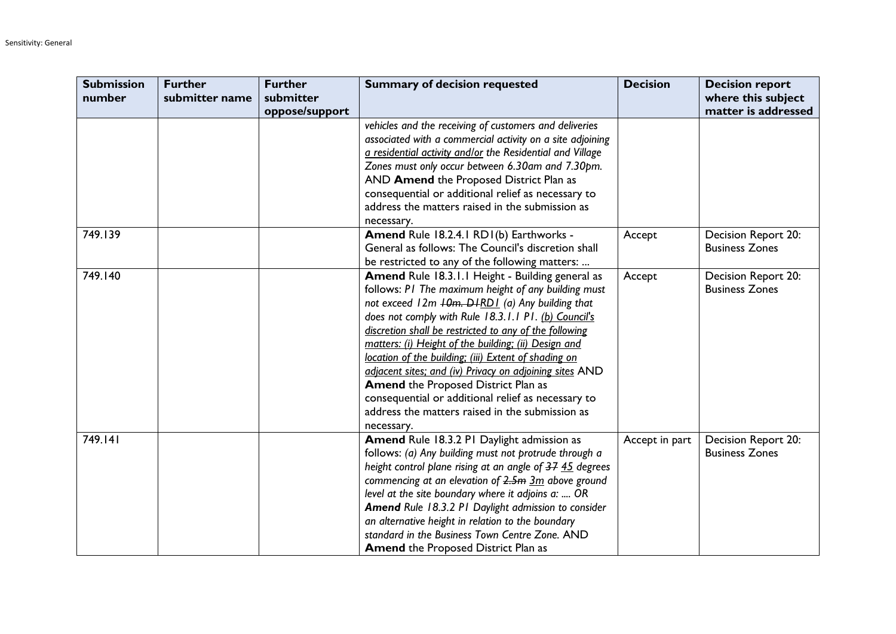| <b>Submission</b> | <b>Further</b> | <b>Further</b> | <b>Summary of decision requested</b>                      | <b>Decision</b> | <b>Decision report</b> |
|-------------------|----------------|----------------|-----------------------------------------------------------|-----------------|------------------------|
| number            | submitter name | submitter      |                                                           |                 | where this subject     |
|                   |                | oppose/support |                                                           |                 | matter is addressed    |
|                   |                |                | vehicles and the receiving of customers and deliveries    |                 |                        |
|                   |                |                | associated with a commercial activity on a site adjoining |                 |                        |
|                   |                |                | a residential activity and/or the Residential and Village |                 |                        |
|                   |                |                | Zones must only occur between 6.30am and 7.30pm.          |                 |                        |
|                   |                |                | AND Amend the Proposed District Plan as                   |                 |                        |
|                   |                |                | consequential or additional relief as necessary to        |                 |                        |
|                   |                |                | address the matters raised in the submission as           |                 |                        |
|                   |                |                | necessary.                                                |                 |                        |
| 749.139           |                |                | Amend Rule 18.2.4.1 RD1(b) Earthworks -                   | Accept          | Decision Report 20:    |
|                   |                |                | General as follows: The Council's discretion shall        |                 | <b>Business Zones</b>  |
|                   |                |                | be restricted to any of the following matters:            |                 |                        |
| 749.140           |                |                | <b>Amend Rule 18.3.1.1 Height - Building general as</b>   | Accept          | Decision Report 20:    |
|                   |                |                | follows: P1 The maximum height of any building must       |                 | <b>Business Zones</b>  |
|                   |                |                | not exceed 12m +0m. D+RD1 (a) Any building that           |                 |                        |
|                   |                |                | does not comply with Rule 18.3.1.1 P1. (b) Council's      |                 |                        |
|                   |                |                | discretion shall be restricted to any of the following    |                 |                        |
|                   |                |                | matters: (i) Height of the building; (ii) Design and      |                 |                        |
|                   |                |                | location of the building; (iii) Extent of shading on      |                 |                        |
|                   |                |                | adjacent sites; and (iv) Privacy on adjoining sites AND   |                 |                        |
|                   |                |                | <b>Amend the Proposed District Plan as</b>                |                 |                        |
|                   |                |                | consequential or additional relief as necessary to        |                 |                        |
|                   |                |                | address the matters raised in the submission as           |                 |                        |
|                   |                |                | necessary.                                                |                 |                        |
| 749.141           |                |                | Amend Rule 18.3.2 PI Daylight admission as                | Accept in part  | Decision Report 20:    |
|                   |                |                | follows: (a) Any building must not protrude through a     |                 | <b>Business Zones</b>  |
|                   |                |                | height control plane rising at an angle of 37 45 degrees  |                 |                        |
|                   |                |                | commencing at an elevation of $2.5m$ $3m$ above ground    |                 |                        |
|                   |                |                | level at the site boundary where it adjoins a:  OR        |                 |                        |
|                   |                |                | Amend Rule 18.3.2 P1 Daylight admission to consider       |                 |                        |
|                   |                |                | an alternative height in relation to the boundary         |                 |                        |
|                   |                |                | standard in the Business Town Centre Zone. AND            |                 |                        |
|                   |                |                | <b>Amend the Proposed District Plan as</b>                |                 |                        |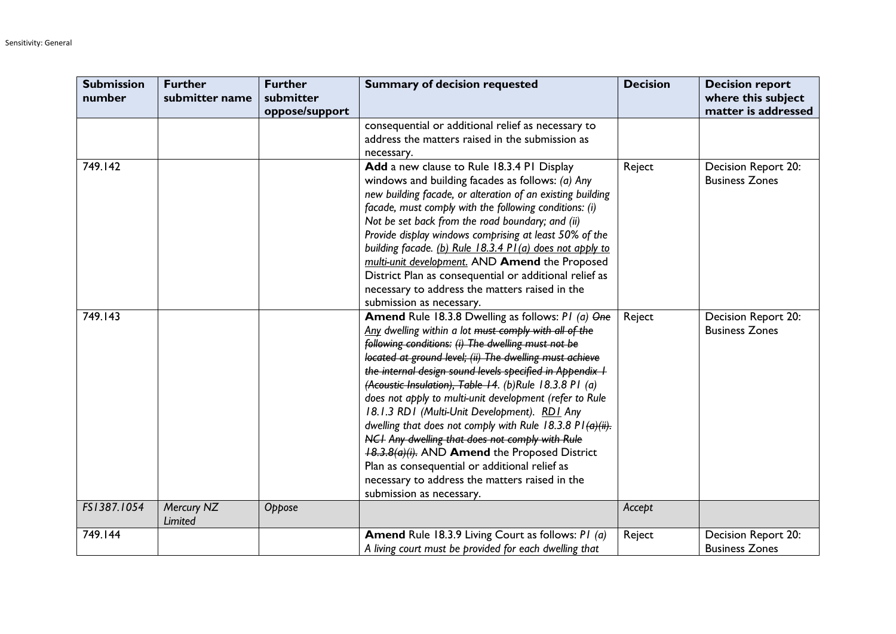| <b>Submission</b><br>number | <b>Further</b><br>submitter name | <b>Further</b><br>submitter | <b>Summary of decision requested</b>                                                                                                                                                                                                                                                                                                                                                                                                                                                                                                                                                                                                                                                                                                                                              | <b>Decision</b> | <b>Decision report</b><br>where this subject |
|-----------------------------|----------------------------------|-----------------------------|-----------------------------------------------------------------------------------------------------------------------------------------------------------------------------------------------------------------------------------------------------------------------------------------------------------------------------------------------------------------------------------------------------------------------------------------------------------------------------------------------------------------------------------------------------------------------------------------------------------------------------------------------------------------------------------------------------------------------------------------------------------------------------------|-----------------|----------------------------------------------|
|                             |                                  | oppose/support              |                                                                                                                                                                                                                                                                                                                                                                                                                                                                                                                                                                                                                                                                                                                                                                                   |                 | matter is addressed                          |
|                             |                                  |                             | consequential or additional relief as necessary to<br>address the matters raised in the submission as<br>necessary.                                                                                                                                                                                                                                                                                                                                                                                                                                                                                                                                                                                                                                                               |                 |                                              |
| 749.142                     |                                  |                             | Add a new clause to Rule 18.3.4 PI Display<br>windows and building facades as follows: (a) Any<br>new building facade, or alteration of an existing building<br>facade, must comply with the following conditions: (i)<br>Not be set back from the road boundary; and (ii)<br>Provide display windows comprising at least 50% of the<br>building facade. (b) Rule 18.3.4 P1(a) does not apply to<br>multi-unit development. AND Amend the Proposed<br>District Plan as consequential or additional relief as<br>necessary to address the matters raised in the<br>submission as necessary.                                                                                                                                                                                        | Reject          | Decision Report 20:<br><b>Business Zones</b> |
| 749.143                     |                                  |                             | Amend Rule 18.3.8 Dwelling as follows: PI (a) One<br>Any dwelling within a lot must comply with all of the<br>following conditions: (i) The dwelling must not be<br>located at ground level; (ii) The dwelling must achieve<br>the internal design sound levels specified in Appendix I<br>(Acoustic Insulation), Table 14. (b)Rule 18.3.8 P1 (a)<br>does not apply to multi-unit development (refer to Rule<br>18.1.3 RD1 (Multi-Unit Development). RD1 Any<br>dwelling that does not comply with Rule 18.3.8 P1 $\left(\frac{a}{H}\right)$ .<br>NCI Any dwelling that does not comply with Rule<br>18.3.8(a)(i). AND Amend the Proposed District<br>Plan as consequential or additional relief as<br>necessary to address the matters raised in the<br>submission as necessary. | Reject          | Decision Report 20:<br><b>Business Zones</b> |
| FS1387.1054                 | Mercury NZ<br>Limited            | Oppose                      |                                                                                                                                                                                                                                                                                                                                                                                                                                                                                                                                                                                                                                                                                                                                                                                   | Accept          |                                              |
| 749.144                     |                                  |                             | <b>Amend</b> Rule 18.3.9 Living Court as follows: PI (a)<br>A living court must be provided for each dwelling that                                                                                                                                                                                                                                                                                                                                                                                                                                                                                                                                                                                                                                                                | Reject          | Decision Report 20:<br><b>Business Zones</b> |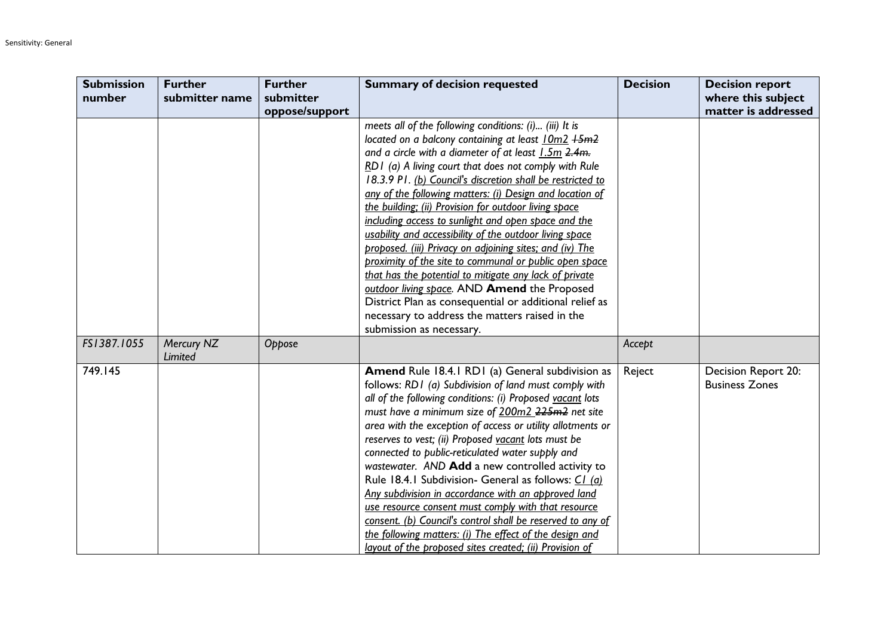| <b>Submission</b> | <b>Further</b> | <b>Further</b> | <b>Summary of decision requested</b>                                                                              | <b>Decision</b> | <b>Decision report</b> |
|-------------------|----------------|----------------|-------------------------------------------------------------------------------------------------------------------|-----------------|------------------------|
| number            | submitter name | submitter      |                                                                                                                   |                 | where this subject     |
|                   |                | oppose/support |                                                                                                                   |                 | matter is addressed    |
|                   |                |                | meets all of the following conditions: (i) (iii) It is                                                            |                 |                        |
|                   |                |                | located on a balcony containing at least 10m2 +5m2                                                                |                 |                        |
|                   |                |                | and a circle with a diameter of at least 1.5m 2.4m.                                                               |                 |                        |
|                   |                |                | RD1 (a) A living court that does not comply with Rule                                                             |                 |                        |
|                   |                |                | 18.3.9 P1. (b) Council's discretion shall be restricted to                                                        |                 |                        |
|                   |                |                | any of the following matters: (i) Design and location of                                                          |                 |                        |
|                   |                |                | the building; (ii) Provision for outdoor living space                                                             |                 |                        |
|                   |                |                | including access to sunlight and open space and the                                                               |                 |                        |
|                   |                |                | usability and accessibility of the outdoor living space                                                           |                 |                        |
|                   |                |                | proposed. (iii) Privacy on adjoining sites; and (iv) The                                                          |                 |                        |
|                   |                |                | proximity of the site to communal or public open space                                                            |                 |                        |
|                   |                |                | that has the potential to mitigate any lack of private                                                            |                 |                        |
|                   |                |                | outdoor living space. AND Amend the Proposed                                                                      |                 |                        |
|                   |                |                | District Plan as consequential or additional relief as                                                            |                 |                        |
|                   |                |                | necessary to address the matters raised in the                                                                    |                 |                        |
|                   |                |                | submission as necessary.                                                                                          |                 |                        |
| FS1387.1055       | Mercury NZ     | Oppose         |                                                                                                                   | Accept          |                        |
|                   | Limited        |                |                                                                                                                   |                 |                        |
| 749.145           |                |                | Amend Rule 18.4.1 RD1 (a) General subdivision as                                                                  | Reject          | Decision Report 20:    |
|                   |                |                | follows: RD1 (a) Subdivision of land must comply with                                                             |                 | <b>Business Zones</b>  |
|                   |                |                | all of the following conditions: (i) Proposed vacant lots                                                         |                 |                        |
|                   |                |                | must have a minimum size of 200m2 225m2 net site                                                                  |                 |                        |
|                   |                |                | area with the exception of access or utility allotments or                                                        |                 |                        |
|                   |                |                | reserves to vest; (ii) Proposed vacant lots must be                                                               |                 |                        |
|                   |                |                | connected to public-reticulated water supply and                                                                  |                 |                        |
|                   |                |                | wastewater. AND Add a new controlled activity to                                                                  |                 |                        |
|                   |                |                | Rule 18.4.1 Subdivision- General as follows: C1 (a)                                                               |                 |                        |
|                   |                |                | Any subdivision in accordance with an approved land                                                               |                 |                        |
|                   |                |                | use resource consent must comply with that resource<br>consent. (b) Council's control shall be reserved to any of |                 |                        |
|                   |                |                | the following matters: (i) The effect of the design and                                                           |                 |                        |
|                   |                |                |                                                                                                                   |                 |                        |
|                   |                |                | layout of the proposed sites created; (ii) Provision of                                                           |                 |                        |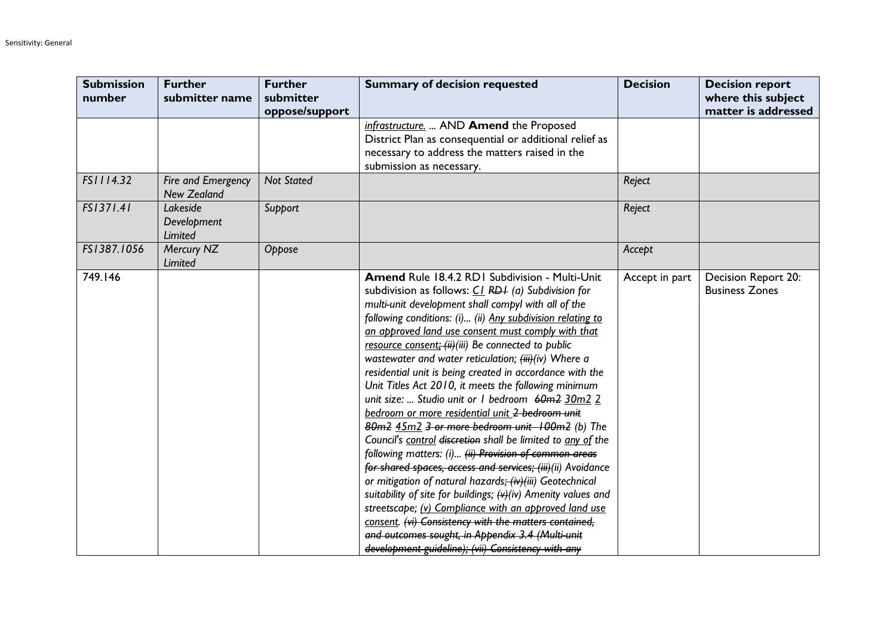| <b>Submission</b><br>number | <b>Further</b><br>submitter name         | <b>Further</b><br>submitter | <b>Summary of decision requested</b>                                                                                                                                                                                                                                                                                                                                                                                                                                                                                                                                                                                                                                                                                                                                                                                                                                                                                                                                                                                                                                                                                                                                                                                                         | <b>Decision</b> | <b>Decision report</b><br>where this subject |
|-----------------------------|------------------------------------------|-----------------------------|----------------------------------------------------------------------------------------------------------------------------------------------------------------------------------------------------------------------------------------------------------------------------------------------------------------------------------------------------------------------------------------------------------------------------------------------------------------------------------------------------------------------------------------------------------------------------------------------------------------------------------------------------------------------------------------------------------------------------------------------------------------------------------------------------------------------------------------------------------------------------------------------------------------------------------------------------------------------------------------------------------------------------------------------------------------------------------------------------------------------------------------------------------------------------------------------------------------------------------------------|-----------------|----------------------------------------------|
|                             |                                          | oppose/support              | infrastructure.  AND Amend the Proposed<br>District Plan as consequential or additional relief as<br>necessary to address the matters raised in the<br>submission as necessary.                                                                                                                                                                                                                                                                                                                                                                                                                                                                                                                                                                                                                                                                                                                                                                                                                                                                                                                                                                                                                                                              |                 | matter is addressed                          |
| FS1114.32                   | Fire and Emergency<br><b>New Zealand</b> | <b>Not Stated</b>           |                                                                                                                                                                                                                                                                                                                                                                                                                                                                                                                                                                                                                                                                                                                                                                                                                                                                                                                                                                                                                                                                                                                                                                                                                                              | Reject          |                                              |
| FS1371.41                   | Lakeside<br>Development<br>Limited       | Support                     |                                                                                                                                                                                                                                                                                                                                                                                                                                                                                                                                                                                                                                                                                                                                                                                                                                                                                                                                                                                                                                                                                                                                                                                                                                              | Reject          |                                              |
| FS1387.1056                 | Mercury NZ<br>Limited                    | Oppose                      |                                                                                                                                                                                                                                                                                                                                                                                                                                                                                                                                                                                                                                                                                                                                                                                                                                                                                                                                                                                                                                                                                                                                                                                                                                              | Accept          |                                              |
| 749.146                     |                                          |                             | Amend Rule 18.4.2 RD1 Subdivision - Multi-Unit<br>subdivision as follows: $CL$ RD+ (a) Subdivision for<br>multi-unit development shall compyl with all of the<br>following conditions: (i) (ii) Any subdivision relating to<br>an approved land use consent must comply with that<br>resource consent: (ii)(iii) Be connected to public<br>wastewater and water reticulation; (iii)(iv) Where a<br>residential unit is being created in accordance with the<br>Unit Titles Act 2010, it meets the following minimum<br>unit size:  Studio unit or I bedroom 60m2 30m2 2<br>bedroom or more residential unit 2 bedroom unit<br>80m2 45m2 3 or more bedroom unit 100m2 (b) The<br>Council's control discretion shall be limited to any of the<br>following matters: (i) (ii) Provision of common areas<br>for shared spaces, access and services; (iii) (ii) Avoidance<br>or mitigation of natural hazards; (iv)(iii) Geotechnical<br>suitability of site for buildings; $\leftrightarrow$ (iv) Amenity values and<br>streetscape; (v) Compliance with an approved land use<br>consent. (vi) Consistency with the matters contained,<br>and outcomes sought, in Appendix 3.4 (Multi-unit<br>development guideline); (vii) Consistency with any | Accept in part  | Decision Report 20:<br><b>Business Zones</b> |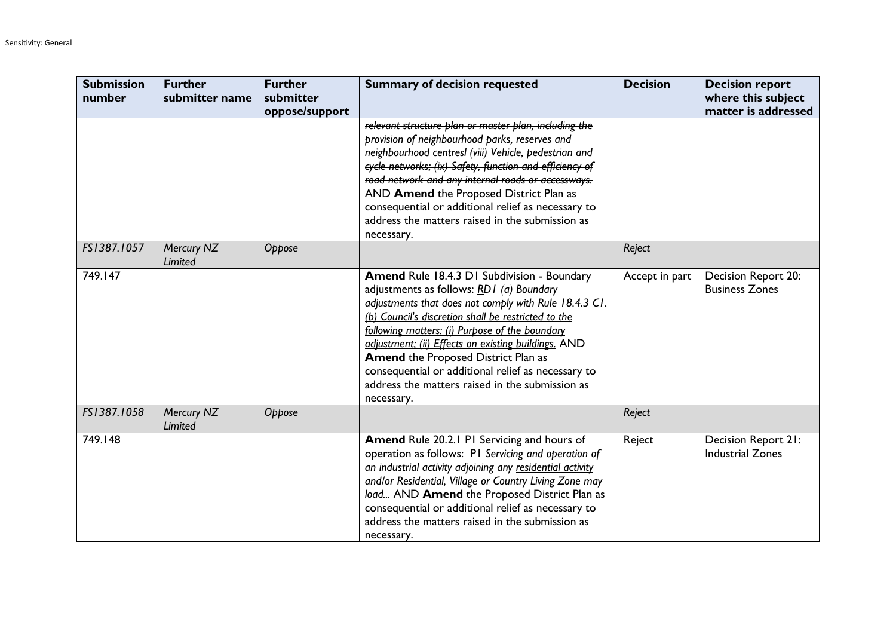| <b>Submission</b><br>number | <b>Further</b><br>submitter name | <b>Further</b><br>submitter<br>oppose/support | <b>Summary of decision requested</b>                                                                                                                                                                                                                                                                                                                                                                                                                                           | <b>Decision</b> | <b>Decision report</b><br>where this subject<br>matter is addressed |
|-----------------------------|----------------------------------|-----------------------------------------------|--------------------------------------------------------------------------------------------------------------------------------------------------------------------------------------------------------------------------------------------------------------------------------------------------------------------------------------------------------------------------------------------------------------------------------------------------------------------------------|-----------------|---------------------------------------------------------------------|
|                             |                                  |                                               | relevant structure plan or master plan, including the<br>provision of neighbourhood parks, reserves and<br>neighbourhood centresl (viii) Vehicle, pedestrian and<br>cycle networks; (ix) Safety, function and efficiency of<br>road network and any internal roads or accessways.<br>AND Amend the Proposed District Plan as<br>consequential or additional relief as necessary to<br>address the matters raised in the submission as<br>necessary.                            |                 |                                                                     |
| FS1387.1057                 | Mercury NZ<br>Limited            | Oppose                                        |                                                                                                                                                                                                                                                                                                                                                                                                                                                                                | Reject          |                                                                     |
| 749.147                     |                                  |                                               | Amend Rule 18.4.3 D1 Subdivision - Boundary<br>adjustments as follows: RD1 (a) Boundary<br>adjustments that does not comply with Rule 18.4.3 C1.<br>(b) Council's discretion shall be restricted to the<br>following matters: (i) Purpose of the boundary<br>adjustment; (ii) Effects on existing buildings. AND<br>Amend the Proposed District Plan as<br>consequential or additional relief as necessary to<br>address the matters raised in the submission as<br>necessary. | Accept in part  | Decision Report 20:<br><b>Business Zones</b>                        |
| FS1387.1058                 | Mercury NZ<br>Limited            | Oppose                                        |                                                                                                                                                                                                                                                                                                                                                                                                                                                                                | Reject          |                                                                     |
| 749.148                     |                                  |                                               | <b>Amend Rule 20.2.1 PI Servicing and hours of</b><br>operation as follows: PI Servicing and operation of<br>an industrial activity adjoining any residential activity<br>and/or Residential, Village or Country Living Zone may<br>load AND Amend the Proposed District Plan as<br>consequential or additional relief as necessary to<br>address the matters raised in the submission as<br>necessary.                                                                        | Reject          | Decision Report 21:<br><b>Industrial Zones</b>                      |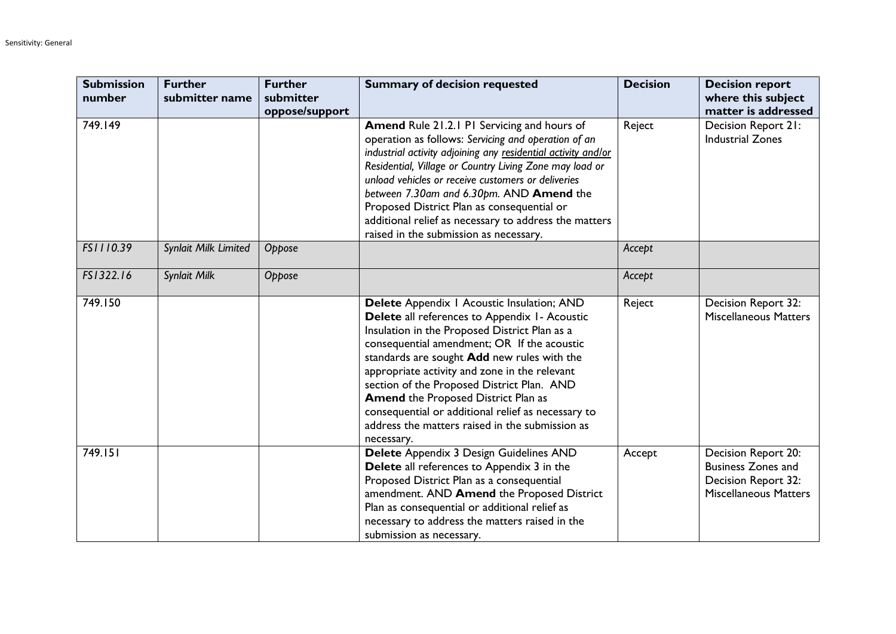| <b>Submission</b><br>number | <b>Further</b><br>submitter name | <b>Further</b><br>submitter | <b>Summary of decision requested</b>                                                                                                                                                                                                                                                                                                                                                                                                                                                                           | <b>Decision</b> | <b>Decision report</b><br>where this subject                                                            |
|-----------------------------|----------------------------------|-----------------------------|----------------------------------------------------------------------------------------------------------------------------------------------------------------------------------------------------------------------------------------------------------------------------------------------------------------------------------------------------------------------------------------------------------------------------------------------------------------------------------------------------------------|-----------------|---------------------------------------------------------------------------------------------------------|
| 749.149                     |                                  | oppose/support              | Amend Rule 21.2.1 PI Servicing and hours of<br>operation as follows: Servicing and operation of an<br>industrial activity adjoining any residential activity and/or<br>Residential, Village or Country Living Zone may load or<br>unload vehicles or receive customers or deliveries<br>between 7.30am and 6.30pm. AND Amend the<br>Proposed District Plan as consequential or<br>additional relief as necessary to address the matters<br>raised in the submission as necessary.                              | Reject          | matter is addressed<br>Decision Report 21:<br><b>Industrial Zones</b>                                   |
| FS1110.39                   | Synlait Milk Limited             | Oppose                      |                                                                                                                                                                                                                                                                                                                                                                                                                                                                                                                | Accept          |                                                                                                         |
| FS1322.16                   | Synlait Milk                     | Oppose                      |                                                                                                                                                                                                                                                                                                                                                                                                                                                                                                                | Accept          |                                                                                                         |
| 749.150                     |                                  |                             | Delete Appendix   Acoustic Insulation; AND<br>Delete all references to Appendix 1- Acoustic<br>Insulation in the Proposed District Plan as a<br>consequential amendment; OR If the acoustic<br>standards are sought Add new rules with the<br>appropriate activity and zone in the relevant<br>section of the Proposed District Plan. AND<br><b>Amend the Proposed District Plan as</b><br>consequential or additional relief as necessary to<br>address the matters raised in the submission as<br>necessary. | Reject          | Decision Report 32:<br><b>Miscellaneous Matters</b>                                                     |
| 749.151                     |                                  |                             | Delete Appendix 3 Design Guidelines AND<br>Delete all references to Appendix 3 in the<br>Proposed District Plan as a consequential<br>amendment. AND Amend the Proposed District<br>Plan as consequential or additional relief as<br>necessary to address the matters raised in the<br>submission as necessary.                                                                                                                                                                                                | Accept          | Decision Report 20:<br><b>Business Zones and</b><br>Decision Report 32:<br><b>Miscellaneous Matters</b> |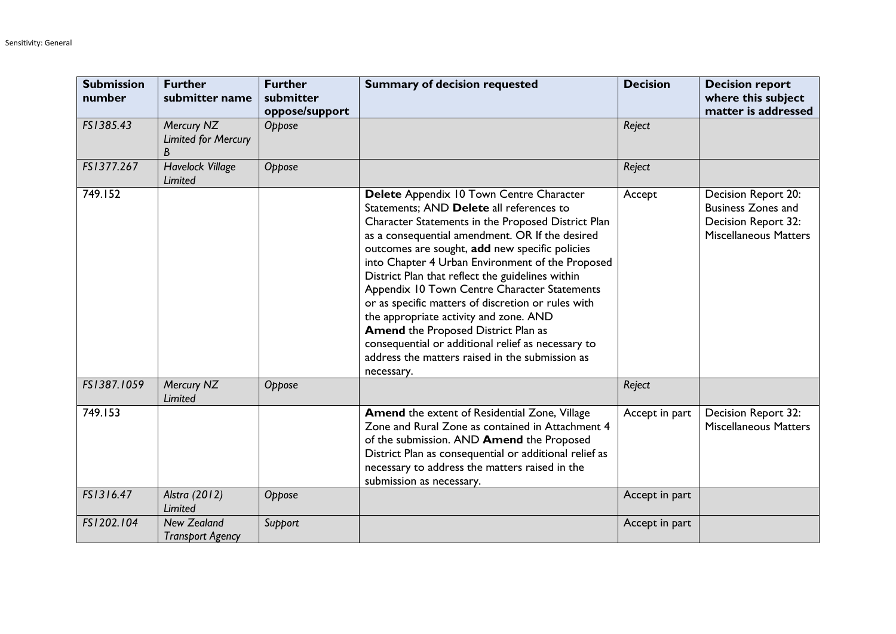| <b>Submission</b><br>number | <b>Further</b><br>submitter name              | <b>Further</b><br>submitter<br>oppose/support | <b>Summary of decision requested</b>                                                                                                                                                                                                                                                                                                                                                                                                                                                                                                                                                                                                                                         | <b>Decision</b> | <b>Decision report</b><br>where this subject<br>matter is addressed                                     |
|-----------------------------|-----------------------------------------------|-----------------------------------------------|------------------------------------------------------------------------------------------------------------------------------------------------------------------------------------------------------------------------------------------------------------------------------------------------------------------------------------------------------------------------------------------------------------------------------------------------------------------------------------------------------------------------------------------------------------------------------------------------------------------------------------------------------------------------------|-----------------|---------------------------------------------------------------------------------------------------------|
| FS1385.43                   | Mercury NZ<br><b>Limited for Mercury</b><br>B | Oppose                                        |                                                                                                                                                                                                                                                                                                                                                                                                                                                                                                                                                                                                                                                                              | Reject          |                                                                                                         |
| FS1377.267                  | <b>Havelock Village</b><br>Limited            | Oppose                                        |                                                                                                                                                                                                                                                                                                                                                                                                                                                                                                                                                                                                                                                                              | Reject          |                                                                                                         |
| 749.152                     |                                               |                                               | Delete Appendix 10 Town Centre Character<br>Statements; AND Delete all references to<br>Character Statements in the Proposed District Plan<br>as a consequential amendment. OR If the desired<br>outcomes are sought, add new specific policies<br>into Chapter 4 Urban Environment of the Proposed<br>District Plan that reflect the guidelines within<br>Appendix 10 Town Centre Character Statements<br>or as specific matters of discretion or rules with<br>the appropriate activity and zone. AND<br><b>Amend the Proposed District Plan as</b><br>consequential or additional relief as necessary to<br>address the matters raised in the submission as<br>necessary. | Accept          | Decision Report 20:<br><b>Business Zones and</b><br>Decision Report 32:<br><b>Miscellaneous Matters</b> |
| FS1387.1059                 | Mercury NZ<br>Limited                         | Oppose                                        |                                                                                                                                                                                                                                                                                                                                                                                                                                                                                                                                                                                                                                                                              | Reject          |                                                                                                         |
| 749.153                     |                                               |                                               | <b>Amend</b> the extent of Residential Zone, Village<br>Zone and Rural Zone as contained in Attachment 4<br>of the submission. AND Amend the Proposed<br>District Plan as consequential or additional relief as<br>necessary to address the matters raised in the<br>submission as necessary.                                                                                                                                                                                                                                                                                                                                                                                | Accept in part  | <b>Decision Report 32:</b><br><b>Miscellaneous Matters</b>                                              |
| FS1316.47                   | Alstra (2012)<br>Limited                      | Oppose                                        |                                                                                                                                                                                                                                                                                                                                                                                                                                                                                                                                                                                                                                                                              | Accept in part  |                                                                                                         |
| FS1202.104                  | <b>New Zealand</b><br><b>Transport Agency</b> | Support                                       |                                                                                                                                                                                                                                                                                                                                                                                                                                                                                                                                                                                                                                                                              | Accept in part  |                                                                                                         |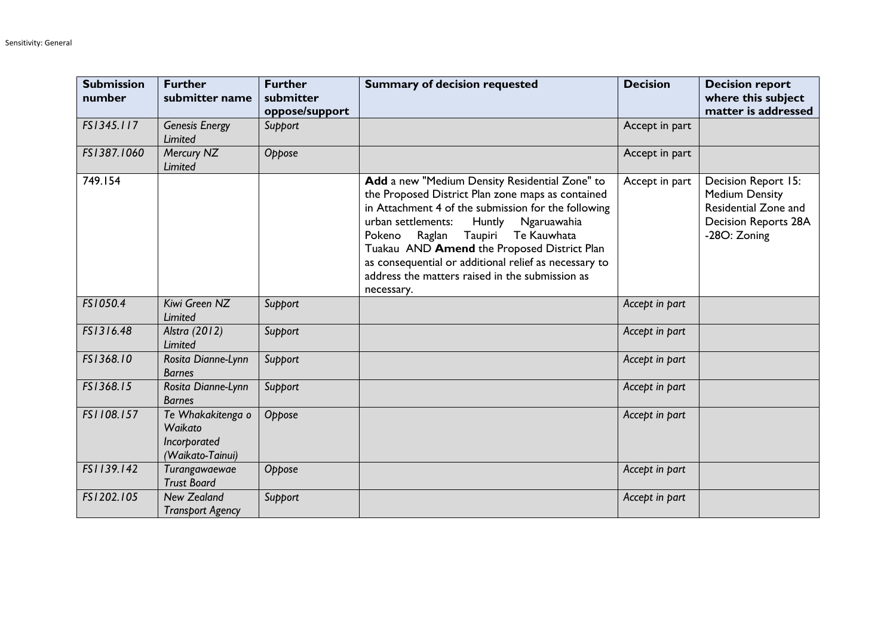| <b>Submission</b><br>number | <b>Further</b><br>submitter name                                 | <b>Further</b><br>submitter<br>oppose/support | <b>Summary of decision requested</b>                                                                                                                                                                                                                                                                                                                                                                                             | <b>Decision</b> | <b>Decision report</b><br>where this subject<br>matter is addressed                                                 |
|-----------------------------|------------------------------------------------------------------|-----------------------------------------------|----------------------------------------------------------------------------------------------------------------------------------------------------------------------------------------------------------------------------------------------------------------------------------------------------------------------------------------------------------------------------------------------------------------------------------|-----------------|---------------------------------------------------------------------------------------------------------------------|
| FS1345.117                  | <b>Genesis Energy</b><br><b>Limited</b>                          | Support                                       |                                                                                                                                                                                                                                                                                                                                                                                                                                  | Accept in part  |                                                                                                                     |
| FS1387.1060                 | Mercury NZ<br><b>Limited</b>                                     | Oppose                                        |                                                                                                                                                                                                                                                                                                                                                                                                                                  | Accept in part  |                                                                                                                     |
| 749.154                     |                                                                  |                                               | Add a new "Medium Density Residential Zone" to<br>the Proposed District Plan zone maps as contained<br>in Attachment 4 of the submission for the following<br>urban settlements:<br>Ngaruawahia<br>Huntly<br>Raglan<br>Taupiri<br>Te Kauwhata<br>Pokeno<br>Tuakau AND Amend the Proposed District Plan<br>as consequential or additional relief as necessary to<br>address the matters raised in the submission as<br>necessary. | Accept in part  | Decision Report 15:<br><b>Medium Density</b><br>Residential Zone and<br><b>Decision Reports 28A</b><br>-28O: Zoning |
| FS1050.4                    | Kiwi Green NZ<br>Limited                                         | Support                                       |                                                                                                                                                                                                                                                                                                                                                                                                                                  | Accept in part  |                                                                                                                     |
| FS1316.48                   | Alstra (2012)<br><b>Limited</b>                                  | Support                                       |                                                                                                                                                                                                                                                                                                                                                                                                                                  | Accept in part  |                                                                                                                     |
| FS1368.10                   | Rosita Dianne-Lynn<br><b>Barnes</b>                              | Support                                       |                                                                                                                                                                                                                                                                                                                                                                                                                                  | Accept in part  |                                                                                                                     |
| FS1368.15                   | Rosita Dianne-Lynn<br><b>Barnes</b>                              | Support                                       |                                                                                                                                                                                                                                                                                                                                                                                                                                  | Accept in part  |                                                                                                                     |
| FS1108.157                  | Te Whakakitenga o<br>Waikato<br>Incorporated<br>(Waikato-Tainui) | Oppose                                        |                                                                                                                                                                                                                                                                                                                                                                                                                                  | Accept in part  |                                                                                                                     |
| FS1139.142                  | Turangawaewae<br><b>Trust Board</b>                              | Oppose                                        |                                                                                                                                                                                                                                                                                                                                                                                                                                  | Accept in part  |                                                                                                                     |
| FS1202.105                  | <b>New Zealand</b><br><b>Transport Agency</b>                    | Support                                       |                                                                                                                                                                                                                                                                                                                                                                                                                                  | Accept in part  |                                                                                                                     |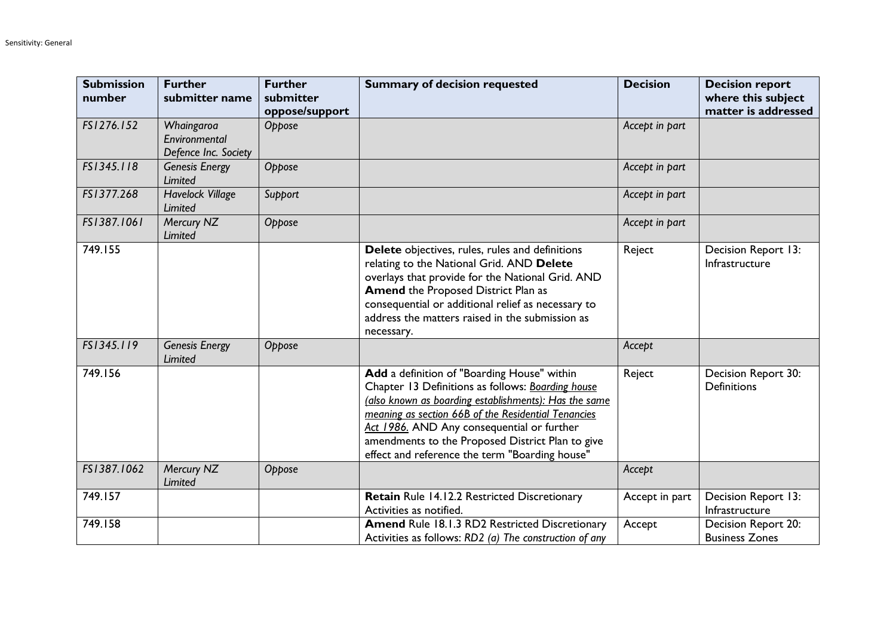| <b>Submission</b><br>number | <b>Further</b><br>submitter name                    | <b>Further</b><br>submitter<br>oppose/support | <b>Summary of decision requested</b>                                                                                                                                                                                                                                                                                                                                 | <b>Decision</b> | <b>Decision report</b><br>where this subject<br>matter is addressed |
|-----------------------------|-----------------------------------------------------|-----------------------------------------------|----------------------------------------------------------------------------------------------------------------------------------------------------------------------------------------------------------------------------------------------------------------------------------------------------------------------------------------------------------------------|-----------------|---------------------------------------------------------------------|
| FS1276.152                  | Whaingaroa<br>Environmental<br>Defence Inc. Society | Oppose                                        |                                                                                                                                                                                                                                                                                                                                                                      | Accept in part  |                                                                     |
| FS1345.118                  | <b>Genesis Energy</b><br>Limited                    | Oppose                                        |                                                                                                                                                                                                                                                                                                                                                                      | Accept in part  |                                                                     |
| FS1377.268                  | <b>Havelock Village</b><br>Limited                  | Support                                       |                                                                                                                                                                                                                                                                                                                                                                      | Accept in part  |                                                                     |
| FS1387.1061                 | Mercury NZ<br>Limited                               | Oppose                                        |                                                                                                                                                                                                                                                                                                                                                                      | Accept in part  |                                                                     |
| 749.155                     |                                                     |                                               | Delete objectives, rules, rules and definitions<br>relating to the National Grid. AND Delete<br>overlays that provide for the National Grid. AND<br><b>Amend the Proposed District Plan as</b><br>consequential or additional relief as necessary to<br>address the matters raised in the submission as<br>necessary.                                                | Reject          | Decision Report 13:<br>Infrastructure                               |
| FS1345.119                  | <b>Genesis Energy</b><br>Limited                    | Oppose                                        |                                                                                                                                                                                                                                                                                                                                                                      | Accept          |                                                                     |
| 749.156                     |                                                     |                                               | Add a definition of "Boarding House" within<br>Chapter 13 Definitions as follows: Boarding house<br>(also known as boarding establishments): Has the same<br>meaning as section 66B of the Residential Tenancies<br>Act 1986. AND Any consequential or further<br>amendments to the Proposed District Plan to give<br>effect and reference the term "Boarding house" | Reject          | Decision Report 30:<br><b>Definitions</b>                           |
| FS1387.1062                 | Mercury NZ<br>Limited                               | Oppose                                        |                                                                                                                                                                                                                                                                                                                                                                      | Accept          |                                                                     |
| 749.157                     |                                                     |                                               | Retain Rule 14.12.2 Restricted Discretionary<br>Activities as notified.                                                                                                                                                                                                                                                                                              | Accept in part  | Decision Report 13:<br>Infrastructure                               |
| 749.158                     |                                                     |                                               | Amend Rule 18.1.3 RD2 Restricted Discretionary<br>Activities as follows: RD2 (a) The construction of any                                                                                                                                                                                                                                                             | Accept          | Decision Report 20:<br><b>Business Zones</b>                        |